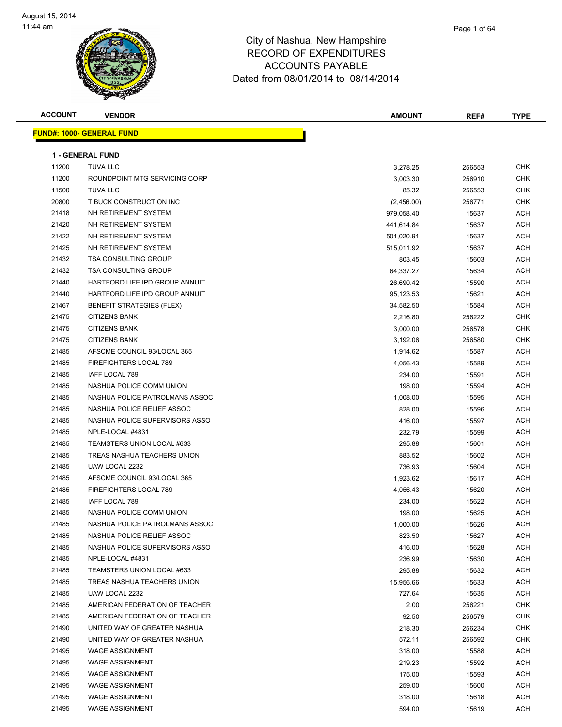

| Page 1 of 64 |
|--------------|
|              |

| <b>ACCOUNT</b> | <b>VENDOR</b>                    | <b>AMOUNT</b> | REF#   | <b>TYPE</b> |
|----------------|----------------------------------|---------------|--------|-------------|
|                | <b>FUND#: 1000- GENERAL FUND</b> |               |        |             |
|                |                                  |               |        |             |
|                | <b>1 - GENERAL FUND</b>          |               |        |             |
| 11200          | <b>TUVA LLC</b>                  | 3,278.25      | 256553 | <b>CHK</b>  |
| 11200          | ROUNDPOINT MTG SERVICING CORP    | 3,003.30      | 256910 | <b>CHK</b>  |
| 11500          | <b>TUVA LLC</b>                  | 85.32         | 256553 | <b>CHK</b>  |
| 20800          | T BUCK CONSTRUCTION INC          | (2,456.00)    | 256771 | CHK         |
| 21418          | NH RETIREMENT SYSTEM             | 979,058.40    | 15637  | <b>ACH</b>  |
| 21420          | NH RETIREMENT SYSTEM             | 441,614.84    | 15637  | <b>ACH</b>  |
| 21422          | NH RETIREMENT SYSTEM             | 501,020.91    | 15637  | <b>ACH</b>  |
| 21425          | NH RETIREMENT SYSTEM             | 515,011.92    | 15637  | <b>ACH</b>  |
| 21432          | <b>TSA CONSULTING GROUP</b>      | 803.45        | 15603  | <b>ACH</b>  |
| 21432          | <b>TSA CONSULTING GROUP</b>      | 64,337.27     | 15634  | <b>ACH</b>  |
| 21440          | HARTFORD LIFE IPD GROUP ANNUIT   | 26,690.42     | 15590  | <b>ACH</b>  |
| 21440          | HARTFORD LIFE IPD GROUP ANNUIT   | 95,123.53     | 15621  | <b>ACH</b>  |
| 21467          | <b>BENEFIT STRATEGIES (FLEX)</b> | 34,582.50     | 15584  | <b>ACH</b>  |
| 21475          | <b>CITIZENS BANK</b>             | 2,216.80      | 256222 | <b>CHK</b>  |
| 21475          | <b>CITIZENS BANK</b>             | 3,000.00      | 256578 | <b>CHK</b>  |
| 21475          | <b>CITIZENS BANK</b>             | 3,192.06      | 256580 | <b>CHK</b>  |
| 21485          | AFSCME COUNCIL 93/LOCAL 365      | 1,914.62      | 15587  | <b>ACH</b>  |
| 21485          | FIREFIGHTERS LOCAL 789           | 4,056.43      | 15589  | <b>ACH</b>  |
| 21485          | IAFF LOCAL 789                   | 234.00        | 15591  | <b>ACH</b>  |
| 21485          | NASHUA POLICE COMM UNION         | 198.00        | 15594  | <b>ACH</b>  |
| 21485          | NASHUA POLICE PATROLMANS ASSOC   | 1,008.00      | 15595  | <b>ACH</b>  |
| 21485          | NASHUA POLICE RELIEF ASSOC       | 828.00        | 15596  | <b>ACH</b>  |
| 21485          | NASHUA POLICE SUPERVISORS ASSO   | 416.00        | 15597  | <b>ACH</b>  |
| 21485          | NPLE-LOCAL #4831                 | 232.79        | 15599  | <b>ACH</b>  |
| 21485          | TEAMSTERS UNION LOCAL #633       | 295.88        | 15601  | <b>ACH</b>  |
| 21485          | TREAS NASHUA TEACHERS UNION      | 883.52        | 15602  | <b>ACH</b>  |
| 21485          | UAW LOCAL 2232                   | 736.93        | 15604  | <b>ACH</b>  |
| 21485          | AFSCME COUNCIL 93/LOCAL 365      | 1,923.62      | 15617  | <b>ACH</b>  |
| 21485          | FIREFIGHTERS LOCAL 789           | 4,056.43      | 15620  | <b>ACH</b>  |
| 21485          | IAFF LOCAL 789                   | 234.00        | 15622  | <b>ACH</b>  |
| 21485          | NASHUA POLICE COMM UNION         | 198.00        | 15625  | <b>ACH</b>  |
| 21485          | NASHUA POLICE PATROLMANS ASSOC   | 1,000.00      | 15626  | ACH         |
| 21485          | NASHUA POLICE RELIEF ASSOC       | 823.50        | 15627  | <b>ACH</b>  |
| 21485          | NASHUA POLICE SUPERVISORS ASSO   | 416.00        | 15628  | <b>ACH</b>  |
| 21485          | NPLE-LOCAL #4831                 | 236.99        | 15630  | <b>ACH</b>  |
| 21485          | TEAMSTERS UNION LOCAL #633       | 295.88        | 15632  | <b>ACH</b>  |
| 21485          | TREAS NASHUA TEACHERS UNION      | 15,956.66     | 15633  | <b>ACH</b>  |
| 21485          | UAW LOCAL 2232                   | 727.64        | 15635  | <b>ACH</b>  |
| 21485          | AMERICAN FEDERATION OF TEACHER   | 2.00          | 256221 | <b>CHK</b>  |
| 21485          | AMERICAN FEDERATION OF TEACHER   | 92.50         | 256579 | <b>CHK</b>  |
| 21490          | UNITED WAY OF GREATER NASHUA     | 218.30        | 256234 | <b>CHK</b>  |

21490 UNITED WAY OF GREATER NASHUA 572.11 572.11 256592 CHK 21495 WAGE ASSIGNMENT **21495** WAGE ASSIGNMENT WAGE ASSIGNMENT 219.23 15592 ACH er 21495 WAGE ASSIGNMENT NAMEL AND THE SERVE OF THE SERVER OF THE SERVER OF THE SERVER OF THE SERVER OF THE SERVER OF THE SERVER OF THE SERVER OF THE SERVER OF THE SERVER OF THE SERVER OF THE SERVER OF THE SERVER OF THE SE 21495 WAGE ASSIGNMENT NAMEL AND RESERVE THE SERVE OF STATE SERVER AND RESERVE THE SERVER OF SERVER AND ACH 21495 WAGE ASSIGNMENT NAMEL AND RESERVE THE STATE OF STATE STATES OF STATES AND RESERVE THE STATE OF STATES ACH er and the test of the test of the test of the test of the test of test of test of test of test of test of test of test of test of test of test of test of test of test of test of test of test of test of test of test of tes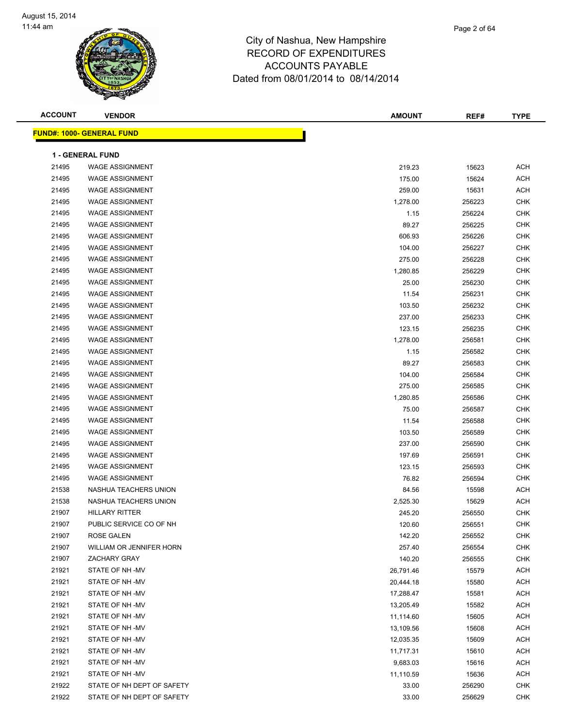| <b>ACCOUNT</b> | <b>VENDOR</b>                     | <b>AMOUNT</b> | REF#   | <b>TYPE</b> |
|----------------|-----------------------------------|---------------|--------|-------------|
|                | <u> FUND#: 1000- GENERAL FUND</u> |               |        |             |
|                |                                   |               |        |             |
|                | <b>1 - GENERAL FUND</b>           |               |        |             |
| 21495          | <b>WAGE ASSIGNMENT</b>            | 219.23        | 15623  | <b>ACH</b>  |
| 21495          | <b>WAGE ASSIGNMENT</b>            | 175.00        | 15624  | <b>ACH</b>  |
| 21495          | <b>WAGE ASSIGNMENT</b>            | 259.00        | 15631  | <b>ACH</b>  |
| 21495          | <b>WAGE ASSIGNMENT</b>            | 1,278.00      | 256223 | <b>CHK</b>  |
| 21495          | <b>WAGE ASSIGNMENT</b>            | 1.15          | 256224 | <b>CHK</b>  |
| 21495          | <b>WAGE ASSIGNMENT</b>            | 89.27         | 256225 | <b>CHK</b>  |
| 21495          | <b>WAGE ASSIGNMENT</b>            | 606.93        | 256226 | <b>CHK</b>  |
| 21495          | <b>WAGE ASSIGNMENT</b>            | 104.00        | 256227 | <b>CHK</b>  |
| 21495          | <b>WAGE ASSIGNMENT</b>            | 275.00        | 256228 | <b>CHK</b>  |
| 21495          | <b>WAGE ASSIGNMENT</b>            | 1,280.85      | 256229 | <b>CHK</b>  |
| 21495          | <b>WAGE ASSIGNMENT</b>            | 25.00         | 256230 | <b>CHK</b>  |
| 21495          | <b>WAGE ASSIGNMENT</b>            | 11.54         | 256231 | <b>CHK</b>  |
| 21495          | <b>WAGE ASSIGNMENT</b>            | 103.50        | 256232 | <b>CHK</b>  |
| 21495          | <b>WAGE ASSIGNMENT</b>            | 237.00        | 256233 | <b>CHK</b>  |
| 21495          | <b>WAGE ASSIGNMENT</b>            | 123.15        | 256235 | <b>CHK</b>  |
| 21495          | <b>WAGE ASSIGNMENT</b>            | 1,278.00      | 256581 | <b>CHK</b>  |
| 21495          | <b>WAGE ASSIGNMENT</b>            | 1.15          | 256582 | <b>CHK</b>  |
| 21495          | <b>WAGE ASSIGNMENT</b>            | 89.27         | 256583 | <b>CHK</b>  |
| 21495          | <b>WAGE ASSIGNMENT</b>            | 104.00        | 256584 | <b>CHK</b>  |
| 21495          | <b>WAGE ASSIGNMENT</b>            | 275.00        | 256585 | <b>CHK</b>  |
| 21495          | <b>WAGE ASSIGNMENT</b>            | 1,280.85      | 256586 | <b>CHK</b>  |
| 21495          | <b>WAGE ASSIGNMENT</b>            | 75.00         | 256587 | <b>CHK</b>  |
| 21495          | <b>WAGE ASSIGNMENT</b>            | 11.54         | 256588 | <b>CHK</b>  |
| 21495          | <b>WAGE ASSIGNMENT</b>            | 103.50        | 256589 | <b>CHK</b>  |
| 21495          | <b>WAGE ASSIGNMENT</b>            | 237.00        | 256590 | <b>CHK</b>  |
| 21495          | <b>WAGE ASSIGNMENT</b>            | 197.69        | 256591 | <b>CHK</b>  |
| 21495          | <b>WAGE ASSIGNMENT</b>            | 123.15        | 256593 | <b>CHK</b>  |
| 21495          | <b>WAGE ASSIGNMENT</b>            | 76.82         | 256594 | <b>CHK</b>  |
| 21538          | NASHUA TEACHERS UNION             | 84.56         | 15598  | <b>ACH</b>  |
| 21538          | NASHUA TEACHERS UNION             | 2,525.30      | 15629  | <b>ACH</b>  |
| 21907          | <b>HILLARY RITTER</b>             | 245.20        | 256550 | <b>CHK</b>  |
| 21907          | PUBLIC SERVICE CO OF NH           | 120.60        | 256551 | <b>CHK</b>  |
| 21907          | ROSE GALEN                        | 142.20        | 256552 | CHK         |
| 21907          | WILLIAM OR JENNIFER HORN          | 257.40        | 256554 | <b>CHK</b>  |
| 21907          | ZACHARY GRAY                      | 140.20        | 256555 | CHK         |
| 21921          | STATE OF NH-MV                    | 26,791.46     | 15579  | ACH         |
| 21921          | STATE OF NH-MV                    | 20,444.18     | 15580  | <b>ACH</b>  |
| 21921          | STATE OF NH-MV                    | 17,288.47     | 15581  | ACH         |
| 21921          | STATE OF NH-MV                    | 13,205.49     | 15582  | ACH         |
| 21921          | STATE OF NH-MV                    | 11,114.60     | 15605  | ACH         |
| 21921          | STATE OF NH-MV                    | 13,109.56     | 15608  | ACH         |
| 21921          | STATE OF NH-MV                    | 12,035.35     | 15609  | ACH         |
| 21921          | STATE OF NH-MV                    | 11,717.31     | 15610  | ACH         |
| 21921          | STATE OF NH-MV                    | 9,683.03      | 15616  | <b>ACH</b>  |
| 21921          | STATE OF NH-MV                    | 11,110.59     | 15636  | ACH         |
| 21922          | STATE OF NH DEPT OF SAFETY        | 33.00         | 256290 | CHK         |
| 21922          | STATE OF NH DEPT OF SAFETY        | 33.00         | 256629 | CHK         |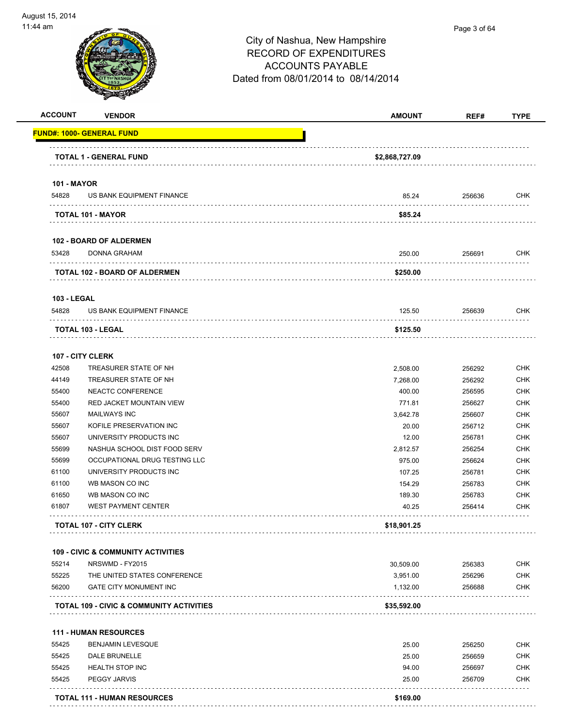

| <b>ACCOUNT</b>              | <b>VENDOR</b>                                                    | <b>AMOUNT</b>  | REF#   | <b>TYPE</b> |
|-----------------------------|------------------------------------------------------------------|----------------|--------|-------------|
|                             | FUND#: 1000- GENERAL FUND                                        |                |        |             |
|                             | <b>TOTAL 1 - GENERAL FUND</b>                                    | \$2,868,727.09 |        |             |
|                             |                                                                  |                |        |             |
| <b>101 - MAYOR</b><br>54828 | US BANK EQUIPMENT FINANCE                                        | 85.24          | 256636 | CHK         |
|                             | TOTAL 101 - MAYOR                                                | \$85.24        |        |             |
|                             |                                                                  |                |        |             |
| 53428                       | <b>102 - BOARD OF ALDERMEN</b><br><b>DONNA GRAHAM</b>            | 250.00         | 256691 | CHK         |
|                             | TOTAL 102 - BOARD OF ALDERMEN                                    | \$250.00       |        |             |
|                             |                                                                  |                |        |             |
| <b>103 - LEGAL</b><br>54828 | US BANK EQUIPMENT FINANCE                                        | 125.50         | 256639 | CHK         |
|                             | <b>TOTAL 103 - LEGAL</b>                                         | \$125.50       |        |             |
|                             |                                                                  |                |        |             |
|                             | 107 - CITY CLERK                                                 |                |        |             |
| 42508                       | TREASURER STATE OF NH                                            | 2,508.00       | 256292 | CHK         |
| 44149                       | TREASURER STATE OF NH                                            | 7,268.00       | 256292 | <b>CHK</b>  |
| 55400                       | NEACTC CONFERENCE                                                | 400.00         | 256595 | <b>CHK</b>  |
| 55400                       | <b>RED JACKET MOUNTAIN VIEW</b>                                  | 771.81         | 256627 | CHK         |
| 55607                       | <b>MAILWAYS INC</b>                                              | 3,642.78       | 256607 | CHK         |
| 55607                       | KOFILE PRESERVATION INC                                          | 20.00          | 256712 | <b>CHK</b>  |
| 55607                       | UNIVERSITY PRODUCTS INC                                          | 12.00          | 256781 | CHK         |
| 55699                       | NASHUA SCHOOL DIST FOOD SERV                                     | 2,812.57       | 256254 | CHK         |
| 55699                       | OCCUPATIONAL DRUG TESTING LLC                                    | 975.00         | 256624 | CHK         |
| 61100                       | UNIVERSITY PRODUCTS INC                                          | 107.25         | 256781 | CHK         |
| 61100                       | WB MASON CO INC                                                  | 154.29         | 256783 | CHK         |
| 61650                       | WB MASON CO INC                                                  | 189.30         | 256783 | <b>CHK</b>  |
| 61807                       | <b>WEST PAYMENT CENTER</b>                                       | 40.25          | 256414 | CHK         |
|                             | <b>TOTAL 107 - CITY CLERK</b>                                    | \$18,901.25    |        |             |
|                             |                                                                  |                |        |             |
| 55214                       | <b>109 - CIVIC &amp; COMMUNITY ACTIVITIES</b><br>NRSWMD - FY2015 | 30,509.00      | 256383 | CHK         |
| 55225                       | THE UNITED STATES CONFERENCE                                     | 3,951.00       | 256296 | CHK         |
| 56200                       | <b>GATE CITY MONUMENT INC</b>                                    | 1,132.00       | 256688 | CHK         |
|                             | .<br>TOTAL 109 - CIVIC & COMMUNITY ACTIVITIES                    | \$35,592.00    |        |             |
|                             | <b>111 - HUMAN RESOURCES</b>                                     |                |        |             |
| 55425                       | <b>BENJAMIN LEVESQUE</b>                                         | 25.00          | 256250 | <b>CHK</b>  |
| 55425                       | DALE BRUNELLE                                                    |                |        |             |
| 55425                       | <b>HEALTH STOP INC</b>                                           | 25.00          | 256659 | <b>CHK</b>  |
| 55425                       | PEGGY JARVIS                                                     | 94.00          | 256697 | CHK         |
|                             |                                                                  | 25.00          | 256709 | CHK         |
|                             | <b>TOTAL 111 - HUMAN RESOURCES</b>                               | \$169.00       |        |             |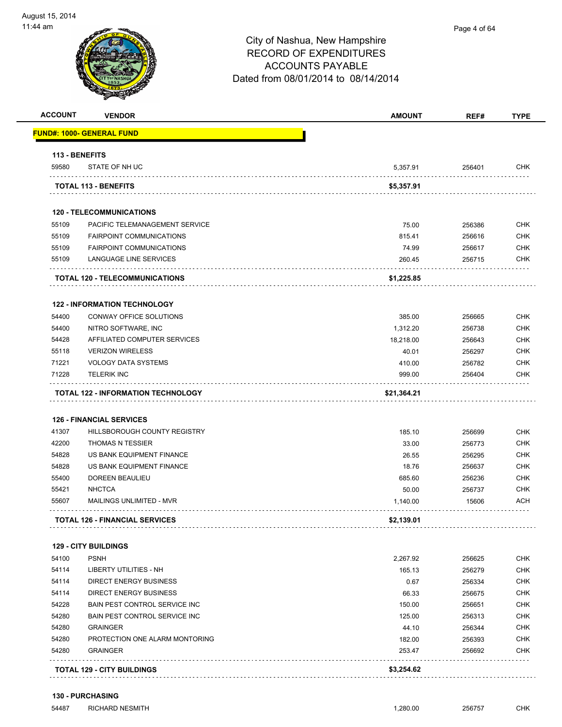

| <b>ACCOUNT</b> | <b>VENDOR</b>                             | <b>AMOUNT</b> | REF#   | <b>TYPE</b> |
|----------------|-------------------------------------------|---------------|--------|-------------|
|                | <u> FUND#: 1000- GENERAL FUND</u>         |               |        |             |
| 113 - BENEFITS |                                           |               |        |             |
| 59580          | STATE OF NH UC                            | 5,357.91      | 256401 | <b>CHK</b>  |
|                | <b>TOTAL 113 - BENEFITS</b>               | \$5,357.91    |        |             |
|                | <b>120 - TELECOMMUNICATIONS</b>           |               |        |             |
| 55109          | PACIFIC TELEMANAGEMENT SERVICE            | 75.00         | 256386 | <b>CHK</b>  |
| 55109          | <b>FAIRPOINT COMMUNICATIONS</b>           | 815.41        | 256616 | <b>CHK</b>  |
| 55109          | <b>FAIRPOINT COMMUNICATIONS</b>           | 74.99         | 256617 | CHK         |
| 55109          | LANGUAGE LINE SERVICES                    | 260.45        | 256715 | CHK         |
|                | <b>TOTAL 120 - TELECOMMUNICATIONS</b>     | \$1,225.85    |        |             |
|                |                                           |               |        |             |
|                | <b>122 - INFORMATION TECHNOLOGY</b>       |               |        |             |
| 54400          | CONWAY OFFICE SOLUTIONS                   | 385.00        | 256665 | <b>CHK</b>  |
| 54400          | NITRO SOFTWARE, INC                       | 1,312.20      | 256738 | <b>CHK</b>  |
| 54428          | AFFILIATED COMPUTER SERVICES              | 18,218.00     | 256643 | CHK         |
| 55118          | <b>VERIZON WIRELESS</b>                   | 40.01         | 256297 | <b>CHK</b>  |
| 71221          | <b>VOLOGY DATA SYSTEMS</b>                | 410.00        | 256782 | <b>CHK</b>  |
| 71228          | <b>TELERIK INC</b>                        | 999.00        | 256404 | CHK         |
|                | <b>TOTAL 122 - INFORMATION TECHNOLOGY</b> | \$21,364.21   |        |             |
|                | <b>126 - FINANCIAL SERVICES</b>           |               |        |             |
| 41307          | HILLSBOROUGH COUNTY REGISTRY              | 185.10        | 256699 | <b>CHK</b>  |
| 42200          | <b>THOMAS N TESSIER</b>                   | 33.00         | 256773 | <b>CHK</b>  |
| 54828          | US BANK EQUIPMENT FINANCE                 | 26.55         | 256295 | <b>CHK</b>  |
| 54828          | US BANK EQUIPMENT FINANCE                 | 18.76         | 256637 | CHK         |
| 55400          | DOREEN BEAULIEU                           | 685.60        | 256236 | CHK         |
| 55421          | <b>NHCTCA</b>                             | 50.00         | 256737 | <b>CHK</b>  |
| 55607          | MAILINGS UNLIMITED - MVR                  | 1,140.00      | 15606  | ACH         |
|                | <b>TOTAL 126 - FINANCIAL SERVICES</b>     | \$2,139.01    |        |             |
|                |                                           |               |        |             |
|                | <b>129 - CITY BUILDINGS</b>               |               |        |             |
| 54100          | <b>PSNH</b>                               | 2,267.92      | 256625 | <b>CHK</b>  |
| 54114          | LIBERTY UTILITIES - NH                    | 165.13        | 256279 | <b>CHK</b>  |
| 54114          | DIRECT ENERGY BUSINESS                    | 0.67          | 256334 | <b>CHK</b>  |
| 54114          | DIRECT ENERGY BUSINESS                    | 66.33         | 256675 | CHK         |
| 54228          | BAIN PEST CONTROL SERVICE INC             | 150.00        | 256651 | <b>CHK</b>  |
| 54280          | BAIN PEST CONTROL SERVICE INC             | 125.00        | 256313 | <b>CHK</b>  |
| 54280          | <b>GRAINGER</b>                           | 44.10         | 256344 | <b>CHK</b>  |
| 54280          | PROTECTION ONE ALARM MONTORING            | 182.00        | 256393 | <b>CHK</b>  |
| 54280          | <b>GRAINGER</b><br>.                      | 253.47        | 256692 | <b>CHK</b>  |
|                |                                           |               |        |             |

**130 - PURCHASING**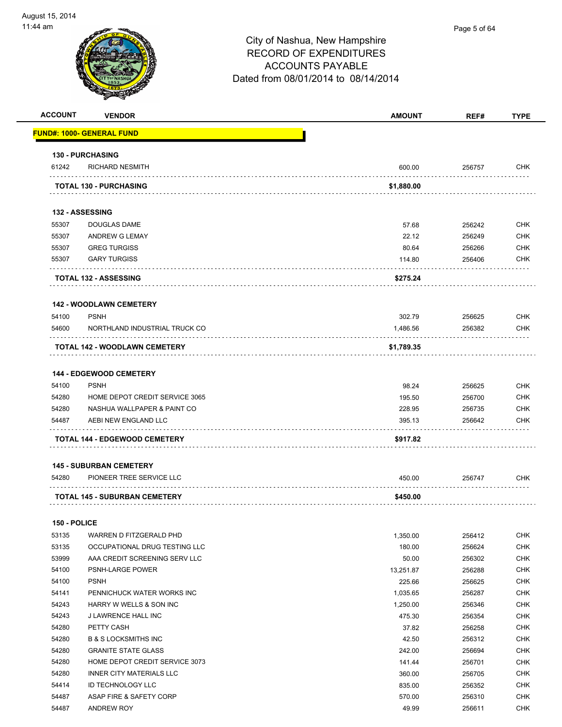

|                | <b>VENDOR</b>                                        | <b>AMOUNT</b>    | REF#             | <b>TYPE</b>                                                                                                                                                                                                    |
|----------------|------------------------------------------------------|------------------|------------------|----------------------------------------------------------------------------------------------------------------------------------------------------------------------------------------------------------------|
|                | <u> FUND#: 1000- GENERAL FUND</u>                    |                  |                  |                                                                                                                                                                                                                |
|                | <b>130 - PURCHASING</b>                              |                  |                  |                                                                                                                                                                                                                |
| 61242          | <b>RICHARD NESMITH</b>                               | 600.00           | 256757           | CHK                                                                                                                                                                                                            |
|                | <b>TOTAL 130 - PURCHASING</b>                        | \$1,880.00       |                  |                                                                                                                                                                                                                |
|                | <b>132 - ASSESSING</b>                               |                  |                  |                                                                                                                                                                                                                |
| 55307          | DOUGLAS DAME                                         | 57.68            | 256242           | CHK                                                                                                                                                                                                            |
| 55307          | <b>ANDREW G LEMAY</b>                                | 22.12            | 256249           | <b>CHK</b>                                                                                                                                                                                                     |
| 55307          | <b>GREG TURGISS</b>                                  | 80.64            | 256266           | <b>CHK</b>                                                                                                                                                                                                     |
| 55307          | <b>GARY TURGISS</b>                                  | 114.80           | 256406           | <b>CHK</b>                                                                                                                                                                                                     |
|                | <b>TOTAL 132 - ASSESSING</b>                         | \$275.24         |                  |                                                                                                                                                                                                                |
|                | <b>142 - WOODLAWN CEMETERY</b>                       |                  |                  |                                                                                                                                                                                                                |
| 54100          | <b>PSNH</b>                                          | 302.79           | 256625           | CHK                                                                                                                                                                                                            |
| 54600          | NORTHLAND INDUSTRIAL TRUCK CO                        | 1,486.56         | 256382           | CHK                                                                                                                                                                                                            |
|                | <b>TOTAL 142 - WOODLAWN CEMETERY</b>                 | \$1,789.35       |                  |                                                                                                                                                                                                                |
|                |                                                      |                  |                  |                                                                                                                                                                                                                |
|                | <b>144 - EDGEWOOD CEMETERY</b>                       |                  |                  |                                                                                                                                                                                                                |
| 54100          | <b>PSNH</b>                                          | 98.24            | 256625           | <b>CHK</b>                                                                                                                                                                                                     |
| 54280          | HOME DEPOT CREDIT SERVICE 3065                       | 195.50           | 256700           | <b>CHK</b>                                                                                                                                                                                                     |
| 54280          | NASHUA WALLPAPER & PAINT CO                          | 228.95           | 256735           | <b>CHK</b>                                                                                                                                                                                                     |
| 54487          | AEBI NEW ENGLAND LLC                                 | 395.13           | 256642           | <b>CHK</b>                                                                                                                                                                                                     |
|                | TOTAL 144 - EDGEWOOD CEMETERY                        | \$917.82         |                  |                                                                                                                                                                                                                |
|                |                                                      |                  |                  |                                                                                                                                                                                                                |
|                | <b>145 - SUBURBAN CEMETERY</b>                       |                  |                  |                                                                                                                                                                                                                |
| 54280          | PIONEER TREE SERVICE LLC                             | 450.00           | 256747           | CHK                                                                                                                                                                                                            |
|                | <b>TOTAL 145 - SUBURBAN CEMETERY</b>                 | \$450.00         |                  |                                                                                                                                                                                                                |
| 150 - POLICE   |                                                      |                  |                  |                                                                                                                                                                                                                |
| 53135          | WARREN D FITZGERALD PHD                              | 1,350.00         | 256412           |                                                                                                                                                                                                                |
| 53135          | OCCUPATIONAL DRUG TESTING LLC                        | 180.00           | 256624           |                                                                                                                                                                                                                |
| 53999          | AAA CREDIT SCREENING SERV LLC                        | 50.00            | 256302           |                                                                                                                                                                                                                |
| 54100          | PSNH-LARGE POWER                                     | 13,251.87        | 256288           |                                                                                                                                                                                                                |
| 54100          | <b>PSNH</b>                                          | 225.66           | 256625           |                                                                                                                                                                                                                |
| 54141          | PENNICHUCK WATER WORKS INC                           | 1,035.65         | 256287           |                                                                                                                                                                                                                |
| 54243          | HARRY W WELLS & SON INC                              | 1,250.00         | 256346           |                                                                                                                                                                                                                |
| 54243          | J LAWRENCE HALL INC                                  | 475.30           | 256354           |                                                                                                                                                                                                                |
| 54280          | PETTY CASH                                           | 37.82            | 256258           |                                                                                                                                                                                                                |
| 54280          | <b>B &amp; S LOCKSMITHS INC</b>                      | 42.50            | 256312           |                                                                                                                                                                                                                |
| 54280          | <b>GRANITE STATE GLASS</b>                           | 242.00           | 256694           |                                                                                                                                                                                                                |
| 54280          | HOME DEPOT CREDIT SERVICE 3073                       | 141.44           | 256701           |                                                                                                                                                                                                                |
|                |                                                      |                  |                  |                                                                                                                                                                                                                |
| 54280          | <b>INNER CITY MATERIALS LLC</b><br>ID TECHNOLOGY LLC | 360.00           | 256705           |                                                                                                                                                                                                                |
| 54414<br>54487 | ASAP FIRE & SAFETY CORP                              | 835.00<br>570.00 | 256352<br>256310 | <b>CHK</b><br><b>CHK</b><br><b>CHK</b><br><b>CHK</b><br><b>CHK</b><br><b>CHK</b><br><b>CHK</b><br><b>CHK</b><br><b>CHK</b><br><b>CHK</b><br><b>CHK</b><br><b>CHK</b><br><b>CHK</b><br><b>CHK</b><br><b>CHK</b> |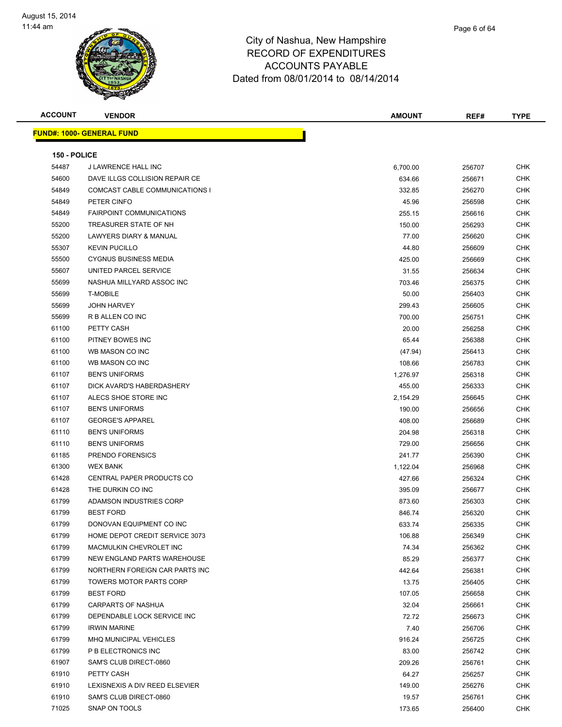

| <b>ACCOUNT</b> | <b>VENDOR</b>                     | <b>AMOUNT</b> | REF#             | <b>TYPE</b> |
|----------------|-----------------------------------|---------------|------------------|-------------|
|                | <u> FUND#: 1000- GENERAL FUND</u> |               |                  |             |
|                |                                   |               |                  |             |
| 150 - POLICE   |                                   |               |                  |             |
| 54487          | J LAWRENCE HALL INC               | 6,700.00      | 256707           | <b>CHK</b>  |
| 54600          | DAVE ILLGS COLLISION REPAIR CE    | 634.66        | 256671           | <b>CHK</b>  |
| 54849          | COMCAST CABLE COMMUNICATIONS I    | 332.85        | 256270           | <b>CHK</b>  |
| 54849          | PETER CINFO                       | 45.96         | 256598           | <b>CHK</b>  |
| 54849          | <b>FAIRPOINT COMMUNICATIONS</b>   | 255.15        | 256616           | <b>CHK</b>  |
| 55200          | TREASURER STATE OF NH             | 150.00        | 256293           | <b>CHK</b>  |
| 55200          | LAWYERS DIARY & MANUAL            | 77.00         | 256620           | <b>CHK</b>  |
| 55307          | <b>KEVIN PUCILLO</b>              | 44.80         | 256609           | <b>CHK</b>  |
| 55500          | <b>CYGNUS BUSINESS MEDIA</b>      | 425.00        | 256669           | CHK         |
| 55607          | UNITED PARCEL SERVICE             | 31.55         | 256634           | <b>CHK</b>  |
| 55699          | NASHUA MILLYARD ASSOC INC         | 703.46        | 256375           | <b>CHK</b>  |
| 55699          | <b>T-MOBILE</b>                   | 50.00         | 256403           | <b>CHK</b>  |
| 55699          | <b>JOHN HARVEY</b>                | 299.43        | 256605           | <b>CHK</b>  |
| 55699          | R B ALLEN CO INC                  | 700.00        | 256751           | <b>CHK</b>  |
| 61100          | PETTY CASH                        |               |                  | CHK         |
|                |                                   | 20.00         | 256258<br>256388 | <b>CHK</b>  |
| 61100          | PITNEY BOWES INC                  | 65.44         |                  |             |
| 61100          | WB MASON CO INC                   | (47.94)       | 256413           | CHK         |
| 61100          | WB MASON CO INC                   | 108.66        | 256783           | <b>CHK</b>  |
| 61107          | <b>BEN'S UNIFORMS</b>             | 1,276.97      | 256318           | <b>CHK</b>  |
| 61107          | DICK AVARD'S HABERDASHERY         | 455.00        | 256333           | CHK         |
| 61107          | ALECS SHOE STORE INC              | 2,154.29      | 256645           | <b>CHK</b>  |
| 61107          | <b>BEN'S UNIFORMS</b>             | 190.00        | 256656           | <b>CHK</b>  |
| 61107          | <b>GEORGE'S APPAREL</b>           | 408.00        | 256689           | <b>CHK</b>  |
| 61110          | <b>BEN'S UNIFORMS</b>             | 204.98        | 256318           | <b>CHK</b>  |
| 61110          | <b>BEN'S UNIFORMS</b>             | 729.00        | 256656           | <b>CHK</b>  |
| 61185          | PRENDO FORENSICS                  | 241.77        | 256390           | CHK         |
| 61300          | <b>WEX BANK</b>                   | 1,122.04      | 256968           | <b>CHK</b>  |
| 61428          | CENTRAL PAPER PRODUCTS CO         | 427.66        | 256324           | CHK         |
| 61428          | THE DURKIN CO INC                 | 395.09        | 256677           | <b>CHK</b>  |
| 61799          | ADAMSON INDUSTRIES CORP           | 873.60        | 256303           | <b>CHK</b>  |
| 61799          | <b>BEST FORD</b>                  | 846.74        | 256320           | CHK         |
| 61799          | DONOVAN EQUIPMENT CO INC          | 633.74        | 256335           | <b>CHK</b>  |
| 61799          | HOME DEPOT CREDIT SERVICE 3073    | 106.88        | 256349           | <b>CHK</b>  |
| 61799          | MACMULKIN CHEVROLET INC           | 74.34         | 256362           | <b>CHK</b>  |
| 61799          | NEW ENGLAND PARTS WAREHOUSE       | 85.29         | 256377           | <b>CHK</b>  |
| 61799          | NORTHERN FOREIGN CAR PARTS INC    | 442.64        | 256381           | <b>CHK</b>  |
| 61799          | <b>TOWERS MOTOR PARTS CORP</b>    | 13.75         | 256405           | <b>CHK</b>  |
| 61799          | <b>BEST FORD</b>                  | 107.05        | 256658           | <b>CHK</b>  |
| 61799          | <b>CARPARTS OF NASHUA</b>         | 32.04         | 256661           | <b>CHK</b>  |
| 61799          | DEPENDABLE LOCK SERVICE INC       | 72.72         | 256673           | <b>CHK</b>  |
| 61799          | <b>IRWIN MARINE</b>               | 7.40          | 256706           | <b>CHK</b>  |
| 61799          | MHQ MUNICIPAL VEHICLES            | 916.24        | 256725           | <b>CHK</b>  |
| 61799          | P B ELECTRONICS INC               | 83.00         | 256742           | <b>CHK</b>  |
| 61907          | SAM'S CLUB DIRECT-0860            | 209.26        | 256761           | <b>CHK</b>  |
| 61910          | PETTY CASH                        | 64.27         | 256257           | <b>CHK</b>  |
| 61910          | LEXISNEXIS A DIV REED ELSEVIER    | 149.00        | 256276           | <b>CHK</b>  |
| 61910          | SAM'S CLUB DIRECT-0860            | 19.57         | 256761           | <b>CHK</b>  |
| 71025          | SNAP ON TOOLS                     | 173.65        | 256400           | <b>CHK</b>  |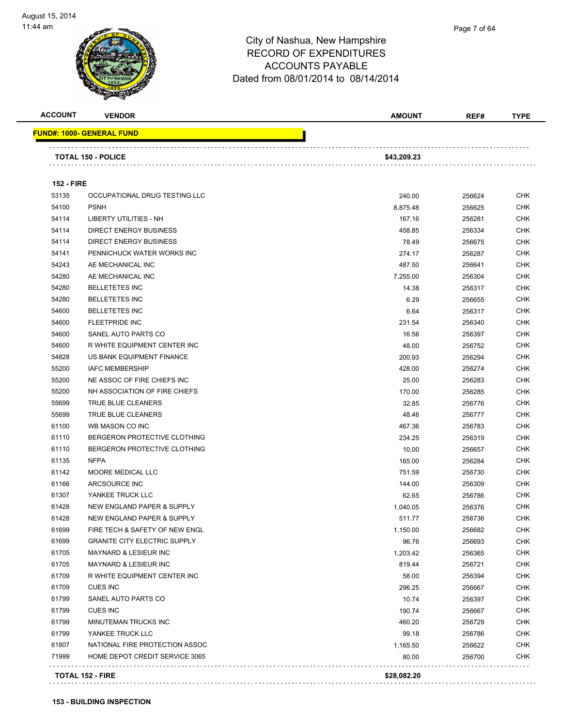

| <b>ACCOUNT</b>    | <b>VENDOR</b>                                | <b>AMOUNT</b> | REF#   | <b>TYPE</b>              |
|-------------------|----------------------------------------------|---------------|--------|--------------------------|
|                   | <u> FUND#: 1000- GENERAL FUND</u>            |               |        |                          |
|                   | <b>TOTAL 150 - POLICE</b>                    | \$43,209.23   |        |                          |
| <b>152 - FIRE</b> |                                              |               |        |                          |
| 53135             |                                              |               |        | <b>CHK</b>               |
| 54100             | OCCUPATIONAL DRUG TESTING LLC<br><b>PSNH</b> | 240.00        | 256624 | <b>CHK</b>               |
|                   | LIBERTY UTILITIES - NH                       | 8,875.48      | 256625 |                          |
| 54114<br>54114    | <b>DIRECT ENERGY BUSINESS</b>                | 167.16        | 256281 | <b>CHK</b><br><b>CHK</b> |
| 54114             | DIRECT ENERGY BUSINESS                       | 458.85        | 256334 |                          |
|                   |                                              | 78.49         | 256675 | <b>CHK</b>               |
| 54141             | PENNICHUCK WATER WORKS INC                   | 274.17        | 256287 | CHK                      |
| 54243             | AE MECHANICAL INC                            | 487.50        | 256641 | <b>CHK</b>               |
| 54280             | AE MECHANICAL INC                            | 7,255.00      | 256304 | <b>CHK</b>               |
| 54280             | <b>BELLETETES INC</b>                        | 14.38         | 256317 | <b>CHK</b>               |
| 54280             | <b>BELLETETES INC</b>                        | 6.29          | 256655 | <b>CHK</b>               |
| 54600             | <b>BELLETETES INC</b>                        | 6.64          | 256317 | <b>CHK</b>               |
| 54600             | <b>FLEETPRIDE INC</b>                        | 231.54        | 256340 | <b>CHK</b>               |
| 54600             | SANEL AUTO PARTS CO                          | 16.56         | 256397 | <b>CHK</b>               |
| 54600             | R WHITE EQUIPMENT CENTER INC                 | 48.00         | 256752 | <b>CHK</b>               |
| 54828             | US BANK EQUIPMENT FINANCE                    | 200.93        | 256294 | <b>CHK</b>               |
| 55200             | <b>IAFC MEMBERSHIP</b>                       | 428.00        | 256274 | <b>CHK</b>               |
| 55200             | NE ASSOC OF FIRE CHIEFS INC                  | 25.00         | 256283 | <b>CHK</b>               |
| 55200             | NH ASSOCIATION OF FIRE CHIEFS                | 170.00        | 256285 | <b>CHK</b>               |
| 55699             | TRUE BLUE CLEANERS                           | 32.85         | 256776 | <b>CHK</b>               |
| 55699             | TRUE BLUE CLEANERS                           | 48.46         | 256777 | <b>CHK</b>               |
| 61100             | WB MASON CO INC                              | 467.36        | 256783 | <b>CHK</b>               |
| 61110             | BERGERON PROTECTIVE CLOTHING                 | 234.25        | 256319 | <b>CHK</b>               |
| 61110             | BERGERON PROTECTIVE CLOTHING                 | 10.00         | 256657 | <b>CHK</b>               |
| 61135             | <b>NFPA</b>                                  | 165.00        | 256284 | <b>CHK</b>               |
| 61142             | MOORE MEDICAL LLC                            | 751.59        | 256730 | <b>CHK</b>               |
| 61166             | ARCSOURCE INC                                | 144.00        | 256309 | <b>CHK</b>               |
| 61307             | YANKEE TRUCK LLC                             | 62.65         | 256786 | <b>CHK</b>               |
| 61428             | NEW ENGLAND PAPER & SUPPLY                   | 1,040.05      | 256376 | <b>CHK</b>               |
| 61428             | NEW ENGLAND PAPER & SUPPLY                   | 511.77        | 256736 | <b>CHK</b>               |
| 61699             | FIRE TECH & SAFETY OF NEW ENGL               | 1,150.00      | 256682 | <b>CHK</b>               |
| 61699             | <b>GRANITE CITY ELECTRIC SUPPLY</b>          | 96.76         | 256693 | <b>CHK</b>               |
| 61705             | <b>MAYNARD &amp; LESIEUR INC</b>             | 1,203.42      | 256365 | <b>CHK</b>               |
| 61705             | <b>MAYNARD &amp; LESIEUR INC</b>             | 819.44        | 256721 | <b>CHK</b>               |
| 61709             | R WHITE EQUIPMENT CENTER INC                 | 58.00         | 256394 | <b>CHK</b>               |
| 61709             | <b>CUES INC</b>                              | 296.25        | 256667 | <b>CHK</b>               |
| 61799             | SANEL AUTO PARTS CO                          | 10.74         | 256397 | <b>CHK</b>               |
| 61799             | <b>CUES INC</b>                              | 190.74        | 256667 | <b>CHK</b>               |
| 61799             | MINUTEMAN TRUCKS INC                         | 460.20        | 256729 | <b>CHK</b>               |
| 61799             | YANKEE TRUCK LLC                             | 99.18         | 256786 | <b>CHK</b>               |
| 61807             | NATIONAL FIRE PROTECTION ASSOC               | 1,165.50      | 256622 | <b>CHK</b>               |
| 71999             | HOME DEPOT CREDIT SERVICE 3065               | 80.00         | 256700 | <b>CHK</b>               |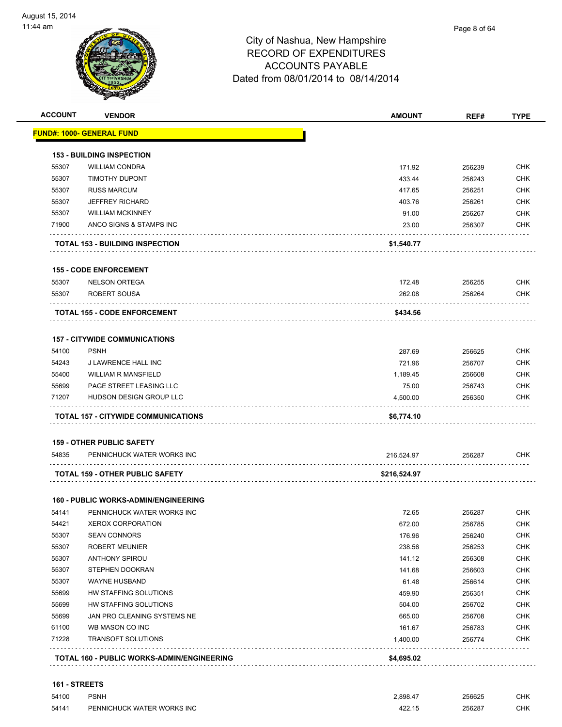

| <b>VENDOR</b>                     | <b>AMOUNT</b>                                                                                                                                                                                                                                                                                                                                                  | REF#         | <b>TYPE</b>                                                               |
|-----------------------------------|----------------------------------------------------------------------------------------------------------------------------------------------------------------------------------------------------------------------------------------------------------------------------------------------------------------------------------------------------------------|--------------|---------------------------------------------------------------------------|
| <u> FUND#: 1000- GENERAL FUND</u> |                                                                                                                                                                                                                                                                                                                                                                |              |                                                                           |
|                                   |                                                                                                                                                                                                                                                                                                                                                                |              |                                                                           |
| <b>WILLIAM CONDRA</b>             | 171.92                                                                                                                                                                                                                                                                                                                                                         | 256239       | <b>CHK</b>                                                                |
| <b>TIMOTHY DUPONT</b>             | 433.44                                                                                                                                                                                                                                                                                                                                                         | 256243       | <b>CHK</b>                                                                |
| <b>RUSS MARCUM</b>                | 417.65                                                                                                                                                                                                                                                                                                                                                         | 256251       | <b>CHK</b>                                                                |
| <b>JEFFREY RICHARD</b>            | 403.76                                                                                                                                                                                                                                                                                                                                                         | 256261       | <b>CHK</b>                                                                |
| <b>WILLIAM MCKINNEY</b>           | 91.00                                                                                                                                                                                                                                                                                                                                                          | 256267       | <b>CHK</b>                                                                |
| ANCO SIGNS & STAMPS INC           | 23.00                                                                                                                                                                                                                                                                                                                                                          | 256307       | <b>CHK</b>                                                                |
|                                   | \$1,540.77                                                                                                                                                                                                                                                                                                                                                     |              |                                                                           |
|                                   |                                                                                                                                                                                                                                                                                                                                                                |              |                                                                           |
| <b>NELSON ORTEGA</b>              | 172.48                                                                                                                                                                                                                                                                                                                                                         | 256255       | <b>CHK</b>                                                                |
| ROBERT SOUSA                      | 262.08                                                                                                                                                                                                                                                                                                                                                         | 256264       | CHK                                                                       |
|                                   | \$434.56                                                                                                                                                                                                                                                                                                                                                       |              |                                                                           |
|                                   |                                                                                                                                                                                                                                                                                                                                                                |              |                                                                           |
| <b>PSNH</b>                       | 287.69                                                                                                                                                                                                                                                                                                                                                         | 256625       | <b>CHK</b>                                                                |
| J LAWRENCE HALL INC               | 721.96                                                                                                                                                                                                                                                                                                                                                         | 256707       | <b>CHK</b>                                                                |
| <b>WILLIAM R MANSFIELD</b>        | 1.189.45                                                                                                                                                                                                                                                                                                                                                       | 256608       | <b>CHK</b>                                                                |
| PAGE STREET LEASING LLC           | 75.00                                                                                                                                                                                                                                                                                                                                                          | 256743       | <b>CHK</b>                                                                |
| HUDSON DESIGN GROUP LLC           | 4,500.00                                                                                                                                                                                                                                                                                                                                                       | 256350       | <b>CHK</b>                                                                |
|                                   | \$6,774.10                                                                                                                                                                                                                                                                                                                                                     |              |                                                                           |
|                                   |                                                                                                                                                                                                                                                                                                                                                                |              |                                                                           |
| PENNICHUCK WATER WORKS INC        | 216,524.97                                                                                                                                                                                                                                                                                                                                                     | 256287       | <b>CHK</b>                                                                |
|                                   |                                                                                                                                                                                                                                                                                                                                                                |              |                                                                           |
|                                   |                                                                                                                                                                                                                                                                                                                                                                |              |                                                                           |
|                                   |                                                                                                                                                                                                                                                                                                                                                                |              |                                                                           |
| PENNICHUCK WATER WORKS INC        | 72.65                                                                                                                                                                                                                                                                                                                                                          | 256287       | <b>CHK</b>                                                                |
| XEROX CORPORATION                 | 672.00                                                                                                                                                                                                                                                                                                                                                         | 256785       | <b>CHK</b>                                                                |
| <b>SEAN CONNORS</b>               | 176.96                                                                                                                                                                                                                                                                                                                                                         | 256240       | CHK                                                                       |
| ROBERT MEUNIER                    | 238.56                                                                                                                                                                                                                                                                                                                                                         | 256253       | CHK                                                                       |
| ANTHONY SPIROU                    | 141.12                                                                                                                                                                                                                                                                                                                                                         | 256308       | <b>CHK</b>                                                                |
|                                   | 141.68                                                                                                                                                                                                                                                                                                                                                         | 256603       | <b>CHK</b>                                                                |
| STEPHEN DOOKRAN                   |                                                                                                                                                                                                                                                                                                                                                                |              |                                                                           |
| WAYNE HUSBAND                     | 61.48                                                                                                                                                                                                                                                                                                                                                          | 256614       |                                                                           |
| HW STAFFING SOLUTIONS             | 459.90                                                                                                                                                                                                                                                                                                                                                         | 256351       |                                                                           |
| HW STAFFING SOLUTIONS             | 504.00                                                                                                                                                                                                                                                                                                                                                         | 256702       |                                                                           |
| JAN PRO CLEANING SYSTEMS NE       | 665.00                                                                                                                                                                                                                                                                                                                                                         | 256708       |                                                                           |
| WB MASON CO INC                   | 161.67                                                                                                                                                                                                                                                                                                                                                         | 256783       | <b>CHK</b><br><b>CHK</b><br>CHK<br><b>CHK</b><br><b>CHK</b><br><b>CHK</b> |
|                                   | <b>153 - BUILDING INSPECTION</b><br><b>TOTAL 153 - BUILDING INSPECTION</b><br><b>155 - CODE ENFORCEMENT</b><br><b>TOTAL 155 - CODE ENFORCEMENT</b><br><b>157 - CITYWIDE COMMUNICATIONS</b><br>TOTAL 157 - CITYWIDE COMMUNICATIONS<br><b>159 - OTHER PUBLIC SAFETY</b><br><b>TOTAL 159 - OTHER PUBLIC SAFETY</b><br><b>160 - PUBLIC WORKS-ADMIN/ENGINEERING</b> | \$216,524.97 |                                                                           |

#### **161 - STREETS**

| 54100 | <b>PSNH</b>                | 2.898.47 | 256625 | СНК |
|-------|----------------------------|----------|--------|-----|
| 54141 | PENNICHUCK WATER WORKS INC | 422.15   | 256287 | СНК |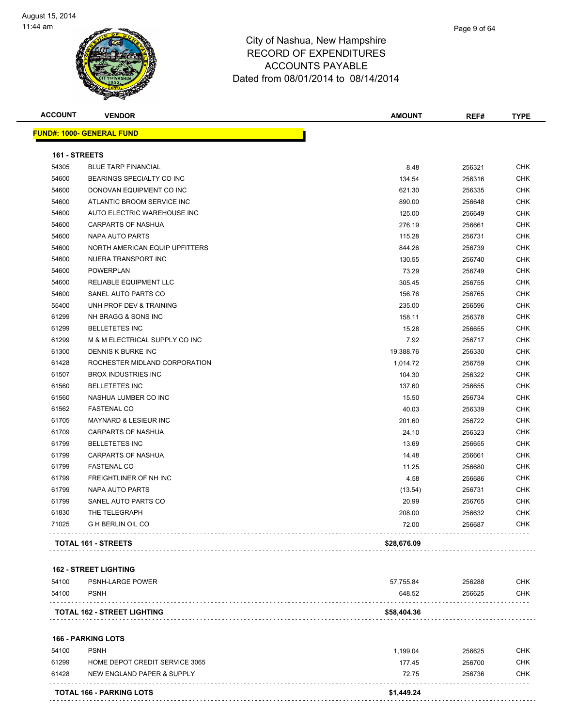

| <b>ACCOUNT</b>       | <b>VENDOR</b>                      | <b>AMOUNT</b> | REF#   | <b>TYPE</b> |
|----------------------|------------------------------------|---------------|--------|-------------|
|                      | <b>FUND#: 1000- GENERAL FUND</b>   |               |        |             |
| <b>161 - STREETS</b> |                                    |               |        |             |
| 54305                | <b>BLUE TARP FINANCIAL</b>         | 8.48          | 256321 | <b>CHK</b>  |
| 54600                | BEARINGS SPECIALTY CO INC          | 134.54        | 256316 | <b>CHK</b>  |
| 54600                | DONOVAN EQUIPMENT CO INC           | 621.30        | 256335 | <b>CHK</b>  |
| 54600                | ATLANTIC BROOM SERVICE INC         | 890.00        | 256648 | <b>CHK</b>  |
| 54600                | AUTO ELECTRIC WAREHOUSE INC        | 125.00        | 256649 | <b>CHK</b>  |
| 54600                | <b>CARPARTS OF NASHUA</b>          | 276.19        | 256661 | <b>CHK</b>  |
| 54600                | <b>NAPA AUTO PARTS</b>             | 115.28        | 256731 | <b>CHK</b>  |
| 54600                | NORTH AMERICAN EQUIP UPFITTERS     | 844.26        | 256739 | <b>CHK</b>  |
| 54600                | NUERA TRANSPORT INC                | 130.55        | 256740 | <b>CHK</b>  |
| 54600                | POWERPLAN                          | 73.29         | 256749 | CHK         |
| 54600                | RELIABLE EQUIPMENT LLC             | 305.45        | 256755 | CHK         |
| 54600                | SANEL AUTO PARTS CO                | 156.76        | 256765 | <b>CHK</b>  |
| 55400                | UNH PROF DEV & TRAINING            | 235.00        | 256596 | CHK         |
| 61299                | NH BRAGG & SONS INC                | 158.11        | 256378 | <b>CHK</b>  |
| 61299                | <b>BELLETETES INC</b>              | 15.28         | 256655 | <b>CHK</b>  |
| 61299                | M & M ELECTRICAL SUPPLY CO INC     | 7.92          | 256717 | <b>CHK</b>  |
| 61300                | DENNIS K BURKE INC                 | 19,388.76     | 256330 | CHK         |
| 61428                | ROCHESTER MIDLAND CORPORATION      | 1,014.72      | 256759 | <b>CHK</b>  |
| 61507                | <b>BROX INDUSTRIES INC</b>         | 104.30        | 256322 | <b>CHK</b>  |
| 61560                | <b>BELLETETES INC</b>              | 137.60        | 256655 | <b>CHK</b>  |
| 61560                | NASHUA LUMBER CO INC               | 15.50         | 256734 | <b>CHK</b>  |
| 61562                | <b>FASTENAL CO</b>                 | 40.03         | 256339 | CHK         |
| 61705                | <b>MAYNARD &amp; LESIEUR INC</b>   | 201.60        | 256722 | <b>CHK</b>  |
| 61709                | CARPARTS OF NASHUA                 | 24.10         | 256323 | <b>CHK</b>  |
| 61799                | <b>BELLETETES INC</b>              | 13.69         | 256655 | <b>CHK</b>  |
| 61799                | CARPARTS OF NASHUA                 | 14.48         | 256661 | <b>CHK</b>  |
| 61799                | <b>FASTENAL CO</b>                 | 11.25         | 256680 | <b>CHK</b>  |
| 61799                | FREIGHTLINER OF NH INC             | 4.58          | 256686 | CHK         |
| 61799                | NAPA AUTO PARTS                    | (13.54)       | 256731 | CHK         |
| 61799                | SANEL AUTO PARTS CO                | 20.99         | 256765 | <b>CHK</b>  |
| 61830                | THE TELEGRAPH                      | 208.00        | 256632 | CHK         |
| 71025                | <b>G H BERLIN OIL CO</b>           | 72.00         | 256687 | <b>CHK</b>  |
|                      | TOTAL 161 - STREETS                | \$28,676.09   |        |             |
|                      | <b>162 - STREET LIGHTING</b>       |               |        |             |
| 54100                | PSNH-LARGE POWER                   | 57,755.84     | 256288 | <b>CHK</b>  |
| 54100                | <b>PSNH</b>                        | 648.52        | 256625 | <b>CHK</b>  |
|                      | <b>TOTAL 162 - STREET LIGHTING</b> | \$58,404.36   |        |             |
|                      |                                    |               |        |             |
|                      | <b>166 - PARKING LOTS</b>          |               |        |             |

|       | <b>TOTAL 166 - PARKING LOTS</b> | \$1,449.24 |        |     |
|-------|---------------------------------|------------|--------|-----|
| 61428 | NEW ENGLAND PAPER & SUPPLY      | 72.75      | 256736 | СНК |
| 61299 | HOME DEPOT CREDIT SERVICE 3065  | 177.45     | 256700 | СНК |
| 54100 | <b>PSNH</b>                     | 1.199.04   | 256625 | CHK |
|       |                                 |            |        |     |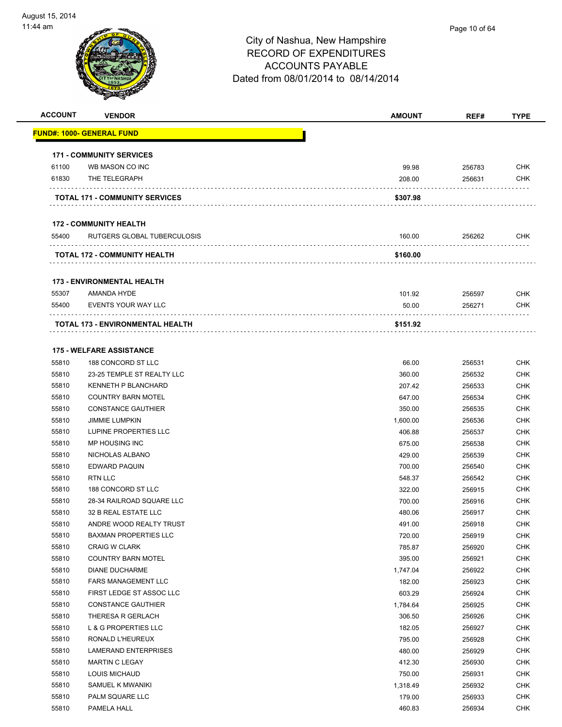

| <b>ACCOUNT</b> | <b>VENDOR</b>                         | <b>AMOUNT</b> | REF#   | <b>TYPE</b> |
|----------------|---------------------------------------|---------------|--------|-------------|
|                | <b>FUND#: 1000- GENERAL FUND</b>      |               |        |             |
|                |                                       |               |        |             |
|                | <b>171 - COMMUNITY SERVICES</b>       |               |        |             |
| 61100          | WB MASON CO INC                       | 99.98         | 256783 | <b>CHK</b>  |
| 61830          | THE TELEGRAPH                         | 208.00        | 256631 | <b>CHK</b>  |
|                | <b>TOTAL 171 - COMMUNITY SERVICES</b> | \$307.98      |        |             |
|                | <b>172 - COMMUNITY HEALTH</b>         |               |        |             |
| 55400          | RUTGERS GLOBAL TUBERCULOSIS           | 160.00        | 256262 | <b>CHK</b>  |
|                | <b>TOTAL 172 - COMMUNITY HEALTH</b>   | \$160.00      |        |             |
|                | <b>173 - ENVIRONMENTAL HEALTH</b>     |               |        |             |
| 55307          | AMANDA HYDE                           | 101.92        | 256597 | <b>CHK</b>  |
| 55400          | EVENTS YOUR WAY LLC                   | 50.00         | 256271 | <b>CHK</b>  |
|                | .<br>TOTAL 173 - ENVIRONMENTAL HEALTH | \$151.92      |        |             |
|                |                                       |               |        |             |
|                | <b>175 - WELFARE ASSISTANCE</b>       |               |        |             |
| 55810          | 188 CONCORD ST LLC                    | 66.00         | 256531 | <b>CHK</b>  |
| 55810          | 23-25 TEMPLE ST REALTY LLC            | 360.00        | 256532 | <b>CHK</b>  |
| 55810          | <b>KENNETH P BLANCHARD</b>            | 207.42        | 256533 | <b>CHK</b>  |
| 55810          | <b>COUNTRY BARN MOTEL</b>             | 647.00        | 256534 | <b>CHK</b>  |
| 55810          | <b>CONSTANCE GAUTHIER</b>             | 350.00        | 256535 | CHK         |
| 55810          | <b>JIMMIE LUMPKIN</b>                 | 1,600.00      | 256536 | <b>CHK</b>  |
| 55810          | LUPINE PROPERTIES LLC                 | 406.88        | 256537 | <b>CHK</b>  |
| 55810          | MP HOUSING INC                        | 675.00        | 256538 | <b>CHK</b>  |
| 55810          | NICHOLAS ALBANO                       | 429.00        | 256539 | <b>CHK</b>  |
| 55810          | EDWARD PAQUIN                         | 700.00        | 256540 | <b>CHK</b>  |
| 55810          | <b>RTN LLC</b>                        | 548.37        | 256542 | <b>CHK</b>  |
| 55810          | 188 CONCORD ST LLC                    | 322.00        | 256915 | <b>CHK</b>  |
| 55810          | 28-34 RAILROAD SQUARE LLC             | 700.00        | 256916 | CHK         |
| 55810          | 32 B REAL ESTATE LLC                  | 480.06        | 256917 | CHK         |
| 55810          | ANDRE WOOD REALTY TRUST               | 491.00        | 256918 | <b>CHK</b>  |
| 55810          | <b>BAXMAN PROPERTIES LLC</b>          | 720.00        | 256919 | <b>CHK</b>  |
| 55810          | <b>CRAIG W CLARK</b>                  | 785.87        | 256920 | <b>CHK</b>  |
| 55810          | <b>COUNTRY BARN MOTEL</b>             | 395.00        | 256921 | <b>CHK</b>  |
| 55810          | <b>DIANE DUCHARME</b>                 | 1,747.04      | 256922 | <b>CHK</b>  |
| 55810          | <b>FARS MANAGEMENT LLC</b>            | 182.00        | 256923 | <b>CHK</b>  |
| 55810          | FIRST LEDGE ST ASSOC LLC              | 603.29        | 256924 | <b>CHK</b>  |
| 55810          | <b>CONSTANCE GAUTHIER</b>             | 1,784.64      | 256925 | <b>CHK</b>  |
| 55810          | THERESA R GERLACH                     | 306.50        | 256926 | <b>CHK</b>  |
| 55810          | L & G PROPERTIES LLC                  | 182.05        | 256927 | <b>CHK</b>  |
| 55810          | RONALD L'HEUREUX                      | 795.00        | 256928 | CHK         |
| 55810          | <b>LAMERAND ENTERPRISES</b>           | 480.00        | 256929 | <b>CHK</b>  |
| 55810          | MARTIN C LEGAY                        | 412.30        | 256930 | <b>CHK</b>  |
| 55810          | LOUIS MICHAUD                         | 750.00        | 256931 | <b>CHK</b>  |
| 55810          | SAMUEL K MWANIKI                      | 1,318.49      | 256932 | <b>CHK</b>  |
| 55810          | PALM SQUARE LLC                       | 179.00        | 256933 | <b>CHK</b>  |
| 55810          | PAMELA HALL                           | 460.83        | 256934 | <b>CHK</b>  |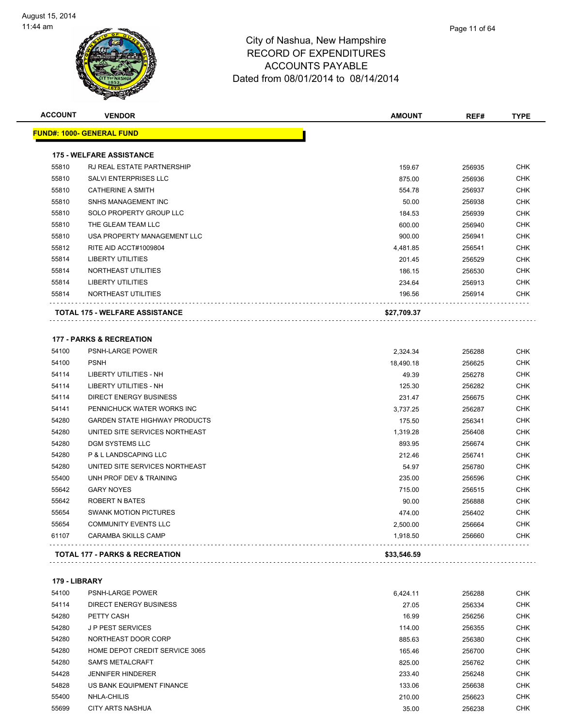

| <b>ACCOUNT</b> | <b>VENDOR</b>                         | <b>AMOUNT</b> | REF#   | <b>TYPE</b> |
|----------------|---------------------------------------|---------------|--------|-------------|
|                | <u> FUND#: 1000- GENERAL FUND</u>     |               |        |             |
|                | <b>175 - WELFARE ASSISTANCE</b>       |               |        |             |
| 55810          | <b>RJ REAL ESTATE PARTNERSHIP</b>     | 159.67        | 256935 | <b>CHK</b>  |
| 55810          | SALVI ENTERPRISES LLC                 | 875.00        | 256936 | <b>CHK</b>  |
| 55810          | <b>CATHERINE A SMITH</b>              | 554.78        | 256937 | <b>CHK</b>  |
| 55810          | SNHS MANAGEMENT INC                   | 50.00         | 256938 | <b>CHK</b>  |
| 55810          | SOLO PROPERTY GROUP LLC               | 184.53        | 256939 | <b>CHK</b>  |
| 55810          | THE GLEAM TEAM LLC                    | 600.00        | 256940 | <b>CHK</b>  |
| 55810          | USA PROPERTY MANAGEMENT LLC           | 900.00        | 256941 | <b>CHK</b>  |
| 55812          | RITE AID ACCT#1009804                 | 4,481.85      | 256541 | <b>CHK</b>  |
| 55814          | <b>LIBERTY UTILITIES</b>              | 201.45        | 256529 | <b>CHK</b>  |
| 55814          | NORTHEAST UTILITIES                   | 186.15        | 256530 | <b>CHK</b>  |
| 55814          | <b>LIBERTY UTILITIES</b>              | 234.64        | 256913 | <b>CHK</b>  |
| 55814          | NORTHEAST UTILITIES                   | 196.56        | 256914 | CHK         |
|                | <b>TOTAL 175 - WELFARE ASSISTANCE</b> | \$27,709.37   |        |             |
|                |                                       |               |        |             |
|                | <b>177 - PARKS &amp; RECREATION</b>   |               |        |             |
| 54100          | PSNH-LARGE POWER                      | 2,324.34      | 256288 | <b>CHK</b>  |
| 54100          | <b>PSNH</b>                           | 18,490.18     | 256625 | <b>CHK</b>  |
| 54114          | <b>LIBERTY UTILITIES - NH</b>         | 49.39         | 256278 | <b>CHK</b>  |
| 54114          | LIBERTY UTILITIES - NH                | 125.30        | 256282 | <b>CHK</b>  |
| 54114          | DIRECT ENERGY BUSINESS                | 231.47        | 256675 | <b>CHK</b>  |
| 54141          | PENNICHUCK WATER WORKS INC            | 3,737.25      | 256287 | <b>CHK</b>  |
| 54280          | <b>GARDEN STATE HIGHWAY PRODUCTS</b>  | 175.50        | 256341 | <b>CHK</b>  |
| 54280          | UNITED SITE SERVICES NORTHEAST        | 1,319.28      | 256408 | <b>CHK</b>  |
| 54280          | <b>DGM SYSTEMS LLC</b>                | 893.95        | 256674 | <b>CHK</b>  |
| 54280          | P & L LANDSCAPING LLC                 | 212.46        | 256741 | <b>CHK</b>  |
| 54280          | UNITED SITE SERVICES NORTHEAST        | 54.97         | 256780 | <b>CHK</b>  |
| 55400          | UNH PROF DEV & TRAINING               | 235.00        | 256596 | <b>CHK</b>  |
| 55642          | <b>GARY NOYES</b>                     | 715.00        | 256515 | <b>CHK</b>  |
| 55642          | ROBERT N BATES                        | 90.00         | 256888 | <b>CHK</b>  |
| 55654          | <b>SWANK MOTION PICTURES</b>          | 474.00        | 256402 | <b>CHK</b>  |
| 55654          | <b>COMMUNITY EVENTS LLC</b>           | 2,500.00      | 256664 | <b>CHK</b>  |
| 61107          | CARAMBA SKILLS CAMP                   | 1,918.50      | 256660 | <b>CHK</b>  |
|                | TOTAL 177 - PARKS & RECREATION        | \$33,546.59   |        |             |
| 179 - LIBRARY  |                                       |               |        |             |
| 54100          | <b>PSNH-LARGE POWER</b>               | 6,424.11      | 256288 | <b>CHK</b>  |
| 54114          | <b>DIRECT ENERGY BUSINESS</b>         |               |        | <b>CHK</b>  |
|                | PETTY CASH                            | 27.05         | 256334 | <b>CHK</b>  |
| 54280          |                                       | 16.99         | 256256 |             |
| 54280          | <b>JP PEST SERVICES</b>               | 114.00        | 256355 | <b>CHK</b>  |
| 54280          | NORTHEAST DOOR CORP                   | 885.63        | 256380 | <b>CHK</b>  |

| 54280 | <b>JP PEST SERVICES</b>        | 114.00 | 256355 | <b>CHK</b> |
|-------|--------------------------------|--------|--------|------------|
| 54280 | NORTHEAST DOOR CORP            | 885.63 | 256380 | <b>CHK</b> |
| 54280 | HOME DEPOT CREDIT SERVICE 3065 | 165.46 | 256700 | CHK        |
| 54280 | <b>SAM'S METALCRAFT</b>        | 825.00 | 256762 | <b>CHK</b> |
| 54428 | <b>JENNIFER HINDERER</b>       | 233.40 | 256248 | <b>CHK</b> |
| 54828 | US BANK EQUIPMENT FINANCE      | 133.06 | 256638 | <b>CHK</b> |
| 55400 | NHLA-CHILIS                    | 210.00 | 256623 | <b>CHK</b> |
| 55699 | CITY ARTS NASHUA               | 35.00  | 256238 | <b>CHK</b> |
|       |                                |        |        |            |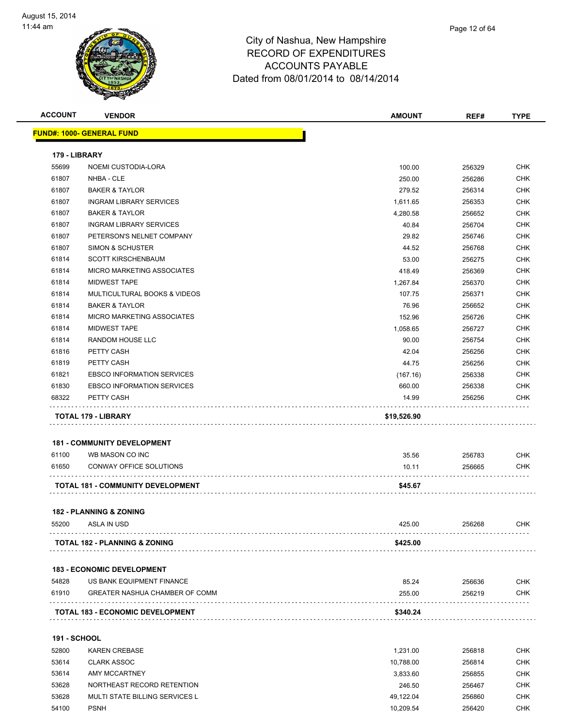

| <b>ACCOUNT</b>         | <b>VENDOR</b>                            | <b>AMOUNT</b>        | REF#             | <b>TYPE</b>              |
|------------------------|------------------------------------------|----------------------|------------------|--------------------------|
|                        | FUND#: 1000- GENERAL FUND                |                      |                  |                          |
|                        |                                          |                      |                  |                          |
| 179 - LIBRARY<br>55699 |                                          | 100.00               |                  | <b>CHK</b>               |
| 61807                  | NOEMI CUSTODIA-LORA<br>NHBA - CLE        |                      | 256329           | <b>CHK</b>               |
| 61807                  | <b>BAKER &amp; TAYLOR</b>                | 250.00<br>279.52     | 256286<br>256314 | <b>CHK</b>               |
| 61807                  | <b>INGRAM LIBRARY SERVICES</b>           |                      | 256353           | <b>CHK</b>               |
| 61807                  | <b>BAKER &amp; TAYLOR</b>                | 1,611.65<br>4,280.58 | 256652           | <b>CHK</b>               |
| 61807                  | <b>INGRAM LIBRARY SERVICES</b>           | 40.84                | 256704           | <b>CHK</b>               |
| 61807                  | PETERSON'S NELNET COMPANY                | 29.82                | 256746           | <b>CHK</b>               |
| 61807                  | <b>SIMON &amp; SCHUSTER</b>              | 44.52                | 256768           | <b>CHK</b>               |
| 61814                  | <b>SCOTT KIRSCHENBAUM</b>                | 53.00                | 256275           | <b>CHK</b>               |
| 61814                  | <b>MICRO MARKETING ASSOCIATES</b>        | 418.49               | 256369           | <b>CHK</b>               |
| 61814                  | <b>MIDWEST TAPE</b>                      | 1,267.84             | 256370           | <b>CHK</b>               |
| 61814                  | MULTICULTURAL BOOKS & VIDEOS             | 107.75               | 256371           | <b>CHK</b>               |
| 61814                  | <b>BAKER &amp; TAYLOR</b>                | 76.96                | 256652           | <b>CHK</b>               |
| 61814                  | MICRO MARKETING ASSOCIATES               | 152.96               | 256726           | <b>CHK</b>               |
| 61814                  | <b>MIDWEST TAPE</b>                      | 1,058.65             | 256727           | <b>CHK</b>               |
| 61814                  | <b>RANDOM HOUSE LLC</b>                  | 90.00                | 256754           | <b>CHK</b>               |
| 61816                  | PETTY CASH                               | 42.04                | 256256           | <b>CHK</b>               |
| 61819                  | PETTY CASH                               | 44.75                | 256256           | <b>CHK</b>               |
| 61821                  | <b>EBSCO INFORMATION SERVICES</b>        | (167.16)             | 256338           | <b>CHK</b>               |
| 61830                  | <b>EBSCO INFORMATION SERVICES</b>        | 660.00               | 256338           | <b>CHK</b>               |
| 68322                  | PETTY CASH                               | 14.99                | 256256           | <b>CHK</b>               |
|                        |                                          |                      |                  |                          |
|                        | <b>TOTAL 179 - LIBRARY</b>               | \$19,526.90          |                  |                          |
|                        | <b>181 - COMMUNITY DEVELOPMENT</b>       |                      |                  |                          |
| 61100                  | WB MASON CO INC                          | 35.56                | 256783           | <b>CHK</b>               |
| 61650                  | CONWAY OFFICE SOLUTIONS                  | 10.11                | 256665           | <b>CHK</b>               |
|                        | TOTAL 181 - COMMUNITY DEVELOPMENT        | \$45.67              |                  |                          |
|                        |                                          |                      |                  |                          |
|                        | <b>182 - PLANNING &amp; ZONING</b>       |                      |                  |                          |
| 55200                  | ASLA IN USD                              | 425.00               | 256268           | <b>CHK</b>               |
|                        | <b>TOTAL 182 - PLANNING &amp; ZONING</b> | \$425.00             |                  |                          |
|                        |                                          |                      |                  |                          |
|                        | <b>183 - ECONOMIC DEVELOPMENT</b>        |                      |                  |                          |
| 54828                  | US BANK EQUIPMENT FINANCE                | 85.24                | 256636           | <b>CHK</b>               |
| 61910                  | <b>GREATER NASHUA CHAMBER OF COMM</b>    | 255.00               | 256219           | <b>CHK</b>               |
|                        | <b>TOTAL 183 - ECONOMIC DEVELOPMENT</b>  | \$340.24             |                  |                          |
| <b>191 - SCHOOL</b>    |                                          |                      |                  |                          |
| 52800                  | <b>KAREN CREBASE</b>                     |                      |                  | <b>CHK</b>               |
|                        |                                          | 1,231.00             | 256818           |                          |
| 53614<br>53614         | <b>CLARK ASSOC</b><br>AMY MCCARTNEY      | 10,788.00            | 256814           | <b>CHK</b>               |
| 53628                  | NORTHEAST RECORD RETENTION               | 3,833.60<br>246.50   | 256855           | <b>CHK</b><br><b>CHK</b> |
| 53628                  | MULTI STATE BILLING SERVICES L           | 49,122.04            | 256467<br>256860 | <b>CHK</b>               |
|                        |                                          |                      |                  |                          |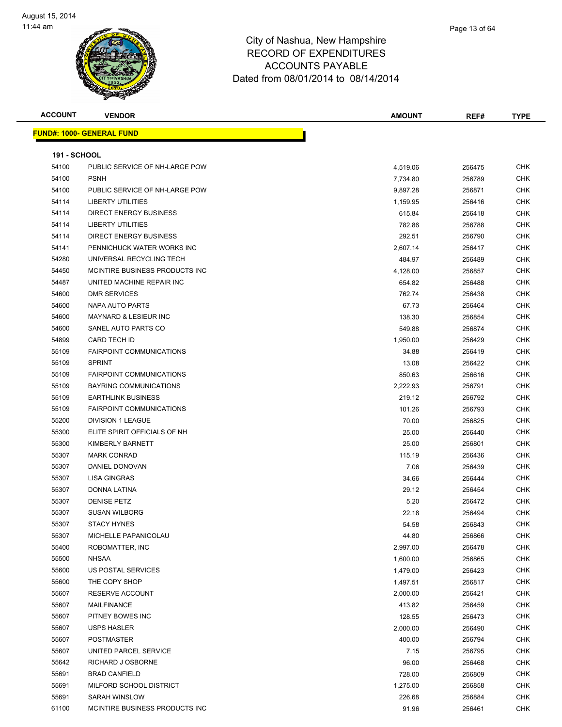

**ACCOUNT VENDOR AMOUNT REF# TYPE FUND#: 1000- GENERAL FUND 191 - SCHOOL** PUBLIC SERVICE OF NH-LARGE POW 4,519.06 256475 CHK PSNH 7,734.80 256789 CHK PUBLIC SERVICE OF NH-LARGE POW 9,897.28 256871 CHK LIBERTY UTILITIES 1,159.95 256416 CHK DIRECT ENERGY BUSINESS 615.84 256418 CHK LIBERTY UTILITIES 782.86 256788 CHK DIRECT ENERGY BUSINESS 292.51 256790 CHK PENNICHUCK WATER WORKS INC 2,607.14 256417 CHK UNIVERSAL RECYCLING TECH 484.97 256489 CHK MCINTIRE BUSINESS PRODUCTS INC 4,128.00 256857 CHK UNITED MACHINE REPAIR INC 654.82 256488 CHK DMR SERVICES 762.74 256438 CHK NAPA AUTO PARTS 67.73 256464 CHK MAYNARD & LESIEUR INC 138.30 256854 CHK SANEL AUTO PARTS CO 549.88 256874 CHK CARD TECH ID 1,950.00 256429 CHK FAIRPOINT COMMUNICATIONS 34.88 256419 CHK SPRINT 13.08 256422 CHK FAIRPOINT COMMUNICATIONS 850.63 256616 CHK BAYRING COMMUNICATIONS 2,222.93 256791 CHK EARTHLINK BUSINESS 219.12 256792 CHK FAIRPOINT COMMUNICATIONS 101.26 256793 CHK DIVISION 1 LEAGUE 70.00 256825 CHK ELITE SPIRIT OFFICIALS OF NH 25.00 256440 CHK KIMBERLY BARNETT 25.00 256801 CHK MARK CONRAD 115.19 256436 CHK DANIEL DONOVAN 7.06 256439 CHK LISA GINGRAS 34.66 256444 CHK DONNA LATINA 29.12 256454 CHK 55307 DENISE PETZ 5.20 256472 CHK SUSAN WILBORG 22.18 256494 CHK STACY HYNES 54.58 256843 CHK MICHELLE PAPANICOLAU 44.80 256866 CHK ROBOMATTER, INC 2,997.00 256478 CHK NHSAA 1,600.00 256865 CHK US POSTAL SERVICES 1,479.00 256423 CHK THE COPY SHOP 1,497.51 256817 CHK RESERVE ACCOUNT 2,000.00 256421 CHK MAILFINANCE 413.82 256459 CHK PITNEY BOWES INC 128.55 256473 CHK USPS HASLER 2,000.00 256490 CHK 55607 POSTMASTER 400.00 256794 CHK 55607 UNITED PARCEL SERVICE **The CHK SERVICE SERVICE** 1 256795 CHK RICHARD J OSBORNE 96.00 256468 CHK

 BRAD CANFIELD 728.00 256809 CHK MILFORD SCHOOL DISTRICT 1,275.00 256858 CHK SARAH WINSLOW 226.68 256884 CHK 61100 MCINTIRE BUSINESS PRODUCTS INC CONTROL CONTROL CONTROL DESCRIPTION OF PROPERTY AND RESERVE THE SERVER OF STREET AND RESERVE THE SERVER OF STREET AND RESERVE THE SERVER OF STREET AND RESERVE THE SERVER OF STREET AND R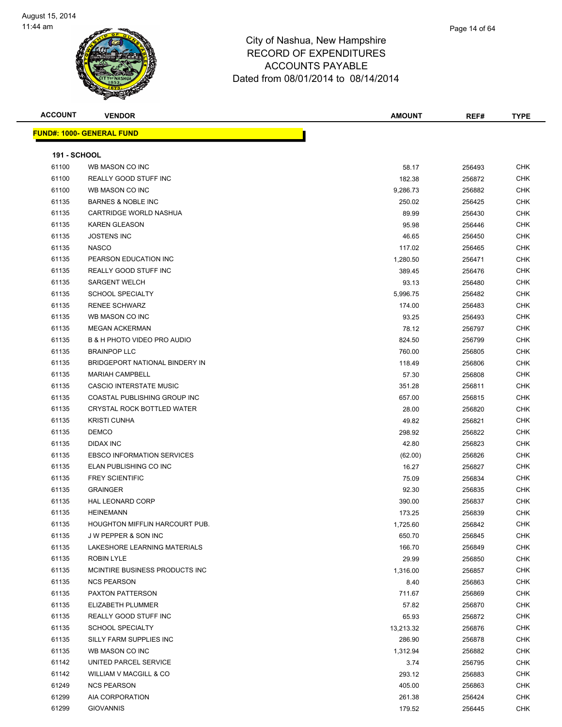

| Page 14 of 64 |  |
|---------------|--|
|               |  |
|               |  |

| <b>ACCOUNT</b>      | <b>VENDOR</b>                          | AMOUNT    | REF#   | <b>TYPE</b> |
|---------------------|----------------------------------------|-----------|--------|-------------|
|                     | <b>FUND#: 1000- GENERAL FUND</b>       |           |        |             |
|                     |                                        |           |        |             |
| <b>191 - SCHOOL</b> |                                        |           |        |             |
| 61100               | WB MASON CO INC                        | 58.17     | 256493 | <b>CHK</b>  |
| 61100               | REALLY GOOD STUFF INC                  | 182.38    | 256872 | <b>CHK</b>  |
| 61100               | WB MASON CO INC                        | 9,286.73  | 256882 | <b>CHK</b>  |
| 61135               | <b>BARNES &amp; NOBLE INC</b>          | 250.02    | 256425 | CHK         |
| 61135               | CARTRIDGE WORLD NASHUA                 | 89.99     | 256430 | CHK         |
| 61135               | <b>KAREN GLEASON</b>                   | 95.98     | 256446 | CHK         |
| 61135               | <b>JOSTENS INC</b>                     | 46.65     | 256450 | <b>CHK</b>  |
| 61135               | <b>NASCO</b>                           | 117.02    | 256465 | <b>CHK</b>  |
| 61135               | PEARSON EDUCATION INC                  | 1,280.50  | 256471 | CHK         |
| 61135               | REALLY GOOD STUFF INC                  | 389.45    | 256476 | CHK         |
| 61135               | <b>SARGENT WELCH</b>                   | 93.13     | 256480 | CHK         |
| 61135               | <b>SCHOOL SPECIALTY</b>                | 5,996.75  | 256482 | CHK         |
| 61135               | <b>RENEE SCHWARZ</b>                   | 174.00    | 256483 | CHK         |
| 61135               | WB MASON CO INC                        | 93.25     | 256493 | CHK         |
| 61135               | <b>MEGAN ACKERMAN</b>                  | 78.12     | 256797 | <b>CHK</b>  |
| 61135               | <b>B &amp; H PHOTO VIDEO PRO AUDIO</b> | 824.50    | 256799 | CHK         |
| 61135               | <b>BRAINPOP LLC</b>                    | 760.00    | 256805 | CHK         |
| 61135               | BRIDGEPORT NATIONAL BINDERY IN         | 118.49    | 256806 | <b>CHK</b>  |
| 61135               | <b>MARIAH CAMPBELL</b>                 | 57.30     | 256808 | CHK         |
| 61135               | CASCIO INTERSTATE MUSIC                | 351.28    | 256811 | <b>CHK</b>  |
| 61135               | COASTAL PUBLISHING GROUP INC           | 657.00    | 256815 | <b>CHK</b>  |
| 61135               | CRYSTAL ROCK BOTTLED WATER             | 28.00     | 256820 | <b>CHK</b>  |
| 61135               | <b>KRISTI CUNHA</b>                    | 49.82     | 256821 | CHK         |
| 61135               | <b>DEMCO</b>                           | 298.92    | 256822 | <b>CHK</b>  |
| 61135               | <b>DIDAX INC</b>                       | 42.80     | 256823 | CHK         |
| 61135               | <b>EBSCO INFORMATION SERVICES</b>      | (62.00)   | 256826 | <b>CHK</b>  |
| 61135               | ELAN PUBLISHING CO INC                 | 16.27     | 256827 | CHK         |
| 61135               | <b>FREY SCIENTIFIC</b>                 | 75.09     | 256834 | CHK         |
| 61135               | <b>GRAINGER</b>                        | 92.30     | 256835 | <b>CHK</b>  |
| 61135               | HAL LEONARD CORP                       | 390.00    | 256837 | <b>CHK</b>  |
| 61135               | <b>HEINEMANN</b>                       | 173.25    | 256839 | <b>CHK</b>  |
| 61135               | HOUGHTON MIFFLIN HARCOURT PUB.         | 1,725.60  | 256842 | <b>CHK</b>  |
| 61135               | <b>JW PEPPER &amp; SON INC</b>         | 650.70    | 256845 | <b>CHK</b>  |
| 61135               | LAKESHORE LEARNING MATERIALS           | 166.70    | 256849 | CHK         |
| 61135               | ROBIN LYLE                             | 29.99     | 256850 | <b>CHK</b>  |
| 61135               | MCINTIRE BUSINESS PRODUCTS INC.        | 1,316.00  | 256857 | <b>CHK</b>  |
| 61135               | <b>NCS PEARSON</b>                     | 8.40      | 256863 | <b>CHK</b>  |
| 61135               | PAXTON PATTERSON                       | 711.67    | 256869 | CHK         |
| 61135               | ELIZABETH PLUMMER                      | 57.82     | 256870 | CHK         |
| 61135               | REALLY GOOD STUFF INC                  | 65.93     | 256872 | CHK         |
| 61135               | <b>SCHOOL SPECIALTY</b>                | 13,213.32 | 256876 | <b>CHK</b>  |
| 61135               | SILLY FARM SUPPLIES INC                | 286.90    | 256878 | CHK         |
| 61135               | WB MASON CO INC                        | 1,312.94  | 256882 | CHK         |
| 61142               | UNITED PARCEL SERVICE                  | 3.74      | 256795 | CHK         |
| 61142               | WILLIAM V MACGILL & CO                 | 293.12    | 256883 | CHK         |
| 61249               | <b>NCS PEARSON</b>                     | 405.00    | 256863 | CHK         |
| 61299               | AIA CORPORATION                        | 261.38    | 256424 | CHK         |
| 61299               | <b>GIOVANNIS</b>                       | 179.52    | 256445 | CHK         |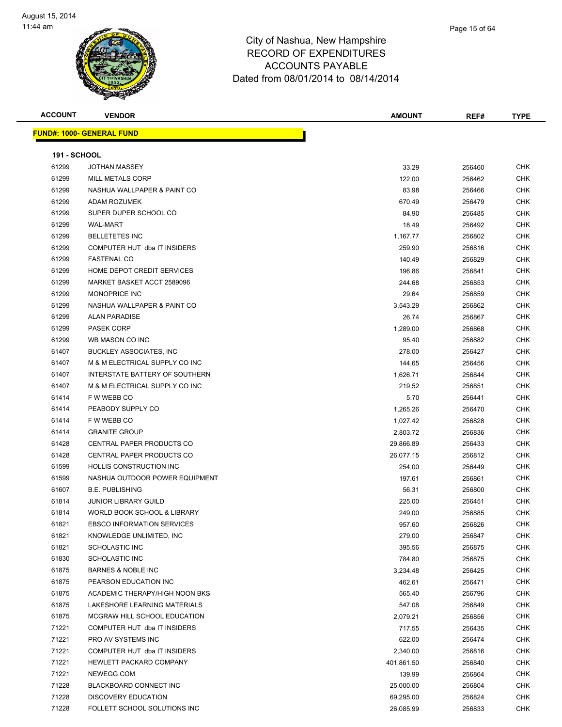

| Page 15 of 64 |  |
|---------------|--|
|               |  |
|               |  |

| <b>ACCOUNT</b>      | <b>VENDOR</b>                     | <b>AMOUNT</b>      | REF#             | <b>TYPE</b> |
|---------------------|-----------------------------------|--------------------|------------------|-------------|
|                     | <b>FUND#: 1000- GENERAL FUND</b>  |                    |                  |             |
|                     |                                   |                    |                  |             |
| <b>191 - SCHOOL</b> |                                   |                    |                  |             |
| 61299               | <b>JOTHAN MASSEY</b>              | 33.29              | 256460           | <b>CHK</b>  |
| 61299               | <b>MILL METALS CORP</b>           | 122.00             | 256462           | CHK         |
| 61299               | NASHUA WALLPAPER & PAINT CO       | 83.98              | 256466           | <b>CHK</b>  |
| 61299               | ADAM ROZUMEK                      | 670.49             | 256479           | CHK         |
| 61299               | SUPER DUPER SCHOOL CO             | 84.90              | 256485           | <b>CHK</b>  |
| 61299               | <b>WAL-MART</b>                   | 18.49              | 256492           | CHK         |
| 61299               | <b>BELLETETES INC</b>             | 1,167.77           | 256802           | CHK         |
| 61299               | COMPUTER HUT dba IT INSIDERS      | 259.90             | 256816           | CHK         |
| 61299               | <b>FASTENAL CO</b>                | 140.49             | 256829           | CHK         |
| 61299               | HOME DEPOT CREDIT SERVICES        | 196.86             | 256841           | CHK         |
| 61299               | MARKET BASKET ACCT 2589096        | 244.68             | 256853           | CHK         |
| 61299               | <b>MONOPRICE INC</b>              | 29.64              | 256859           | CHK         |
| 61299               | NASHUA WALLPAPER & PAINT CO       | 3,543.29           | 256862           | CHK         |
| 61299               | <b>ALAN PARADISE</b>              | 26.74              | 256867           | <b>CHK</b>  |
| 61299               | <b>PASEK CORP</b>                 | 1,289.00           | 256868           | <b>CHK</b>  |
| 61299               | WB MASON CO INC                   | 95.40              | 256882           | <b>CHK</b>  |
| 61407               | <b>BUCKLEY ASSOCIATES, INC</b>    | 278.00             | 256427           | CHK         |
| 61407               | M & M ELECTRICAL SUPPLY CO INC    | 144.65             | 256456           | CHK         |
| 61407               | INTERSTATE BATTERY OF SOUTHERN    | 1,626.71           | 256844           | CHK         |
| 61407               | M & M ELECTRICAL SUPPLY CO INC    | 219.52             | 256851           | CHK         |
| 61414               | F W WEBB CO                       | 5.70               | 256441           | CHK         |
| 61414               | PEABODY SUPPLY CO                 | 1,265.26           | 256470           | <b>CHK</b>  |
| 61414               | F W WEBB CO                       | 1,027.42           | 256828           | CHK         |
| 61414               | <b>GRANITE GROUP</b>              | 2,803.72           | 256836           | CHK         |
| 61428               | CENTRAL PAPER PRODUCTS CO         | 29,866.89          | 256433           | <b>CHK</b>  |
| 61428               | CENTRAL PAPER PRODUCTS CO         | 26,077.15          | 256812           | CHK         |
| 61599               | <b>HOLLIS CONSTRUCTION INC.</b>   | 254.00             | 256449           | CHK         |
| 61599               | NASHUA OUTDOOR POWER EQUIPMENT    | 197.61             | 256861           | CHK         |
| 61607               | <b>B.E. PUBLISHING</b>            | 56.31              | 256800           | CHK         |
| 61814               | <b>JUNIOR LIBRARY GUILD</b>       | 225.00             | 256451           | CHK         |
| 61814               | WORLD BOOK SCHOOL & LIBRARY       | 249.00             | 256885           | CHK         |
| 61821               | <b>EBSCO INFORMATION SERVICES</b> | 957.60             | 256826           | <b>CHK</b>  |
| 61821               | KNOWLEDGE UNLIMITED, INC          | 279.00             | 256847           | CHK         |
| 61821               | <b>SCHOLASTIC INC</b>             | 395.56             | 256875           | CHK         |
| 61830               | SCHOLASTIC INC                    | 784.80             | 256875           | <b>CHK</b>  |
| 61875               | <b>BARNES &amp; NOBLE INC</b>     |                    |                  | CHK         |
| 61875               | PEARSON EDUCATION INC             | 3,234.48<br>462.61 | 256425<br>256471 | <b>CHK</b>  |
| 61875               | ACADEMIC THERAPY/HIGH NOON BKS    |                    |                  | <b>CHK</b>  |
| 61875               | LAKESHORE LEARNING MATERIALS      | 565.40             | 256796           |             |
|                     |                                   | 547.08             | 256849           | CHK         |
| 61875               | MCGRAW HILL SCHOOL EDUCATION      | 2,079.21           | 256856           | CHK         |
| 71221               | COMPUTER HUT dba IT INSIDERS      | 717.55             | 256435           | <b>CHK</b>  |
| 71221               | PRO AV SYSTEMS INC                | 622.00             | 256474           | CHK         |
| 71221               | COMPUTER HUT dba IT INSIDERS      | 2,340.00           | 256816           | CHK         |
| 71221               | HEWLETT PACKARD COMPANY           | 401,861.50         | 256840           | CHK         |
| 71221               | NEWEGG.COM                        | 139.99             | 256864           | CHK         |
| 71228               | BLACKBOARD CONNECT INC            | 25,000.00          | 256804           | CHK         |
| 71228               | <b>DISCOVERY EDUCATION</b>        | 69,295.00          | 256824           | CHK         |
| 71228               | FOLLETT SCHOOL SOLUTIONS INC      | 26,085.99          | 256833           | <b>CHK</b>  |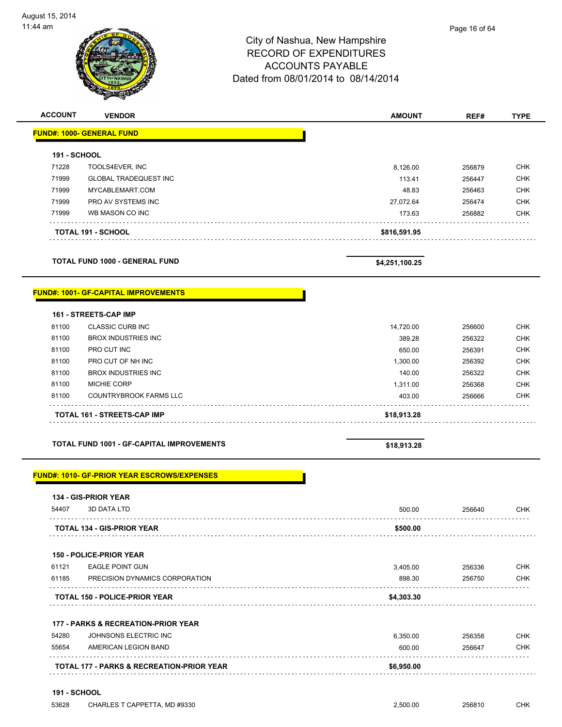| :44 am         |                                             | City of Nashua, New Hampshire<br><b>RECORD OF EXPENDITURES</b><br><b>ACCOUNTS PAYABLE</b><br>Dated from 08/01/2014 to 08/14/2014 | Page 16 of 64 |             |
|----------------|---------------------------------------------|----------------------------------------------------------------------------------------------------------------------------------|---------------|-------------|
| <b>ACCOUNT</b> | <b>VENDOR</b>                               | <b>AMOUNT</b>                                                                                                                    | REF#          | <b>TYPE</b> |
|                | <b>FUND#: 1000- GENERAL FUND</b>            |                                                                                                                                  |               |             |
| 191 - SCHOOL   |                                             |                                                                                                                                  |               |             |
| 71228          | TOOLS4EVER, INC                             | 8,126.00                                                                                                                         | 256879        | <b>CHK</b>  |
| 71999          | <b>GLOBAL TRADEQUEST INC</b>                | 113.41                                                                                                                           | 256447        | <b>CHK</b>  |
| 71999          | MYCABLEMART.COM                             | 48.83                                                                                                                            | 256463        | <b>CHK</b>  |
| 71999          | PRO AV SYSTEMS INC                          | 27,072.64                                                                                                                        | 256474        | <b>CHK</b>  |
| 71999          | WB MASON CO INC                             | 173.63                                                                                                                           | 256882        | <b>CHK</b>  |
|                | <b>TOTAL 191 - SCHOOL</b>                   | \$816,591.95                                                                                                                     |               |             |
|                | <b>TOTAL FUND 1000 - GENERAL FUND</b>       | \$4,251,100.25                                                                                                                   |               |             |
|                | <b>FUND#: 1001- GF-CAPITAL IMPROVEMENTS</b> |                                                                                                                                  |               |             |
|                | 161 - STREETS-CAP IMP                       |                                                                                                                                  |               |             |
| 81100          | <b>CLASSIC CURB INC</b>                     | 14,720.00                                                                                                                        | 256600        | <b>CHK</b>  |

|       | TOTAL 161 - STREETS-CAP IMP | \$18,913.28 |        |            |
|-------|-----------------------------|-------------|--------|------------|
| 81100 | COUNTRYBROOK FARMS LLC      | 403.00      | 256666 | <b>CHK</b> |
| 81100 | <b>MICHIE CORP</b>          | 1.311.00    | 256368 | <b>CHK</b> |
| 81100 | BROX INDUSTRIES INC         | 140.00      | 256322 | <b>CHK</b> |
| 81100 | PRO CUT OF NH INC           | 1.300.00    | 256392 | <b>CHK</b> |
| 81100 | PRO CUT INC                 | 650.00      | 256391 | <b>CHK</b> |
| 81100 | BROX INDUSTRIES INC         | 389.28      | 256322 | <b>CHK</b> |
| .     |                             |             | ⊷∽∽    | ----       |

**TOTAL FUND 1001 - GF-CAPITAL IMPROVEMENTS \$18,913.28** 

#### **FUND#: 1010- GF-PRIOR YEAR ESCROWS/EXPENSES**

|       | <b>134 - GIS-PRIOR YEAR</b>       |          |        |            |
|-------|-----------------------------------|----------|--------|------------|
| 54407 | 3D DATA LTD                       | 500.00   | 256640 | <b>CHK</b> |
|       | <b>TOTAL 134 - GIS-PRIOR YEAR</b> | \$500.00 |        |            |
|       |                                   |          |        |            |

|  | <b>150 - POLICE-PRIOR YEAR</b> |  |
|--|--------------------------------|--|
|--|--------------------------------|--|

|       | <b>TOTAL 150 - POLICE-PRIOR YEAR</b> | \$4,303.30 |        |     |
|-------|--------------------------------------|------------|--------|-----|
| 61185 | PRECISION DYNAMICS CORPORATION       | 898.30     | 256750 | CHK |
| 61121 | EAGLE POINT GUN                      | 3.405.00   | 256336 | CHK |
| .     |                                      |            |        |     |

#### **177 - PARKS & RECREATION-PRIOR YEAR**

| 54280 | JOHNSONS ELECTRIC INC                                | 6.350.00   | 256358 | <b>CHK</b> |
|-------|------------------------------------------------------|------------|--------|------------|
| 55654 | AMERICAN LEGION BAND                                 | 600.00     | 256647 | <b>CHK</b> |
|       | <b>TOTAL 177 - PARKS &amp; RECREATION-PRIOR YEAR</b> | \$6,950.00 |        |            |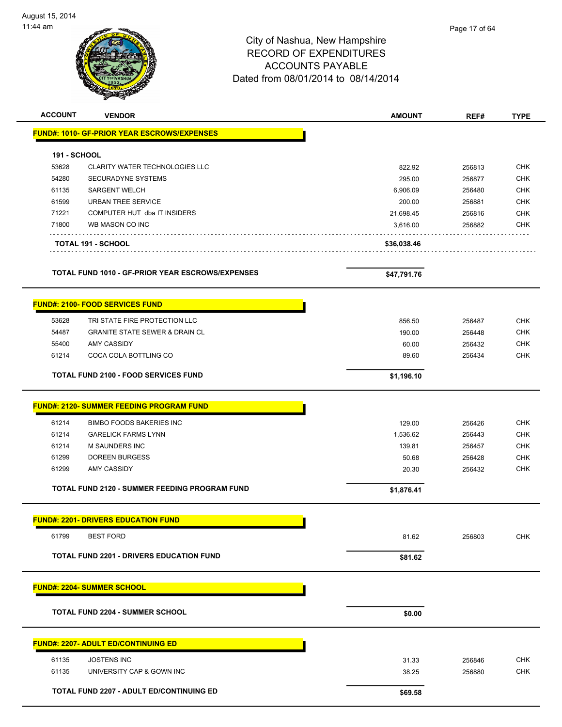# City of Nashua, New Hampshire RECORD OF EXPENDITURES ACCOUNTS PAYABLE Dated from 08/01/2014 to 08/14/2014 **ACCOUNT VENDOR AMOUNT REF# TYPE** Page 17 of 64

| AUUUNI              | VENDOR                                             | <b>AMUUNI</b> | REF#   | IYPE       |
|---------------------|----------------------------------------------------|---------------|--------|------------|
|                     | <b>FUND#: 1010- GF-PRIOR YEAR ESCROWS/EXPENSES</b> |               |        |            |
| <b>191 - SCHOOL</b> |                                                    |               |        |            |
| 53628               | <b>CLARITY WATER TECHNOLOGIES LLC</b>              | 822.92        | 256813 | CHK        |
| 54280               | SECURADYNE SYSTEMS                                 | 295.00        | 256877 | <b>CHK</b> |
| 61135               | <b>SARGENT WELCH</b>                               | 6,906.09      | 256480 | <b>CHK</b> |
| 61599               | <b>URBAN TREE SERVICE</b>                          | 200.00        | 256881 | <b>CHK</b> |
| 71221               | COMPUTER HUT dba IT INSIDERS                       | 21,698.45     | 256816 | <b>CHK</b> |
| 71800               | WB MASON CO INC                                    | 3,616.00      | 256882 | <b>CHK</b> |
|                     | <b>TOTAL 191 - SCHOOL</b>                          | \$36,038.46   |        |            |
|                     | TOTAL FUND 1010 - GF-PRIOR YEAR ESCROWS/EXPENSES   | \$47,791.76   |        |            |
|                     | <b>FUND#: 2100- FOOD SERVICES FUND</b>             |               |        |            |
| 53628               | TRI STATE FIRE PROTECTION LLC                      | 856.50        | 256487 | <b>CHK</b> |
| 54487               | <b>GRANITE STATE SEWER &amp; DRAIN CL</b>          | 190.00        | 256448 | <b>CHK</b> |
| 55400               | AMY CASSIDY                                        | 60.00         | 256432 | <b>CHK</b> |
| 61214               | COCA COLA BOTTLING CO                              | 89.60         | 256434 | <b>CHK</b> |
|                     | <b>TOTAL FUND 2100 - FOOD SERVICES FUND</b>        | \$1,196.10    |        |            |
|                     | <b>FUND#: 2120- SUMMER FEEDING PROGRAM FUND</b>    |               |        |            |
| 61214               | <b>BIMBO FOODS BAKERIES INC</b>                    | 129.00        | 256426 | <b>CHK</b> |
| 61214               | <b>GARELICK FARMS LYNN</b>                         | 1,536.62      | 256443 | <b>CHK</b> |
| 61214               | <b>M SAUNDERS INC</b>                              | 139.81        | 256457 | <b>CHK</b> |
| 61299               | <b>DOREEN BURGESS</b>                              | 50.68         | 256428 | <b>CHK</b> |
| 61299               | AMY CASSIDY                                        | 20.30         | 256432 | <b>CHK</b> |
|                     | TOTAL FUND 2120 - SUMMER FEEDING PROGRAM FUND      | \$1,876.41    |        |            |
|                     | <b>FUND#: 2201- DRIVERS EDUCATION FUND</b>         |               |        |            |
| 61799               | <b>BEST FORD</b>                                   | 81.62         | 256803 | <b>CHK</b> |
|                     | <b>TOTAL FUND 2201 - DRIVERS EDUCATION FUND</b>    | \$81.62       |        |            |
|                     | <b>FUND#: 2204- SUMMER SCHOOL</b>                  |               |        |            |
|                     |                                                    |               |        |            |
|                     | <b>TOTAL FUND 2204 - SUMMER SCHOOL</b>             | \$0.00        |        |            |
|                     | <b>FUND#: 2207- ADULT ED/CONTINUING ED</b>         |               |        |            |
| 61135               | <b>JOSTENS INC</b>                                 | 31.33         | 256846 | <b>CHK</b> |
| 61135               | UNIVERSITY CAP & GOWN INC                          | 38.25         | 256880 | <b>CHK</b> |
|                     | TOTAL FUND 2207 - ADULT ED/CONTINUING ED           | \$69.58       |        |            |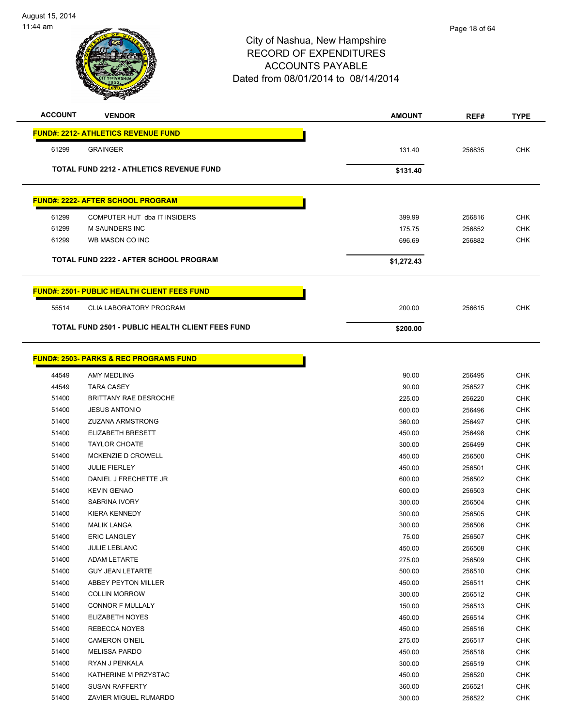| <b>ACCOUNT</b> | <b>VENDOR</b>                                           | <b>AMOUNT</b> | REF#   | <b>TYPE</b> |
|----------------|---------------------------------------------------------|---------------|--------|-------------|
|                | <b>FUND#: 2212- ATHLETICS REVENUE FUND</b>              |               |        |             |
| 61299          | <b>GRAINGER</b>                                         | 131.40        | 256835 | <b>CHK</b>  |
|                | <b>TOTAL FUND 2212 - ATHLETICS REVENUE FUND</b>         | \$131.40      |        |             |
|                |                                                         |               |        |             |
|                | <b>FUND#: 2222- AFTER SCHOOL PROGRAM</b>                |               |        |             |
| 61299          | COMPUTER HUT dba IT INSIDERS                            | 399.99        | 256816 | <b>CHK</b>  |
| 61299          | <b>M SAUNDERS INC</b>                                   | 175.75        | 256852 | <b>CHK</b>  |
| 61299          | WB MASON CO INC                                         | 696.69        | 256882 | <b>CHK</b>  |
|                | TOTAL FUND 2222 - AFTER SCHOOL PROGRAM                  | \$1,272.43    |        |             |
|                |                                                         |               |        |             |
|                | <b>FUND#: 2501- PUBLIC HEALTH CLIENT FEES FUND</b>      |               |        |             |
| 55514          | <b>CLIA LABORATORY PROGRAM</b>                          | 200.00        | 256615 | <b>CHK</b>  |
|                | <b>TOTAL FUND 2501 - PUBLIC HEALTH CLIENT FEES FUND</b> | \$200.00      |        |             |
|                |                                                         |               |        |             |
|                | <b>FUND#: 2503- PARKS &amp; REC PROGRAMS FUND</b>       |               |        |             |
| 44549          | AMY MEDLING                                             | 90.00         | 256495 | <b>CHK</b>  |
| 44549          | <b>TARA CASEY</b>                                       | 90.00         | 256527 | <b>CHK</b>  |
| 51400          | BRITTANY RAE DESROCHE                                   | 225.00        | 256220 | <b>CHK</b>  |
| 51400          | <b>JESUS ANTONIO</b>                                    | 600.00        | 256496 | <b>CHK</b>  |
| 51400          | <b>ZUZANA ARMSTRONG</b>                                 | 360.00        | 256497 | <b>CHK</b>  |
| 51400          | <b>ELIZABETH BRESETT</b>                                | 450.00        | 256498 | <b>CHK</b>  |
| 51400          | <b>TAYLOR CHOATE</b>                                    | 300.00        | 256499 | <b>CHK</b>  |
| 51400          | MCKENZIE D CROWELL                                      | 450.00        | 256500 | <b>CHK</b>  |
| 51400          | <b>JULIE FIERLEY</b>                                    | 450.00        | 256501 | <b>CHK</b>  |
| 51400          | DANIEL J FRECHETTE JR                                   | 600.00        | 256502 | <b>CHK</b>  |
| 51400          | <b>KEVIN GENAO</b>                                      | 600.00        | 256503 | <b>CHK</b>  |
| 51400          | <b>SABRINA IVORY</b>                                    | 300.00        | 256504 | <b>CHK</b>  |
| 51400          | <b>KIERA KENNEDY</b>                                    | 300.00        | 256505 | CHK         |
| 51400          | <b>MALIK LANGA</b>                                      | 300.00        | 256506 | CHK         |
| 51400          | <b>ERIC LANGLEY</b>                                     | 75.00         | 256507 | <b>CHK</b>  |
| 51400          | <b>JULIE LEBLANC</b>                                    | 450.00        | 256508 | <b>CHK</b>  |
| 51400          | ADAM LETARTE                                            | 275.00        | 256509 | <b>CHK</b>  |
| 51400          | <b>GUY JEAN LETARTE</b>                                 | 500.00        | 256510 | <b>CHK</b>  |
| 51400          | ABBEY PEYTON MILLER                                     | 450.00        | 256511 | <b>CHK</b>  |
| 51400          | <b>COLLIN MORROW</b>                                    | 300.00        | 256512 | <b>CHK</b>  |
| 51400          | CONNOR F MULLALY                                        | 150.00        | 256513 | CHK         |
| 51400          | <b>ELIZABETH NOYES</b>                                  | 450.00        | 256514 | <b>CHK</b>  |
| 51400          | REBECCA NOYES                                           | 450.00        | 256516 | <b>CHK</b>  |
| 51400          | <b>CAMERON O'NEIL</b>                                   | 275.00        | 256517 | <b>CHK</b>  |
| 51400          | <b>MELISSA PARDO</b>                                    | 450.00        | 256518 | <b>CHK</b>  |
| 51400          | RYAN J PENKALA                                          | 300.00        | 256519 | <b>CHK</b>  |
| 51400          | KATHERINE M PRZYSTAC                                    | 450.00        | 256520 | <b>CHK</b>  |
| 51400          | <b>SUSAN RAFFERTY</b>                                   | 360.00        | 256521 | <b>CHK</b>  |

ZAVIER MIGUEL RUMARDO 300.00 256522 CHK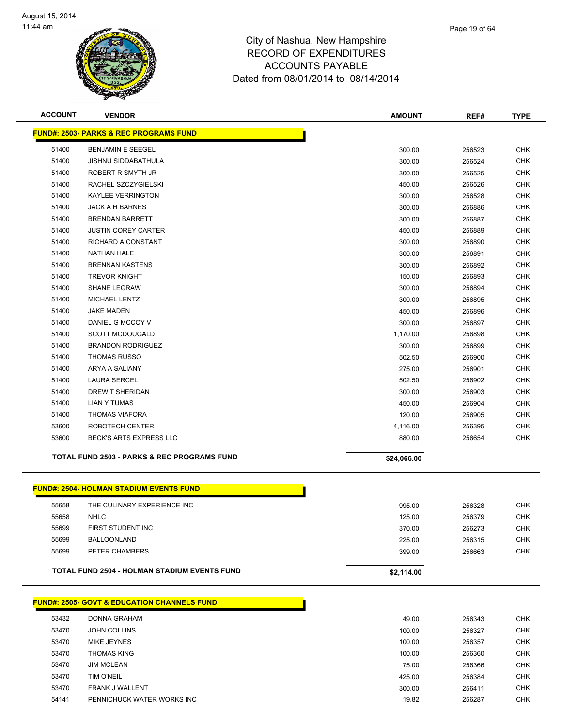

| <b>ACCOUNT</b> | <b>VENDOR</b>                                          | <b>AMOUNT</b> | REF#   | <b>TYPE</b> |
|----------------|--------------------------------------------------------|---------------|--------|-------------|
|                | <b>FUND#: 2503- PARKS &amp; REC PROGRAMS FUND</b>      |               |        |             |
| 51400          | BENJAMIN E SEEGEL                                      | 300.00        | 256523 | <b>CHK</b>  |
| 51400          | <b>JISHNU SIDDABATHULA</b>                             | 300.00        | 256524 | <b>CHK</b>  |
| 51400          | ROBERT R SMYTH JR                                      | 300.00        | 256525 | <b>CHK</b>  |
| 51400          | RACHEL SZCZYGIELSKI                                    | 450.00        | 256526 | <b>CHK</b>  |
| 51400          | <b>KAYLEE VERRINGTON</b>                               | 300.00        | 256528 | <b>CHK</b>  |
| 51400          | JACK A H BARNES                                        | 300.00        | 256886 | <b>CHK</b>  |
| 51400          | <b>BRENDAN BARRETT</b>                                 | 300.00        | 256887 | <b>CHK</b>  |
| 51400          | <b>JUSTIN COREY CARTER</b>                             | 450.00        | 256889 | <b>CHK</b>  |
| 51400          | RICHARD A CONSTANT                                     | 300.00        | 256890 | <b>CHK</b>  |
| 51400          | <b>NATHAN HALE</b>                                     | 300.00        | 256891 | <b>CHK</b>  |
| 51400          | <b>BRENNAN KASTENS</b>                                 | 300.00        | 256892 | <b>CHK</b>  |
| 51400          | <b>TREVOR KNIGHT</b>                                   | 150.00        | 256893 | <b>CHK</b>  |
| 51400          | <b>SHANE LEGRAW</b>                                    | 300.00        | 256894 | <b>CHK</b>  |
| 51400          | <b>MICHAEL LENTZ</b>                                   | 300.00        | 256895 | <b>CHK</b>  |
| 51400          | <b>JAKE MADEN</b>                                      | 450.00        | 256896 | <b>CHK</b>  |
| 51400          | DANIEL G MCCOY V                                       | 300.00        | 256897 | <b>CHK</b>  |
| 51400          | <b>SCOTT MCDOUGALD</b>                                 | 1,170.00      | 256898 | <b>CHK</b>  |
| 51400          | <b>BRANDON RODRIGUEZ</b>                               | 300.00        | 256899 | <b>CHK</b>  |
| 51400          | <b>THOMAS RUSSO</b>                                    | 502.50        | 256900 | <b>CHK</b>  |
| 51400          | <b>ARYA A SALIANY</b>                                  | 275.00        | 256901 | <b>CHK</b>  |
| 51400          | <b>LAURA SERCEL</b>                                    | 502.50        | 256902 | <b>CHK</b>  |
| 51400          | DREW T SHERIDAN                                        | 300.00        | 256903 | <b>CHK</b>  |
| 51400          | <b>LIAN Y TUMAS</b>                                    | 450.00        | 256904 | <b>CHK</b>  |
| 51400          | <b>THOMAS VIAFORA</b>                                  | 120.00        | 256905 | <b>CHK</b>  |
| 53600          | ROBOTECH CENTER                                        | 4,116.00      | 256395 | <b>CHK</b>  |
| 53600          | BECK'S ARTS EXPRESS LLC                                | 880.00        | 256654 | <b>CHK</b>  |
|                | <b>TOTAL FUND 2503 - PARKS &amp; REC PROGRAMS FUND</b> | \$24,066.00   |        |             |
|                |                                                        |               |        |             |
|                | <b>FUND#: 2504- HOLMAN STADIUM EVENTS FUND</b>         |               |        |             |
| 55658          | THE CULINARY EXPERIENCE INC                            | 995.00        | 256328 | <b>CHK</b>  |
| 55658          | <b>NHLC</b>                                            | 125.00        | 256379 | <b>CHK</b>  |
| 55699          | FIRST STUDENT INC                                      | 370.00        | 256273 | <b>CHK</b>  |
| 55699          | <b>BALLOONLAND</b>                                     | 225.00        | 256315 | <b>CHK</b>  |
| 55699          | PETER CHAMBERS                                         | 399.00        | 256663 | <b>CHK</b>  |
|                | <b>TOTAL FUND 2504 - HOLMAN STADIUM EVENTS FUND</b>    | \$2,114.00    |        |             |
|                |                                                        |               |        |             |
|                | <b>FUND#: 2505- GOVT &amp; EDUCATION CHANNELS FUND</b> |               |        |             |
| 53432          | <b>DONNA GRAHAM</b>                                    | 49.00         | 256343 | <b>CHK</b>  |
| 53470          | <b>JOHN COLLINS</b>                                    | 100.00        | 256327 | <b>CHK</b>  |
| 53470          | MIKE JEYNES                                            | 100.00        | 256357 | <b>CHK</b>  |
| 53470          | <b>THOMAS KING</b>                                     | 100.00        | 256360 | <b>CHK</b>  |
| 53470          | <b>JIM MCLEAN</b>                                      | 75.00         | 256366 | <b>CHK</b>  |
| 53470          | TIM O'NEIL                                             | 425.00        | 256384 | <b>CHK</b>  |
| 53470          | FRANK J WALLENT                                        | 300.00        | 256411 | <b>CHK</b>  |
| 54141          | PENNICHUCK WATER WORKS INC                             | 19.82         | 256287 | <b>CHK</b>  |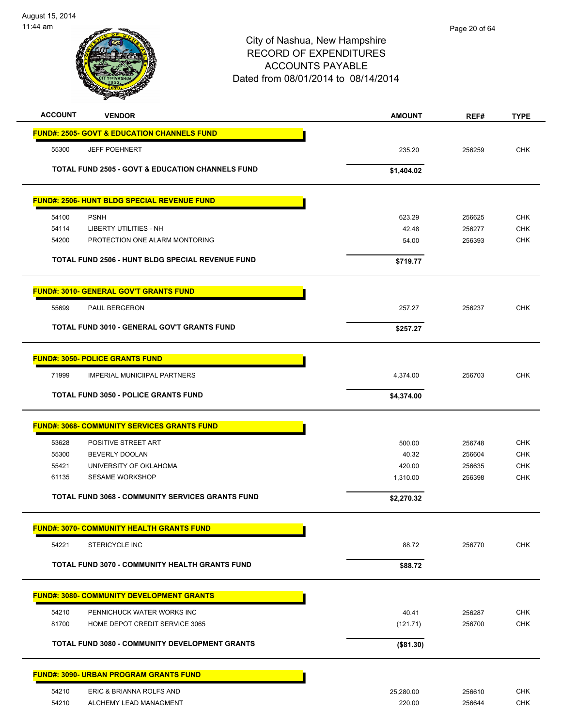| <b>ACCOUNT</b> | <b>VENDOR</b>                                               | <b>AMOUNT</b> | REF#   | <b>TYPE</b> |
|----------------|-------------------------------------------------------------|---------------|--------|-------------|
|                | <b>FUND#: 2505- GOVT &amp; EDUCATION CHANNELS FUND</b>      |               |        |             |
| 55300          | <b>JEFF POEHNERT</b>                                        | 235.20        | 256259 | <b>CHK</b>  |
|                | <b>TOTAL FUND 2505 - GOVT &amp; EDUCATION CHANNELS FUND</b> | \$1,404.02    |        |             |
|                | <b>FUND#: 2506- HUNT BLDG SPECIAL REVENUE FUND</b>          |               |        |             |
| 54100          | <b>PSNH</b>                                                 | 623.29        | 256625 | <b>CHK</b>  |
| 54114          | <b>LIBERTY UTILITIES - NH</b>                               | 42.48         | 256277 | <b>CHK</b>  |
| 54200          | PROTECTION ONE ALARM MONTORING                              | 54.00         | 256393 | <b>CHK</b>  |
|                | TOTAL FUND 2506 - HUNT BLDG SPECIAL REVENUE FUND            | \$719.77      |        |             |
|                | <b>FUND#: 3010- GENERAL GOV'T GRANTS FUND</b>               |               |        |             |
| 55699          | PAUL BERGERON                                               | 257.27        | 256237 | <b>CHK</b>  |
|                | TOTAL FUND 3010 - GENERAL GOV'T GRANTS FUND                 | \$257.27      |        |             |
|                | <b>FUND#: 3050- POLICE GRANTS FUND</b>                      |               |        |             |
| 71999          | <b>IMPERIAL MUNICIIPAL PARTNERS</b>                         | 4,374.00      | 256703 | <b>CHK</b>  |
|                | <b>TOTAL FUND 3050 - POLICE GRANTS FUND</b>                 | \$4,374.00    |        |             |
|                | <b>FUND#: 3068- COMMUNITY SERVICES GRANTS FUND</b>          |               |        |             |
| 53628          | POSITIVE STREET ART                                         | 500.00        | 256748 | <b>CHK</b>  |
| 55300          | BEVERLY DOOLAN                                              | 40.32         | 256604 | <b>CHK</b>  |
| 55421          | UNIVERSITY OF OKLAHOMA                                      | 420.00        | 256635 | <b>CHK</b>  |
| 61135          | <b>SESAME WORKSHOP</b>                                      | 1,310.00      | 256398 | <b>CHK</b>  |
|                | <b>TOTAL FUND 3068 - COMMUNITY SERVICES GRANTS FUND</b>     | \$2,270.32    |        |             |
|                | <b>FUND#: 3070- COMMUNITY HEALTH GRANTS FUND</b>            |               |        |             |
| 54221          | STERICYCLE INC                                              | 88.72         | 256770 | <b>CHK</b>  |
|                | TOTAL FUND 3070 - COMMUNITY HEALTH GRANTS FUND              | \$88.72       |        |             |
|                | <b>FUND#: 3080- COMMUNITY DEVELOPMENT GRANTS</b>            |               |        |             |
| 54210          | PENNICHUCK WATER WORKS INC                                  | 40.41         | 256287 | <b>CHK</b>  |
| 81700          | HOME DEPOT CREDIT SERVICE 3065                              | (121.71)      | 256700 | CHK         |
|                | TOTAL FUND 3080 - COMMUNITY DEVELOPMENT GRANTS              | (\$81.30)     |        |             |
|                | <b>FUND#: 3090- URBAN PROGRAM GRANTS FUND</b>               |               |        |             |
| 54210          | ERIC & BRIANNA ROLFS AND                                    | 25,280.00     | 256610 | <b>CHK</b>  |
| 54210          | ALCHEMY LEAD MANAGMENT                                      | 220.00        | 256644 | <b>CHK</b>  |
|                |                                                             |               |        |             |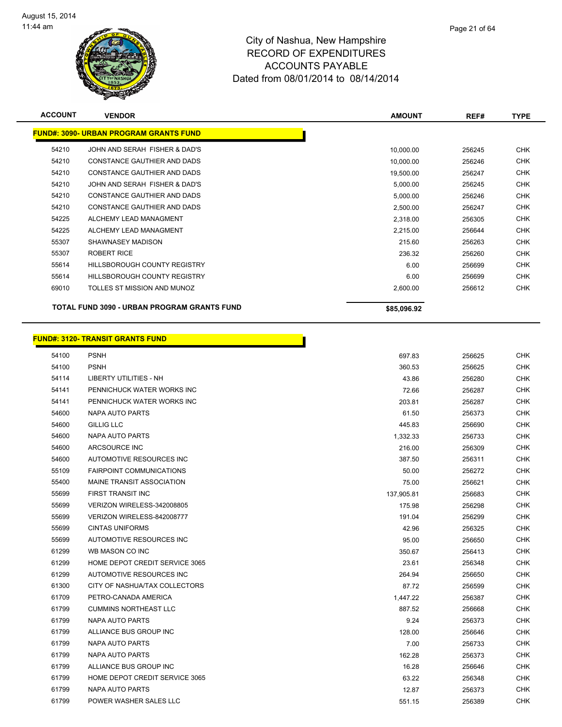

| <b>ACCOUNT</b> | <b>VENDOR</b>                                 | <b>AMOUNT</b> | REF#   | <b>TYPE</b> |
|----------------|-----------------------------------------------|---------------|--------|-------------|
|                | <b>FUND#: 3090- URBAN PROGRAM GRANTS FUND</b> |               |        |             |
| 54210          | JOHN AND SERAH FISHER & DAD'S                 | 10,000.00     | 256245 | <b>CHK</b>  |
| 54210          | CONSTANCE GAUTHIER AND DADS                   | 10,000.00     | 256246 | <b>CHK</b>  |
| 54210          | CONSTANCE GAUTHIER AND DADS                   | 19,500.00     | 256247 | <b>CHK</b>  |
| 54210          | JOHN AND SERAH FISHER & DAD'S                 | 5,000.00      | 256245 | <b>CHK</b>  |
| 54210          | CONSTANCE GAUTHIER AND DADS                   | 5,000.00      | 256246 | <b>CHK</b>  |
| 54210          | CONSTANCE GAUTHIER AND DADS                   | 2,500.00      | 256247 | <b>CHK</b>  |
| 54225          | ALCHEMY LEAD MANAGMENT                        | 2,318.00      | 256305 | <b>CHK</b>  |
| 54225          | ALCHEMY LEAD MANAGMENT                        | 2,215.00      | 256644 | <b>CHK</b>  |
| 55307          | SHAWNASEY MADISON                             | 215.60        | 256263 | <b>CHK</b>  |
| 55307          | <b>ROBERT RICE</b>                            | 236.32        | 256260 | <b>CHK</b>  |
| 55614          | <b>HILLSBOROUGH COUNTY REGISTRY</b>           | 6.00          | 256699 | <b>CHK</b>  |
| 55614          | <b>HILLSBOROUGH COUNTY REGISTRY</b>           | 6.00          | 256699 | <b>CHK</b>  |
| 69010          | TOLLES ST MISSION AND MUNOZ                   | 2,600.00      | 256612 | <b>CHK</b>  |
|                | TOTAL FUND 3090 - URBAN PROGRAM GRANTS FUND   | \$85,096.92   |        |             |

|       | <b>FUND#: 3120- TRANSIT GRANTS FUND</b> |            |        |            |
|-------|-----------------------------------------|------------|--------|------------|
| 54100 | <b>PSNH</b>                             | 697.83     | 256625 | <b>CHK</b> |
| 54100 | <b>PSNH</b>                             | 360.53     | 256625 | <b>CHK</b> |
| 54114 | <b>LIBERTY UTILITIES - NH</b>           | 43.86      | 256280 | <b>CHK</b> |
| 54141 | PENNICHUCK WATER WORKS INC              | 72.66      | 256287 | <b>CHK</b> |
| 54141 | PENNICHUCK WATER WORKS INC              | 203.81     | 256287 | <b>CHK</b> |
| 54600 | NAPA AUTO PARTS                         | 61.50      | 256373 | <b>CHK</b> |
| 54600 | <b>GILLIG LLC</b>                       | 445.83     | 256690 | <b>CHK</b> |
| 54600 | NAPA AUTO PARTS                         | 1,332.33   | 256733 | <b>CHK</b> |
| 54600 | ARCSOURCE INC                           | 216.00     | 256309 | <b>CHK</b> |
| 54600 | AUTOMOTIVE RESOURCES INC                | 387.50     | 256311 | <b>CHK</b> |
| 55109 | <b>FAIRPOINT COMMUNICATIONS</b>         | 50.00      | 256272 | <b>CHK</b> |
| 55400 | MAINE TRANSIT ASSOCIATION               | 75.00      | 256621 | CHK        |
| 55699 | <b>FIRST TRANSIT INC</b>                | 137,905.81 | 256683 | <b>CHK</b> |
| 55699 | VERIZON WIRELESS-342008805              | 175.98     | 256298 | <b>CHK</b> |
| 55699 | VERIZON WIRELESS-842008777              | 191.04     | 256299 | <b>CHK</b> |
| 55699 | <b>CINTAS UNIFORMS</b>                  | 42.96      | 256325 | <b>CHK</b> |
| 55699 | AUTOMOTIVE RESOURCES INC                | 95.00      | 256650 | <b>CHK</b> |
| 61299 | WB MASON CO INC                         | 350.67     | 256413 | <b>CHK</b> |
| 61299 | HOME DEPOT CREDIT SERVICE 3065          | 23.61      | 256348 | <b>CHK</b> |
| 61299 | AUTOMOTIVE RESOURCES INC                | 264.94     | 256650 | <b>CHK</b> |
| 61300 | CITY OF NASHUA/TAX COLLECTORS           | 87.72      | 256599 | <b>CHK</b> |
| 61709 | PETRO-CANADA AMERICA                    | 1,447.22   | 256387 | <b>CHK</b> |
| 61799 | <b>CUMMINS NORTHEAST LLC</b>            | 887.52     | 256668 | <b>CHK</b> |
| 61799 | NAPA AUTO PARTS                         | 9.24       | 256373 | CHK        |
| 61799 | ALLIANCE BUS GROUP INC                  | 128.00     | 256646 | <b>CHK</b> |
| 61799 | NAPA AUTO PARTS                         | 7.00       | 256733 | <b>CHK</b> |
| 61799 | NAPA AUTO PARTS                         | 162.28     | 256373 | <b>CHK</b> |
| 61799 | ALLIANCE BUS GROUP INC                  | 16.28      | 256646 | <b>CHK</b> |
| 61799 | HOME DEPOT CREDIT SERVICE 3065          | 63.22      | 256348 | <b>CHK</b> |
| 61799 | <b>NAPA AUTO PARTS</b>                  | 12.87      | 256373 | <b>CHK</b> |
| 61799 | POWER WASHER SALES LLC                  | 551.15     | 256389 | <b>CHK</b> |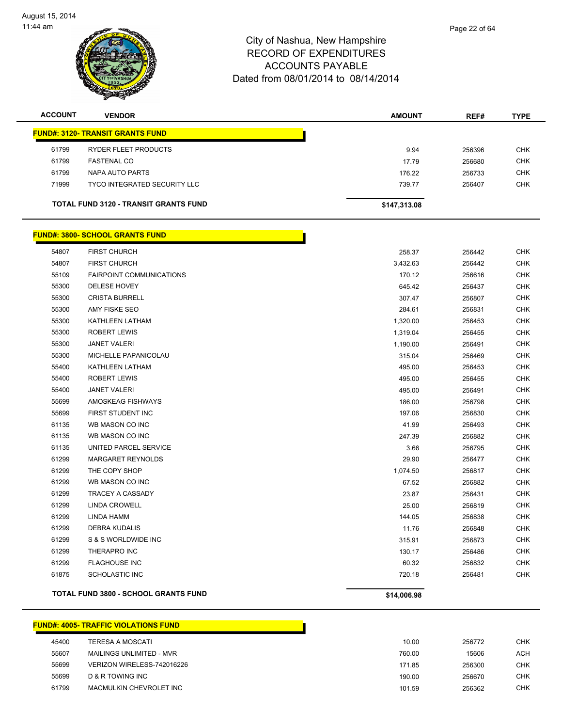

| <b>ACCOUNT</b> | <b>VENDOR</b>                                | <b>AMOUNT</b> | REF#   | <b>TYPE</b> |
|----------------|----------------------------------------------|---------------|--------|-------------|
|                | <b>FUND#: 3120- TRANSIT GRANTS FUND</b>      |               |        |             |
| 61799          | RYDER FLEET PRODUCTS                         | 9.94          | 256396 | <b>CHK</b>  |
| 61799          | <b>FASTENAL CO</b>                           | 17.79         | 256680 | <b>CHK</b>  |
| 61799          | NAPA AUTO PARTS                              | 176.22        | 256733 | <b>CHK</b>  |
| 71999          | TYCO INTEGRATED SECURITY LLC                 | 739.77        | 256407 | <b>CHK</b>  |
|                | <b>TOTAL FUND 3120 - TRANSIT GRANTS FUND</b> | \$147,313.08  |        |             |

#### **FUND#: 3800- SCHOOL GRANTS FUND** FIRST CHURCH 258.37 256442 CHK FIRST CHURCH 3,432.63 256442 CHK FAIRPOINT COMMUNICATIONS 170.12 256616 CHK DELESE HOVEY 645.42 256437 CHK CRISTA BURRELL 307.47 256807 CHK AMY FISKE SEO 284.61 256831 CHK KATHLEEN LATHAM 1,320.00 256453 CHK ROBERT LEWIS 1,319.04 256455 CHK JANET VALERI 1,190.00 256491 CHK MICHELLE PAPANICOLAU 315.04 256469 CHK KATHLEEN LATHAM 495.00 256453 CHK ROBERT LEWIS 495.00 256455 CHK JANET VALERI 495.00 256491 CHK AMOSKEAG FISHWAYS 186.00 256798 CHK FIRST STUDENT INC 197.06 256830 CHK WB MASON CO INC 41.99 256493 CHK WB MASON CO INC 247.39 256882 CHK 61135 UNITED PARCEL SERVICE **3.66** 256795 CHK MARGARET REYNOLDS 29.90 256477 CHK THE COPY SHOP 1,074.50 256817 CHK WB MASON CO INC 67.52 256882 CHK TRACEY A CASSADY 23.87 256431 CHK LINDA CROWELL 25.00 256819 CHK LINDA HAMM 144.05 256838 CHK DEBRA KUDALIS 11.76 256848 CHK 61299 S & S WORLDWIDE INC **CHK SEE A SET A SET A SET A SET A SET A SET A SET A SET A SET A SET A SET A SET A SET A**  THERAPRO INC 130.17 256486 CHK FLAGHOUSE INC 60.32 256832 CHK SCHOLASTIC INC 720.18 256481 CHK **TOTAL FUND 3800 - SCHOOL GRANTS FUND \$14,006.98**

|       | <b>FUND#: 4005- TRAFFIC VIOLATIONS FUND</b> |        |        |
|-------|---------------------------------------------|--------|--------|
| 45400 | <b>TERESA A MOSCATI</b>                     | 10.00  | 256772 |
| 55607 | MAILINGS UNLIMITED - MVR                    | 760.00 | 15606  |
| 55699 | VERIZON WIRELESS-742016226                  | 171.85 | 256300 |
| 55699 | D & R TOWING INC                            | 190.00 | 256670 |
| 61799 | MACMULKIN CHEVROLET INC                     | 101.59 | 256362 |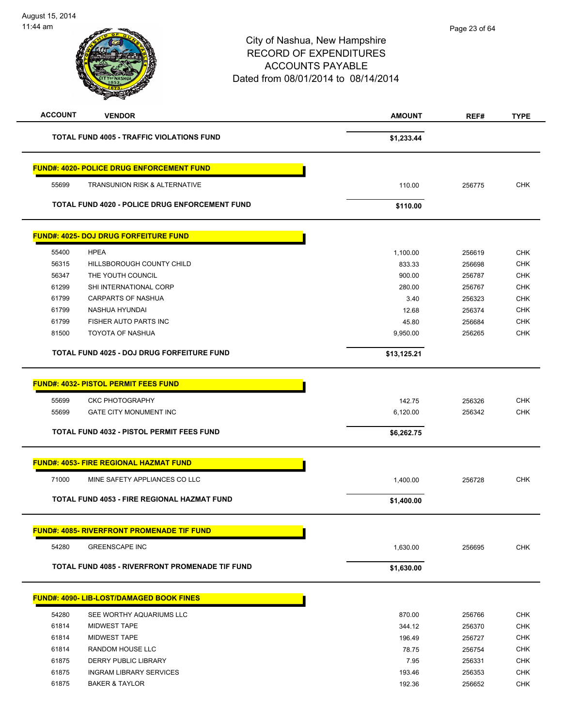| 11:44 am       |                                                    | City of Nashua, New Hampshire<br><b>RECORD OF EXPENDITURES</b><br><b>ACCOUNTS PAYABLE</b><br>Dated from 08/01/2014 to 08/14/2014 | Page 23 of 64 |             |
|----------------|----------------------------------------------------|----------------------------------------------------------------------------------------------------------------------------------|---------------|-------------|
| <b>ACCOUNT</b> | <b>VENDOR</b>                                      | <b>AMOUNT</b>                                                                                                                    | REF#          | <b>TYPE</b> |
|                | <b>TOTAL FUND 4005 - TRAFFIC VIOLATIONS FUND</b>   | \$1,233.44                                                                                                                       |               |             |
|                | <b>FUND#: 4020- POLICE DRUG ENFORCEMENT FUND</b>   |                                                                                                                                  |               |             |
| 55699          | TRANSUNION RISK & ALTERNATIVE                      | 110.00                                                                                                                           | 256775        | <b>CHK</b>  |
|                | TOTAL FUND 4020 - POLICE DRUG ENFORCEMENT FUND     | \$110.00                                                                                                                         |               |             |
|                | <b>FUND#: 4025- DOJ DRUG FORFEITURE FUND</b>       |                                                                                                                                  |               |             |
| 55400          | <b>HPEA</b>                                        | 1,100.00                                                                                                                         | 256619        | CHK         |
| 56315          | HILLSBOROUGH COUNTY CHILD                          | 833.33                                                                                                                           | 256698        | <b>CHK</b>  |
| 56347          | THE YOUTH COUNCIL                                  | 900.00                                                                                                                           | 256787        | <b>CHK</b>  |
| 61299          | SHI INTERNATIONAL CORP                             | 280.00                                                                                                                           | 256767        | CHK         |
| 61799          | CARPARTS OF NASHUA                                 | 3.40                                                                                                                             | 256323        | <b>CHK</b>  |
| 61799          | NASHUA HYUNDAI                                     | 12.68                                                                                                                            | 256374        | <b>CHK</b>  |
| 61799          | FISHER AUTO PARTS INC                              | 45.80                                                                                                                            | 256684        | CHK         |
| 81500          | TOYOTA OF NASHUA                                   | 9,950.00                                                                                                                         | 256265        | <b>CHK</b>  |
|                | TOTAL FUND 4025 - DOJ DRUG FORFEITURE FUND         | \$13,125.21                                                                                                                      |               |             |
|                | <b>FUND#: 4032- PISTOL PERMIT FEES FUND</b>        |                                                                                                                                  |               |             |
| 55699          | <b>CKC PHOTOGRAPHY</b>                             | 142.75                                                                                                                           | 256326        | <b>CHK</b>  |
| 55699          | GATE CITY MONUMENT INC                             | 6,120.00                                                                                                                         | 256342        | <b>CHK</b>  |
|                | <b>TOTAL FUND 4032 - PISTOL PERMIT FEES FUND</b>   | \$6,262.75                                                                                                                       |               |             |
|                | <b>FUND#: 4053- FIRE REGIONAL HAZMAT FUND</b>      |                                                                                                                                  |               |             |
| 71000          | MINE SAFETY APPLIANCES CO LLC                      | 1,400.00                                                                                                                         | 256728        | <b>CHK</b>  |
|                | <b>TOTAL FUND 4053 - FIRE REGIONAL HAZMAT FUND</b> | \$1,400.00                                                                                                                       |               |             |
|                | <b>FUND#: 4085- RIVERFRONT PROMENADE TIF FUND</b>  |                                                                                                                                  |               |             |
| 54280          | <b>GREENSCAPE INC</b>                              | 1,630.00                                                                                                                         | 256695        | <b>CHK</b>  |
|                | TOTAL FUND 4085 - RIVERFRONT PROMENADE TIF FUND    | \$1,630.00                                                                                                                       |               |             |
|                | <b>FUND#: 4090- LIB-LOST/DAMAGED BOOK FINES</b>    |                                                                                                                                  |               |             |
| 54280          | SEE WORTHY AQUARIUMS LLC                           | 870.00                                                                                                                           | 256766        | <b>CHK</b>  |
| 61814          | <b>MIDWEST TAPE</b>                                | 344.12                                                                                                                           | 256370        | <b>CHK</b>  |
| 61814          | <b>MIDWEST TAPE</b>                                | 196.49                                                                                                                           | 256727        | <b>CHK</b>  |
| 61814          | RANDOM HOUSE LLC                                   | 78.75                                                                                                                            | 256754        | <b>CHK</b>  |
| 61875          | DERRY PUBLIC LIBRARY                               | 7.95                                                                                                                             | 256331        | <b>CHK</b>  |
| 61875          | <b>INGRAM LIBRARY SERVICES</b>                     | 193.46                                                                                                                           | 256353        | <b>CHK</b>  |
| 61875          | <b>BAKER &amp; TAYLOR</b>                          | 192.36                                                                                                                           | 256652        | <b>CHK</b>  |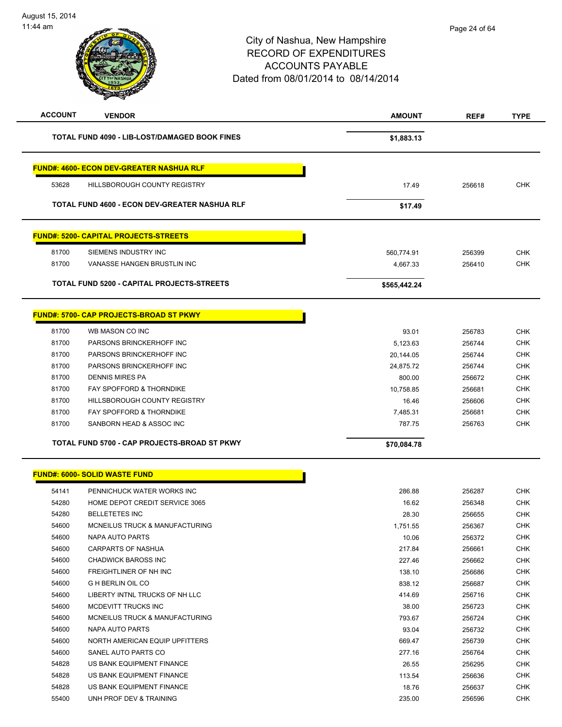# City of Nashua, New Hampshire RECORD OF EXPENDITURES ACCOUNTS PAYABLE Dated from 08/01/2014 to 08/14/2014 11:44 am **ACCOUNT VENDOR AMOUNT REF# TYPE** TOTAL FUND 4090 - LIB-LOST/DAMAGED BOOK FINES **\$1,883.13 FUND#: 4600- ECON DEV-GREATER NASHUA RLF** 53628 HILLSBOROUGH COUNTY REGISTRY 17.49 256618 CHK **TOTAL FUND 4600 - ECON DEV-GREATER NASHUA RLF \$17.49 FUND#: 5200- CAPITAL PROJECTS-STREETS** 81700 SIEMENS INDUSTRY INC 560,774.91 256399 CHK 81700 VANASSE HANGEN BRUSTLIN INC NEW RESERVE THE RESERVE THAN 4,667.33 256410 CHK **TOTAL FUND 5200 - CAPITAL PROJECTS-STREETS \$565,442.24 FUND#: 5700- CAP PROJECTS-BROAD ST PKWY** 81700 WB MASON CO INC 93.01 256783 CHK 81700 PARSONS BRINCKERHOFF INC **Example 2018 12:30 Set 10:40 Set 10:40 Set 10:40 Set 10:40 Set 10:40 Set 10:40**  81700 PARSONS BRINCKERHOFF INC 20,144.05 256744 CHK 81700 PARSONS BRINCKERHOFF INC 24,875.72 256744 CHK 81700 DENNIS MIRES PA 800.00 256672 CHK 81700 FAY SPOFFORD & THORNDIKE THE STATE 10,758.85 256681 CHK 81700 HILLSBOROUGH COUNTY REGISTRY **16.46** 256606 CHK 81700 FAY SPOFFORD & THORNDIKE **FACK ASSESS ASSESS** TO A 256681 CHK 81700 SANBORN HEAD & ASSOC INC **And ASSOC INC CHK CHK CHK CHK CHK CHK CHK CHK CHK TOTAL FUND 5700 - CAP PROJECTS-BROAD ST PKWY \$70,084.78**  Page 24 of 64

#### **FUND#: 6000- SOLID WASTE FUND**

| 54141 | PENNICHUCK WATER WORKS INC     | 286.88   | 256287 | <b>CHK</b> |
|-------|--------------------------------|----------|--------|------------|
| 54280 | HOME DEPOT CREDIT SERVICE 3065 | 16.62    | 256348 | <b>CHK</b> |
| 54280 | <b>BELLETETES INC</b>          | 28.30    | 256655 | <b>CHK</b> |
| 54600 | MCNEILUS TRUCK & MANUFACTURING | 1,751.55 | 256367 | <b>CHK</b> |
| 54600 | NAPA AUTO PARTS                | 10.06    | 256372 | <b>CHK</b> |
| 54600 | <b>CARPARTS OF NASHUA</b>      | 217.84   | 256661 | <b>CHK</b> |
| 54600 | CHADWICK BAROSS INC            | 227.46   | 256662 | <b>CHK</b> |
| 54600 | <b>FREIGHTLINER OF NH INC</b>  | 138.10   | 256686 | <b>CHK</b> |
| 54600 | <b>G H BERLIN OIL CO</b>       | 838.12   | 256687 | <b>CHK</b> |
| 54600 | LIBERTY INTNL TRUCKS OF NH LLC | 414.69   | 256716 | <b>CHK</b> |
| 54600 | MCDEVITT TRUCKS INC            | 38.00    | 256723 | <b>CHK</b> |
| 54600 | MCNEILUS TRUCK & MANUFACTURING | 793.67   | 256724 | <b>CHK</b> |
| 54600 | NAPA AUTO PARTS                | 93.04    | 256732 | <b>CHK</b> |
| 54600 | NORTH AMERICAN EQUIP UPFITTERS | 669.47   | 256739 | <b>CHK</b> |
| 54600 | SANEL AUTO PARTS CO            | 277.16   | 256764 | <b>CHK</b> |
| 54828 | US BANK EQUIPMENT FINANCE      | 26.55    | 256295 | <b>CHK</b> |
| 54828 | US BANK EQUIPMENT FINANCE      | 113.54   | 256636 | <b>CHK</b> |
| 54828 | US BANK EQUIPMENT FINANCE      | 18.76    | 256637 | <b>CHK</b> |
| 55400 | UNH PROF DEV & TRAINING        | 235.00   | 256596 | <b>CHK</b> |
|       |                                |          |        |            |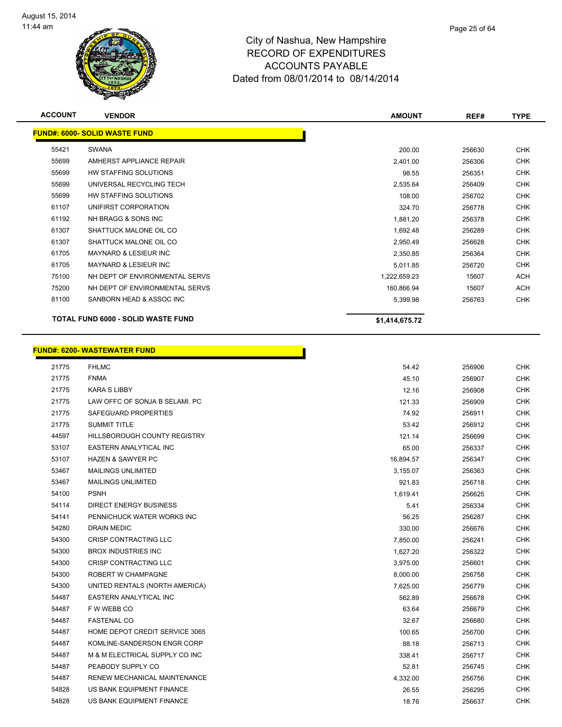

| <b>ACCOUNT</b> | <b>VENDOR</b>                             | <b>AMOUNT</b>  | REF#   | <b>TYPE</b> |
|----------------|-------------------------------------------|----------------|--------|-------------|
|                | <b>FUND#: 6000- SOLID WASTE FUND</b>      |                |        |             |
| 55421          | SWANA                                     | 200.00         | 256630 | <b>CHK</b>  |
| 55699          | AMHERST APPLIANCE REPAIR                  | 2,401.00       | 256306 | <b>CHK</b>  |
| 55699          | HW STAFFING SOLUTIONS                     | 98.55          | 256351 | <b>CHK</b>  |
| 55699          | UNIVERSAL RECYCLING TECH                  | 2,535.64       | 256409 | <b>CHK</b>  |
| 55699          | HW STAFFING SOLUTIONS                     | 108.00         | 256702 | <b>CHK</b>  |
| 61107          | UNIFIRST CORPORATION                      | 324.70         | 256778 | <b>CHK</b>  |
| 61192          | NH BRAGG & SONS INC                       | 1,881.20       | 256378 | <b>CHK</b>  |
| 61307          | SHATTUCK MALONE OIL CO                    | 1,692.48       | 256289 | <b>CHK</b>  |
| 61307          | SHATTUCK MALONE OIL CO                    | 2,950.49       | 256628 | <b>CHK</b>  |
| 61705          | <b>MAYNARD &amp; LESIEUR INC</b>          | 2,350.85       | 256364 | <b>CHK</b>  |
| 61705          | <b>MAYNARD &amp; LESIEUR INC</b>          | 5,011.85       | 256720 | <b>CHK</b>  |
| 75100          | NH DEPT OF ENVIRONMENTAL SERVS            | 1,222,659.23   | 15607  | ACH         |
| 75200          | NH DEPT OF ENVIRONMENTAL SERVS            | 160,866.94     | 15607  | ACH         |
| 81100          | SANBORN HEAD & ASSOC INC                  | 5,399.98       | 256763 | <b>CHK</b>  |
|                | <b>TOTAL FUND 6000 - SOLID WASTE FUND</b> | \$1,414,675.72 |        |             |

П

# **FUND#: 6200- WASTEWATER FUND**

| 21775 | <b>FHLMC</b>                   | 54.42     | 256906 | <b>CHK</b> |
|-------|--------------------------------|-----------|--------|------------|
| 21775 | <b>FNMA</b>                    | 45.10     | 256907 | <b>CHK</b> |
| 21775 | <b>KARA S LIBBY</b>            | 12.16     | 256908 | <b>CHK</b> |
| 21775 | LAW OFFC OF SONJA B SELAMI. PC | 121.33    | 256909 | <b>CHK</b> |
| 21775 | SAFEGUARD PROPERTIES           | 74.92     | 256911 | <b>CHK</b> |
| 21775 | <b>SUMMIT TITLE</b>            | 53.42     | 256912 | <b>CHK</b> |
| 44597 | HILLSBOROUGH COUNTY REGISTRY   | 121.14    | 256699 | <b>CHK</b> |
| 53107 | EASTERN ANALYTICAL INC         | 65.00     | 256337 | <b>CHK</b> |
| 53107 | <b>HAZEN &amp; SAWYER PC</b>   | 16,894.57 | 256347 | <b>CHK</b> |
| 53467 | <b>MAILINGS UNLIMITED</b>      | 3,155.07  | 256363 | <b>CHK</b> |
| 53467 | <b>MAILINGS UNLIMITED</b>      | 921.83    | 256718 | <b>CHK</b> |
| 54100 | <b>PSNH</b>                    | 1,619.41  | 256625 | <b>CHK</b> |
| 54114 | <b>DIRECT ENERGY BUSINESS</b>  | 5.41      | 256334 | <b>CHK</b> |
| 54141 | PENNICHUCK WATER WORKS INC     | 56.25     | 256287 | <b>CHK</b> |
| 54280 | <b>DRAIN MEDIC</b>             | 330.00    | 256676 | <b>CHK</b> |
| 54300 | CRISP CONTRACTING LLC          | 7,850.00  | 256241 | <b>CHK</b> |
| 54300 | <b>BROX INDUSTRIES INC</b>     | 1,627.20  | 256322 | <b>CHK</b> |
| 54300 | <b>CRISP CONTRACTING LLC</b>   | 3,975.00  | 256601 | <b>CHK</b> |
| 54300 | ROBERT W CHAMPAGNE             | 8,000.00  | 256758 | <b>CHK</b> |
| 54300 | UNITED RENTALS (NORTH AMERICA) | 7,625.00  | 256779 | <b>CHK</b> |
| 54487 | EASTERN ANALYTICAL INC         | 562.89    | 256678 | <b>CHK</b> |
| 54487 | F W WEBB CO                    | 63.64     | 256679 | <b>CHK</b> |
| 54487 | <b>FASTENAL CO</b>             | 32.67     | 256680 | <b>CHK</b> |
| 54487 | HOME DEPOT CREDIT SERVICE 3065 | 100.65    | 256700 | <b>CHK</b> |
| 54487 | KOMLINE-SANDERSON ENGR CORP    | 88.18     | 256713 | <b>CHK</b> |
| 54487 | M & M ELECTRICAL SUPPLY CO INC | 338.41    | 256717 | <b>CHK</b> |
| 54487 | PEABODY SUPPLY CO              | 52.81     | 256745 | <b>CHK</b> |
| 54487 | RENEW MECHANICAL MAINTENANCE   | 4,332.00  | 256756 | <b>CHK</b> |
| 54828 | US BANK EQUIPMENT FINANCE      | 26.55     | 256295 | <b>CHK</b> |
| 54828 | US BANK EQUIPMENT FINANCE      | 18.76     | 256637 | <b>CHK</b> |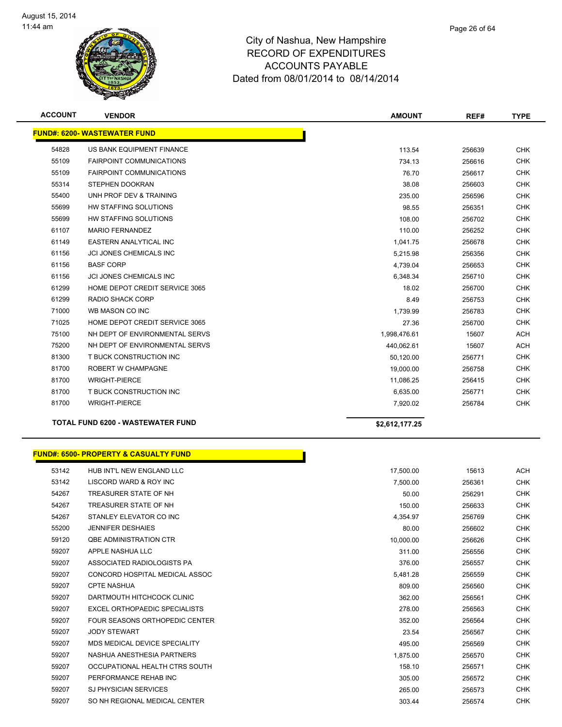

| <b>ACCOUNT</b> | <b>VENDOR</b>                                    | <b>AMOUNT</b>  | REF#   | <b>TYPE</b> |
|----------------|--------------------------------------------------|----------------|--------|-------------|
|                | <b>FUND#: 6200- WASTEWATER FUND</b>              |                |        |             |
| 54828          | US BANK EQUIPMENT FINANCE                        | 113.54         | 256639 | <b>CHK</b>  |
| 55109          | <b>FAIRPOINT COMMUNICATIONS</b>                  | 734.13         | 256616 | <b>CHK</b>  |
| 55109          | <b>FAIRPOINT COMMUNICATIONS</b>                  | 76.70          | 256617 | <b>CHK</b>  |
| 55314          | STEPHEN DOOKRAN                                  | 38.08          | 256603 | <b>CHK</b>  |
| 55400          | UNH PROF DEV & TRAINING                          | 235.00         | 256596 | <b>CHK</b>  |
| 55699          | HW STAFFING SOLUTIONS                            | 98.55          | 256351 | <b>CHK</b>  |
| 55699          | <b>HW STAFFING SOLUTIONS</b>                     | 108.00         | 256702 | <b>CHK</b>  |
| 61107          | <b>MARIO FERNANDEZ</b>                           | 110.00         | 256252 | <b>CHK</b>  |
| 61149          | <b>EASTERN ANALYTICAL INC</b>                    | 1,041.75       | 256678 | <b>CHK</b>  |
| 61156          | <b>JCI JONES CHEMICALS INC</b>                   | 5,215.98       | 256356 | <b>CHK</b>  |
| 61156          | <b>BASF CORP</b>                                 | 4,739.04       | 256653 | <b>CHK</b>  |
| 61156          | <b>JCI JONES CHEMICALS INC</b>                   | 6,348.34       | 256710 | <b>CHK</b>  |
| 61299          | HOME DEPOT CREDIT SERVICE 3065                   | 18.02          | 256700 | <b>CHK</b>  |
| 61299          | <b>RADIO SHACK CORP</b>                          | 8.49           | 256753 | <b>CHK</b>  |
| 71000          | WB MASON CO INC                                  | 1,739.99       | 256783 | <b>CHK</b>  |
| 71025          | HOME DEPOT CREDIT SERVICE 3065                   | 27.36          | 256700 | <b>CHK</b>  |
| 75100          | NH DEPT OF ENVIRONMENTAL SERVS                   | 1,998,476.61   | 15607  | <b>ACH</b>  |
| 75200          | NH DEPT OF ENVIRONMENTAL SERVS                   | 440,062.61     | 15607  | <b>ACH</b>  |
| 81300          | T BUCK CONSTRUCTION INC                          | 50,120.00      | 256771 | <b>CHK</b>  |
| 81700          | <b>ROBERT W CHAMPAGNE</b>                        | 19,000.00      | 256758 | <b>CHK</b>  |
| 81700          | <b>WRIGHT-PIERCE</b>                             | 11,086.25      | 256415 | <b>CHK</b>  |
| 81700          | T BUCK CONSTRUCTION INC                          | 6,635.00       | 256771 | <b>CHK</b>  |
| 81700          | <b>WRIGHT-PIERCE</b>                             | 7,920.02       | 256784 | <b>CHK</b>  |
|                | <b>TOTAL FUND 6200 - WASTEWATER FUND</b>         | \$2,612,177.25 |        |             |
|                | <b>FUND#: 6500- PROPERTY &amp; CASUALTY FUND</b> |                |        |             |

| 53142 | HUB INT'L NEW ENGLAND LLC            | 17,500.00 | 15613  | <b>ACH</b> |
|-------|--------------------------------------|-----------|--------|------------|
| 53142 | LISCORD WARD & ROY INC               | 7,500.00  | 256361 | <b>CHK</b> |
| 54267 | TREASURER STATE OF NH                | 50.00     | 256291 | <b>CHK</b> |
| 54267 | TREASURER STATE OF NH                | 150.00    | 256633 | <b>CHK</b> |
| 54267 | STANLEY ELEVATOR CO INC              | 4,354.97  | 256769 | <b>CHK</b> |
| 55200 | <b>JENNIFER DESHAIES</b>             | 80.00     | 256602 | <b>CHK</b> |
| 59120 | <b>QBE ADMINISTRATION CTR</b>        | 10.000.00 | 256626 | <b>CHK</b> |
| 59207 | APPLE NASHUA LLC                     | 311.00    | 256556 | <b>CHK</b> |
| 59207 | ASSOCIATED RADIOLOGISTS PA           | 376.00    | 256557 | CHK        |
| 59207 | CONCORD HOSPITAL MEDICAL ASSOC       | 5,481.28  | 256559 | <b>CHK</b> |
| 59207 | <b>CPTE NASHUA</b>                   | 809.00    | 256560 | <b>CHK</b> |
| 59207 | DARTMOUTH HITCHCOCK CLINIC           | 362.00    | 256561 | <b>CHK</b> |
| 59207 | <b>EXCEL ORTHOPAEDIC SPECIALISTS</b> | 278.00    | 256563 | <b>CHK</b> |
| 59207 | FOUR SEASONS ORTHOPEDIC CENTER       | 352.00    | 256564 | <b>CHK</b> |
| 59207 | <b>JODY STEWART</b>                  | 23.54     | 256567 | <b>CHK</b> |
| 59207 | MDS MEDICAL DEVICE SPECIALITY        | 495.00    | 256569 | <b>CHK</b> |
| 59207 | NASHUA ANESTHESIA PARTNERS           | 1,875.00  | 256570 | <b>CHK</b> |
| 59207 | OCCUPATIONAL HEALTH CTRS SOUTH       | 158.10    | 256571 | <b>CHK</b> |
| 59207 | PERFORMANCE REHAB INC                | 305.00    | 256572 | <b>CHK</b> |
| 59207 | <b>SJ PHYSICIAN SERVICES</b>         | 265.00    | 256573 | <b>CHK</b> |
| 59207 | SO NH REGIONAL MEDICAL CENTER        | 303.44    | 256574 | <b>CHK</b> |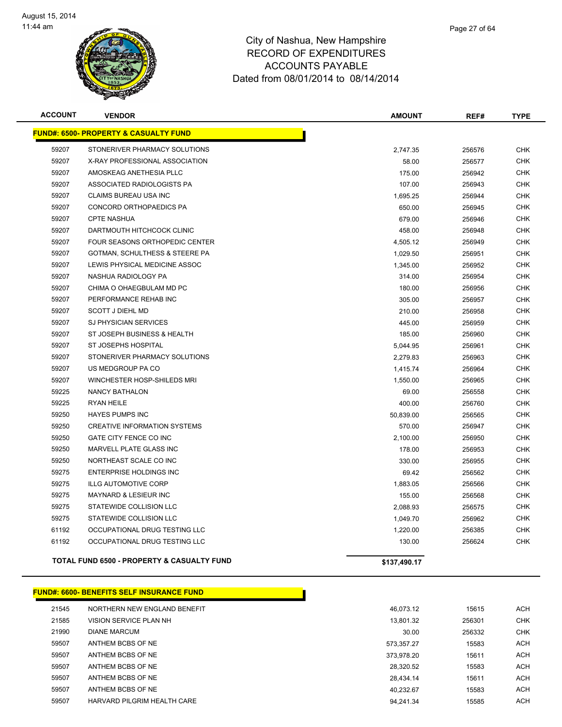

| <b>ACCOUNT</b> | <b>VENDOR</b>                                         | <b>AMOUNT</b> | REF#   | <b>TYPE</b> |
|----------------|-------------------------------------------------------|---------------|--------|-------------|
|                | <b>FUND#: 6500- PROPERTY &amp; CASUALTY FUND</b>      |               |        |             |
| 59207          | STONERIVER PHARMACY SOLUTIONS                         | 2,747.35      | 256576 | <b>CHK</b>  |
| 59207          | X-RAY PROFESSIONAL ASSOCIATION                        | 58.00         | 256577 | <b>CHK</b>  |
| 59207          | AMOSKEAG ANETHESIA PLLC                               | 175.00        | 256942 | <b>CHK</b>  |
| 59207          | ASSOCIATED RADIOLOGISTS PA                            | 107.00        | 256943 | <b>CHK</b>  |
| 59207          | CLAIMS BUREAU USA INC                                 | 1,695.25      | 256944 | <b>CHK</b>  |
| 59207          | CONCORD ORTHOPAEDICS PA                               | 650.00        | 256945 | <b>CHK</b>  |
| 59207          | <b>CPTE NASHUA</b>                                    | 679.00        | 256946 | <b>CHK</b>  |
| 59207          | DARTMOUTH HITCHCOCK CLINIC                            | 458.00        | 256948 | <b>CHK</b>  |
| 59207          | <b>FOUR SEASONS ORTHOPEDIC CENTER</b>                 | 4,505.12      | 256949 | <b>CHK</b>  |
| 59207          | GOTMAN, SCHULTHESS & STEERE PA                        | 1,029.50      | 256951 | <b>CHK</b>  |
| 59207          | LEWIS PHYSICAL MEDICINE ASSOC                         | 1,345.00      | 256952 | <b>CHK</b>  |
| 59207          | NASHUA RADIOLOGY PA                                   | 314.00        | 256954 | <b>CHK</b>  |
| 59207          | CHIMA O OHAEGBULAM MD PC                              | 180.00        | 256956 | <b>CHK</b>  |
| 59207          | PERFORMANCE REHAB INC                                 | 305.00        | 256957 | <b>CHK</b>  |
| 59207          | <b>SCOTT J DIEHL MD</b>                               | 210.00        | 256958 | <b>CHK</b>  |
| 59207          | <b>SJ PHYSICIAN SERVICES</b>                          | 445.00        | 256959 | <b>CHK</b>  |
| 59207          | ST JOSEPH BUSINESS & HEALTH                           | 185.00        | 256960 | <b>CHK</b>  |
| 59207          | ST JOSEPHS HOSPITAL                                   | 5,044.95      | 256961 | <b>CHK</b>  |
| 59207          | STONERIVER PHARMACY SOLUTIONS                         | 2,279.83      | 256963 | <b>CHK</b>  |
| 59207          | US MEDGROUP PA CO                                     | 1,415.74      | 256964 | <b>CHK</b>  |
| 59207          | WINCHESTER HOSP-SHILEDS MRI                           | 1,550.00      | 256965 | <b>CHK</b>  |
| 59225          | <b>NANCY BATHALON</b>                                 | 69.00         | 256558 | <b>CHK</b>  |
| 59225          | <b>RYAN HEILE</b>                                     | 400.00        | 256760 | <b>CHK</b>  |
| 59250          | <b>HAYES PUMPS INC</b>                                | 50,839.00     | 256565 | <b>CHK</b>  |
| 59250          | <b>CREATIVE INFORMATION SYSTEMS</b>                   | 570.00        | 256947 | <b>CHK</b>  |
| 59250          | GATE CITY FENCE CO INC                                | 2,100.00      | 256950 | <b>CHK</b>  |
| 59250          | MARVELL PLATE GLASS INC                               | 178.00        | 256953 | <b>CHK</b>  |
| 59250          | NORTHEAST SCALE CO INC                                | 330.00        | 256955 | <b>CHK</b>  |
| 59275          | <b>ENTERPRISE HOLDINGS INC</b>                        | 69.42         | 256562 | <b>CHK</b>  |
| 59275          | <b>ILLG AUTOMOTIVE CORP</b>                           | 1,883.05      | 256566 | <b>CHK</b>  |
| 59275          | MAYNARD & LESIEUR INC                                 | 155.00        | 256568 | <b>CHK</b>  |
| 59275          | STATEWIDE COLLISION LLC                               | 2,088.93      | 256575 | <b>CHK</b>  |
| 59275          | STATEWIDE COLLISION LLC                               | 1,049.70      | 256962 | <b>CHK</b>  |
| 61192          | OCCUPATIONAL DRUG TESTING LLC                         | 1,220.00      | 256385 | <b>CHK</b>  |
| 61192          | OCCUPATIONAL DRUG TESTING LLC                         | 130.00        | 256624 | <b>CHK</b>  |
|                | <b>TOTAL FUND 6500 - PROPERTY &amp; CASUALTY FUND</b> | \$137,490.17  |        |             |

**FUND#: 6600- BENEFITS SELF INSURANCE FUND**

| 21545 | NORTHERN NEW ENGLAND BENEFIT |            |
|-------|------------------------------|------------|
| 21585 | VISION SERVICE PLAN NH       |            |
| 21990 | <b>DIANE MARCUM</b>          |            |
| 59507 | ANTHEM BCBS OF NE            |            |
| 59507 | ANTHEM BCBS OF NE            | 373.978.20 |
| 59507 | ANTHEM BCBS OF NE            | 28.320.52  |
| 59507 | ANTHEM BCBS OF NE            | 28.434.14  |
| 59507 | ANTHEM BCBS OF NE            | 40.232.67  |
| 59507 | HARVARD PILGRIM HEALTH CARE  | 94.241.34  |
|       |                              |            |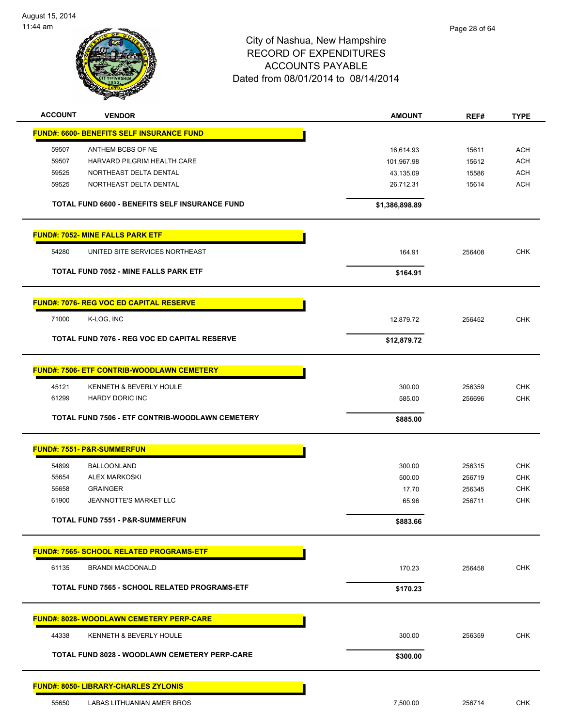

| <b>ACCOUNT</b> | <b>VENDOR</b>                                         | <b>AMOUNT</b>  | REF#   | <b>TYPE</b> |
|----------------|-------------------------------------------------------|----------------|--------|-------------|
|                | <b>FUND#: 6600- BENEFITS SELF INSURANCE FUND</b>      |                |        |             |
| 59507          | ANTHEM BCBS OF NE                                     | 16,614.93      | 15611  | <b>ACH</b>  |
| 59507          | HARVARD PILGRIM HEALTH CARE                           | 101,967.98     | 15612  | <b>ACH</b>  |
| 59525          | NORTHEAST DELTA DENTAL                                | 43,135.09      | 15586  | <b>ACH</b>  |
| 59525          | NORTHEAST DELTA DENTAL                                | 26,712.31      | 15614  | <b>ACH</b>  |
|                | <b>TOTAL FUND 6600 - BENEFITS SELF INSURANCE FUND</b> | \$1,386,898.89 |        |             |
|                | <b>FUND#: 7052- MINE FALLS PARK ETF</b>               |                |        |             |
| 54280          | UNITED SITE SERVICES NORTHEAST                        | 164.91         | 256408 | <b>CHK</b>  |
|                | TOTAL FUND 7052 - MINE FALLS PARK ETF                 | \$164.91       |        |             |
|                | <b>FUND#: 7076- REG VOC ED CAPITAL RESERVE</b>        |                |        |             |
| 71000          | K-LOG, INC                                            | 12,879.72      | 256452 | <b>CHK</b>  |
|                |                                                       |                |        |             |
|                | TOTAL FUND 7076 - REG VOC ED CAPITAL RESERVE          | \$12,879.72    |        |             |
|                | <b>FUND#: 7506- ETF CONTRIB-WOODLAWN CEMETERY</b>     |                |        |             |
| 45121          | KENNETH & BEVERLY HOULE                               | 300.00         | 256359 | <b>CHK</b>  |
| 61299          | <b>HARDY DORIC INC</b>                                | 585.00         | 256696 | <b>CHK</b>  |
|                | TOTAL FUND 7506 - ETF CONTRIB-WOODLAWN CEMETERY       | \$885.00       |        |             |
|                | <b>FUND#: 7551- P&amp;R-SUMMERFUN</b>                 |                |        |             |
| 54899          | <b>BALLOONLAND</b>                                    | 300.00         | 256315 | <b>CHK</b>  |
| 55654          | <b>ALEX MARKOSKI</b>                                  | 500.00         | 256719 | <b>CHK</b>  |
| 55658          | <b>GRAINGER</b>                                       | 17.70          | 256345 | <b>CHK</b>  |
| 61900          | JEANNOTTE'S MARKET LLC                                | 65.96          | 256711 | <b>CHK</b>  |
|                | <b>TOTAL FUND 7551 - P&amp;R-SUMMERFUN</b>            | \$883.66       |        |             |
|                | <b>FUND#: 7565- SCHOOL RELATED PROGRAMS-ETF</b>       |                |        |             |
| 61135          | <b>BRANDI MACDONALD</b>                               | 170.23         | 256458 | CHK         |
|                | TOTAL FUND 7565 - SCHOOL RELATED PROGRAMS-ETF         | \$170.23       |        |             |
|                |                                                       |                |        |             |
|                | <b>FUND#: 8028- WOODLAWN CEMETERY PERP-CARE</b>       |                |        |             |
| 44338          | KENNETH & BEVERLY HOULE                               | 300.00         | 256359 | <b>CHK</b>  |
|                | <b>TOTAL FUND 8028 - WOODLAWN CEMETERY PERP-CARE</b>  | \$300.00       |        |             |
|                | <b>FUND#: 8050- LIBRARY-CHARLES ZYLONIS</b>           |                |        |             |
| 55650          | LABAS LITHUANIAN AMER BROS                            | 7,500.00       | 256714 | <b>CHK</b>  |
|                |                                                       |                |        |             |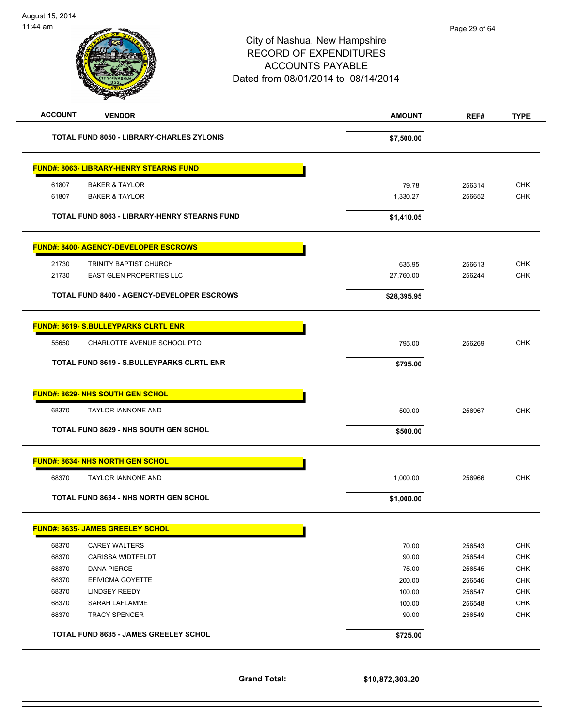# City of Nashua, New Hampshire RECORD OF EXPENDITURES ACCOUNTS PAYABLE Dated from 08/01/2014 to 08/14/2014 **ACCOUNT VENDOR AMOUNT REF# TYPE**

| <b>TOTAL FUND 8050 - LIBRARY-CHARLES ZYLONIS</b>    | \$7,500.00  |        |            |
|-----------------------------------------------------|-------------|--------|------------|
| <b>FUND#: 8063- LIBRARY-HENRY STEARNS FUND</b>      |             |        |            |
| 61807<br><b>BAKER &amp; TAYLOR</b>                  | 79.78       | 256314 | <b>CHK</b> |
| 61807<br><b>BAKER &amp; TAYLOR</b>                  | 1,330.27    | 256652 | <b>CHK</b> |
| <b>TOTAL FUND 8063 - LIBRARY-HENRY STEARNS FUND</b> | \$1,410.05  |        |            |
| <b>FUND#: 8400- AGENCY-DEVELOPER ESCROWS</b>        |             |        |            |
| 21730<br><b>TRINITY BAPTIST CHURCH</b>              | 635.95      | 256613 | <b>CHK</b> |
| 21730<br><b>EAST GLEN PROPERTIES LLC</b>            | 27,760.00   | 256244 | <b>CHK</b> |
| <b>TOTAL FUND 8400 - AGENCY-DEVELOPER ESCROWS</b>   | \$28,395.95 |        |            |
| <b>FUND#: 8619- S.BULLEYPARKS CLRTL ENR</b>         |             |        |            |
| 55650<br>CHARLOTTE AVENUE SCHOOL PTO                | 795.00      | 256269 | <b>CHK</b> |
| <b>TOTAL FUND 8619 - S.BULLEYPARKS CLRTL ENR</b>    | \$795.00    |        |            |
| <b>FUND#: 8629- NHS SOUTH GEN SCHOL</b>             |             |        |            |
| 68370<br><b>TAYLOR IANNONE AND</b>                  | 500.00      | 256967 | <b>CHK</b> |
| <b>TOTAL FUND 8629 - NHS SOUTH GEN SCHOL</b>        | \$500.00    |        |            |
| <b>FUND#: 8634- NHS NORTH GEN SCHOL</b>             |             |        |            |
| <b>TAYLOR IANNONE AND</b><br>68370                  | 1,000.00    | 256966 | <b>CHK</b> |
| <b>TOTAL FUND 8634 - NHS NORTH GEN SCHOL</b>        | \$1,000.00  |        |            |
| <b>FUND#: 8635- JAMES GREELEY SCHOL</b>             |             |        |            |
| 68370<br><b>CAREY WALTERS</b>                       | 70.00       | 256543 | <b>CHK</b> |
| 68370<br><b>CARISSA WIDTFELDT</b>                   | 90.00       | 256544 | <b>CHK</b> |
| 68370<br><b>DANA PIERCE</b>                         | 75.00       | 256545 | <b>CHK</b> |
| 68370<br>EFIVICMA GOYETTE                           | 200.00      | 256546 | <b>CHK</b> |
| 68370<br><b>LINDSEY REEDY</b>                       | 100.00      | 256547 | <b>CHK</b> |
| 68370<br><b>SARAH LAFLAMME</b>                      | 100.00      | 256548 | <b>CHK</b> |
| 68370<br><b>TRACY SPENCER</b>                       | 90.00       | 256549 | <b>CHK</b> |
| <b>TOTAL FUND 8635 - JAMES GREELEY SCHOL</b>        | \$725.00    |        |            |

**Grand Total: \$10,872,303.20**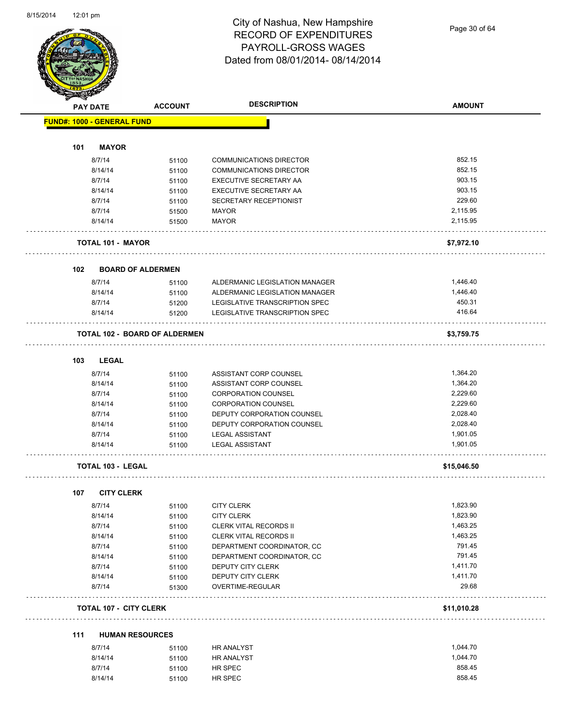

Page 30 of 64

|     | <b>PAY DATE</b>                   | <b>ACCOUNT</b>                       | <b>DESCRIPTION</b>                    | <b>AMOUNT</b> |
|-----|-----------------------------------|--------------------------------------|---------------------------------------|---------------|
|     | <b>FUND#: 1000 - GENERAL FUND</b> |                                      |                                       |               |
| 101 | <b>MAYOR</b>                      |                                      |                                       |               |
|     | 8/7/14                            | 51100                                | <b>COMMUNICATIONS DIRECTOR</b>        | 852.15        |
|     | 8/14/14                           | 51100                                | <b>COMMUNICATIONS DIRECTOR</b>        | 852.15        |
|     | 8/7/14                            | 51100                                | EXECUTIVE SECRETARY AA                | 903.15        |
|     | 8/14/14                           | 51100                                | EXECUTIVE SECRETARY AA                | 903.15        |
|     | 8/7/14                            | 51100                                | SECRETARY RECEPTIONIST                | 229.60        |
|     | 8/7/14                            | 51500                                | MAYOR                                 | 2,115.95      |
|     | 8/14/14                           | 51500                                | <b>MAYOR</b>                          | 2,115.95      |
|     | <b>TOTAL 101 - MAYOR</b>          |                                      |                                       | \$7,972.10    |
| 102 |                                   | <b>BOARD OF ALDERMEN</b>             |                                       |               |
|     | 8/7/14                            | 51100                                | ALDERMANIC LEGISLATION MANAGER        | 1,446.40      |
|     | 8/14/14                           | 51100                                | ALDERMANIC LEGISLATION MANAGER        | 1,446.40      |
|     | 8/7/14                            | 51200                                | LEGISLATIVE TRANSCRIPTION SPEC        | 450.31        |
|     | 8/14/14                           | 51200                                | <b>LEGISLATIVE TRANSCRIPTION SPEC</b> | 416.64        |
|     |                                   | <b>TOTAL 102 - BOARD OF ALDERMEN</b> |                                       | \$3,759.75    |
| 103 | <b>LEGAL</b>                      |                                      |                                       |               |
|     | 8/7/14                            | 51100                                | ASSISTANT CORP COUNSEL                | 1,364.20      |
|     | 8/14/14                           | 51100                                | ASSISTANT CORP COUNSEL                | 1,364.20      |
|     | 8/7/14                            | 51100                                | <b>CORPORATION COUNSEL</b>            | 2,229.60      |
|     | 8/14/14                           | 51100                                | <b>CORPORATION COUNSEL</b>            | 2,229.60      |
|     | 8/7/14                            | 51100                                | DEPUTY CORPORATION COUNSEL            | 2,028.40      |
|     | 8/14/14                           | 51100                                | DEPUTY CORPORATION COUNSEL            | 2,028.40      |
|     | 8/7/14                            | 51100                                | <b>LEGAL ASSISTANT</b>                | 1,901.05      |
|     | 8/14/14                           | 51100                                | <b>LEGAL ASSISTANT</b>                | 1,901.05      |
|     | <b>TOTAL 103 - LEGAL</b>          |                                      |                                       | \$15,046.50   |
|     |                                   |                                      |                                       |               |
| 107 | <b>CITY CLERK</b>                 |                                      |                                       |               |
|     | 8/7/14                            | 51100                                | <b>CITY CLERK</b>                     | 1,823.90      |
|     | 8/14/14                           | 51100                                | <b>CITY CLERK</b>                     | 1,823.90      |
|     | 8/7/14                            | 51100                                | <b>CLERK VITAL RECORDS II</b>         | 1,463.25      |
|     | 8/14/14                           | 51100                                | CLERK VITAL RECORDS II                | 1,463.25      |
|     | 8/7/14                            | 51100                                | DEPARTMENT COORDINATOR, CC            | 791.45        |
|     | 8/14/14                           | 51100                                | DEPARTMENT COORDINATOR, CC            | 791.45        |
|     | 8/7/14                            | 51100                                | DEPUTY CITY CLERK                     | 1,411.70      |
|     | 8/14/14                           | 51100                                | DEPUTY CITY CLERK                     | 1,411.70      |
|     | 8/7/14                            | 51300                                | OVERTIME-REGULAR                      | 29.68         |
|     | <b>TOTAL 107 - CITY CLERK</b>     |                                      |                                       | \$11,010.28   |
| 111 | <b>HUMAN RESOURCES</b>            |                                      |                                       |               |
|     | 8/7/14                            | 51100                                | HR ANALYST                            | 1,044.70      |
|     | 8/14/14                           | 51100                                | HR ANALYST                            | 1,044.70      |
|     | 8/7/14                            | 51100                                | HR SPEC                               | 858.45        |

8/14/14 51100 HR SPEC 358.45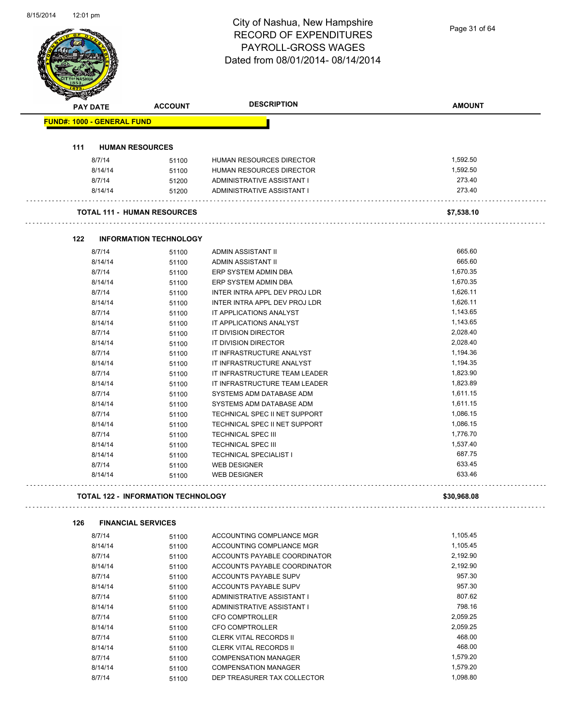Page 31 of 64

|     | <b>PAY DATE</b>                   | <b>ACCOUNT</b>                            | <b>DESCRIPTION</b>                                         | <b>AMOUNT</b>        |  |
|-----|-----------------------------------|-------------------------------------------|------------------------------------------------------------|----------------------|--|
|     | <b>FUND#: 1000 - GENERAL FUND</b> |                                           |                                                            |                      |  |
| 111 |                                   | <b>HUMAN RESOURCES</b>                    |                                                            |                      |  |
|     | 8/7/14                            | 51100                                     | HUMAN RESOURCES DIRECTOR                                   | 1,592.50             |  |
|     | 8/14/14                           | 51100                                     | HUMAN RESOURCES DIRECTOR                                   | 1,592.50             |  |
|     | 8/7/14                            | 51200                                     | ADMINISTRATIVE ASSISTANT I                                 | 273.40               |  |
|     | 8/14/14                           | 51200                                     | ADMINISTRATIVE ASSISTANT I                                 | 273.40               |  |
|     |                                   | <b>TOTAL 111 - HUMAN RESOURCES</b>        |                                                            | \$7,538.10           |  |
| 122 |                                   | <b>INFORMATION TECHNOLOGY</b>             |                                                            |                      |  |
|     | 8/7/14                            |                                           | <b>ADMIN ASSISTANT II</b>                                  | 665.60               |  |
|     |                                   | 51100                                     | ADMIN ASSISTANT II                                         | 665.60               |  |
|     | 8/14/14<br>8/7/14                 | 51100                                     | ERP SYSTEM ADMIN DBA                                       | 1,670.35             |  |
|     | 8/14/14                           | 51100                                     | ERP SYSTEM ADMIN DBA                                       | 1,670.35             |  |
|     | 8/7/14                            | 51100                                     | INTER INTRA APPL DEV PROJ LDR                              | 1,626.11             |  |
|     | 8/14/14                           | 51100<br>51100                            | INTER INTRA APPL DEV PROJ LDR                              | 1,626.11             |  |
|     | 8/7/14                            |                                           | IT APPLICATIONS ANALYST                                    | 1,143.65             |  |
|     | 8/14/14                           | 51100<br>51100                            | IT APPLICATIONS ANALYST                                    | 1,143.65             |  |
|     | 8/7/14                            |                                           | IT DIVISION DIRECTOR                                       | 2,028.40             |  |
|     | 8/14/14                           | 51100<br>51100                            | IT DIVISION DIRECTOR                                       | 2,028.40             |  |
|     | 8/7/14                            | 51100                                     | IT INFRASTRUCTURE ANALYST                                  | 1,194.36             |  |
|     | 8/14/14                           | 51100                                     | IT INFRASTRUCTURE ANALYST                                  | 1,194.35             |  |
|     | 8/7/14                            |                                           | IT INFRASTRUCTURE TEAM LEADER                              | 1,823.90             |  |
|     | 8/14/14                           | 51100<br>51100                            | IT INFRASTRUCTURE TEAM LEADER                              | 1,823.89             |  |
|     | 8/7/14                            | 51100                                     | SYSTEMS ADM DATABASE ADM                                   | 1,611.15             |  |
|     | 8/14/14                           | 51100                                     | SYSTEMS ADM DATABASE ADM                                   | 1,611.15             |  |
|     | 8/7/14                            | 51100                                     | TECHNICAL SPEC II NET SUPPORT                              | 1,086.15             |  |
|     | 8/14/14                           | 51100                                     | TECHNICAL SPEC II NET SUPPORT                              | 1,086.15             |  |
|     | 8/7/14                            | 51100                                     | <b>TECHNICAL SPEC III</b>                                  | 1,776.70             |  |
|     | 8/14/14                           | 51100                                     | <b>TECHNICAL SPEC III</b>                                  | 1,537.40             |  |
|     | 8/14/14                           | 51100                                     | <b>TECHNICAL SPECIALIST I</b>                              | 687.75               |  |
|     | 8/7/14                            | 51100                                     | <b>WEB DESIGNER</b>                                        | 633.45               |  |
|     | 8/14/14                           | 51100                                     | <b>WEB DESIGNER</b>                                        | 633.46               |  |
|     |                                   |                                           |                                                            |                      |  |
|     |                                   | <b>TOTAL 122 - INFORMATION TECHNOLOGY</b> |                                                            | \$30,968.08          |  |
| 126 |                                   | <b>FINANCIAL SERVICES</b>                 |                                                            |                      |  |
|     | 8/7/14                            | 51100                                     | ACCOUNTING COMPLIANCE MGR                                  | 1,105.45             |  |
|     | 8/14/14                           | 51100                                     | ACCOUNTING COMPLIANCE MGR                                  | 1,105.45             |  |
|     | 8/7/14                            | 51100                                     | ACCOUNTS PAYABLE COORDINATOR                               | 2,192.90             |  |
|     | 8/14/14                           | 51100                                     | ACCOUNTS PAYABLE COORDINATOR                               | 2,192.90             |  |
|     | 8/7/14                            | 51100                                     | ACCOUNTS PAYABLE SUPV                                      | 957.30               |  |
|     | 8/14/14                           | 51100                                     | ACCOUNTS PAYABLE SUPV                                      | 957.30               |  |
|     | 8/7/14                            | 51100                                     | ADMINISTRATIVE ASSISTANT I                                 | 807.62               |  |
|     | 8/14/14                           | 51100                                     | ADMINISTRATIVE ASSISTANT I                                 | 798.16               |  |
|     | 8/7/14                            | 51100                                     | <b>CFO COMPTROLLER</b>                                     | 2,059.25             |  |
|     | 8/14/14                           | 51100                                     | <b>CFO COMPTROLLER</b>                                     | 2,059.25             |  |
|     | 8/7/14                            | 51100                                     | <b>CLERK VITAL RECORDS II</b>                              | 468.00               |  |
|     | 8/14/14                           | 51100                                     | <b>CLERK VITAL RECORDS II</b>                              | 468.00               |  |
|     |                                   |                                           |                                                            |                      |  |
|     | 8/7/14<br>8/14/14                 | 51100<br>51100                            | <b>COMPENSATION MANAGER</b><br><b>COMPENSATION MANAGER</b> | 1,579.20<br>1,579.20 |  |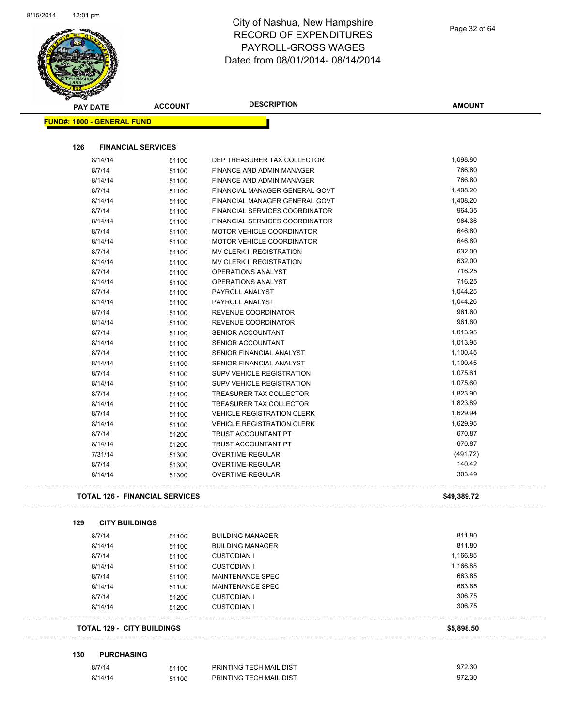

|     | <b>PAY DATE</b>                   | <b>ACCOUNT</b>                        | <b>DESCRIPTION</b>                       | <b>AMOUNT</b> |
|-----|-----------------------------------|---------------------------------------|------------------------------------------|---------------|
|     | <b>FUND#: 1000 - GENERAL FUND</b> |                                       |                                          |               |
|     |                                   |                                       |                                          |               |
| 126 | <b>FINANCIAL SERVICES</b>         |                                       |                                          |               |
|     | 8/14/14                           | 51100                                 | DEP TREASURER TAX COLLECTOR              | 1,098.80      |
|     | 8/7/14                            | 51100                                 | FINANCE AND ADMIN MANAGER                | 766.80        |
|     | 8/14/14                           | 51100                                 | FINANCE AND ADMIN MANAGER                | 766.80        |
|     | 8/7/14                            | 51100                                 | FINANCIAL MANAGER GENERAL GOVT           | 1,408.20      |
|     | 8/14/14                           | 51100                                 | FINANCIAL MANAGER GENERAL GOVT           | 1,408.20      |
|     | 8/7/14                            | 51100                                 | FINANCIAL SERVICES COORDINATOR           | 964.35        |
|     | 8/14/14                           | 51100                                 | FINANCIAL SERVICES COORDINATOR           | 964.36        |
|     | 8/7/14                            | 51100                                 | <b>MOTOR VEHICLE COORDINATOR</b>         | 646.80        |
|     | 8/14/14                           |                                       | MOTOR VEHICLE COORDINATOR                | 646.80        |
|     |                                   | 51100                                 |                                          | 632.00        |
|     | 8/7/14                            | 51100                                 | MV CLERK II REGISTRATION                 |               |
|     | 8/14/14                           | 51100                                 | MV CLERK II REGISTRATION                 | 632.00        |
|     | 8/7/14                            | 51100                                 | OPERATIONS ANALYST                       | 716.25        |
|     | 8/14/14                           | 51100                                 | OPERATIONS ANALYST                       | 716.25        |
|     | 8/7/14                            | 51100                                 | PAYROLL ANALYST                          | 1,044.25      |
|     | 8/14/14                           | 51100                                 | PAYROLL ANALYST                          | 1,044.26      |
|     | 8/7/14                            | 51100                                 | REVENUE COORDINATOR                      | 961.60        |
|     | 8/14/14                           | 51100                                 | REVENUE COORDINATOR                      | 961.60        |
|     | 8/7/14                            | 51100                                 | SENIOR ACCOUNTANT                        | 1,013.95      |
|     | 8/14/14                           | 51100                                 | SENIOR ACCOUNTANT                        | 1,013.95      |
|     | 8/7/14                            | 51100                                 | SENIOR FINANCIAL ANALYST                 | 1,100.45      |
|     | 8/14/14                           | 51100                                 | SENIOR FINANCIAL ANALYST                 | 1,100.45      |
|     | 8/7/14                            | 51100                                 | SUPV VEHICLE REGISTRATION                | 1,075.61      |
|     | 8/14/14                           | 51100                                 | SUPV VEHICLE REGISTRATION                | 1,075.60      |
|     | 8/7/14                            | 51100                                 | TREASURER TAX COLLECTOR                  | 1,823.90      |
|     | 8/14/14                           | 51100                                 | TREASURER TAX COLLECTOR                  | 1,823.89      |
|     | 8/7/14                            | 51100                                 | <b>VEHICLE REGISTRATION CLERK</b>        | 1,629.94      |
|     | 8/14/14                           | 51100                                 | <b>VEHICLE REGISTRATION CLERK</b>        | 1,629.95      |
|     | 8/7/14                            | 51200                                 | TRUST ACCOUNTANT PT                      | 670.87        |
|     | 8/14/14                           |                                       | TRUST ACCOUNTANT PT                      | 670.87        |
|     |                                   | 51200                                 | <b>OVERTIME-REGULAR</b>                  |               |
|     | 7/31/14                           | 51300                                 |                                          | (491.72)      |
|     | 8/7/14                            | 51300                                 | OVERTIME-REGULAR                         | 140.42        |
|     | 8/14/14                           | 51300                                 | OVERTIME-REGULAR                         | 303.49        |
|     |                                   | <b>TOTAL 126 - FINANCIAL SERVICES</b> |                                          | \$49,389.72   |
| 129 | <b>CITY BUILDINGS</b>             |                                       |                                          |               |
|     | 8/7/14                            | 51100                                 | <b>BUILDING MANAGER</b>                  | 811.80        |
|     | 8/14/14                           | 51100                                 | <b>BUILDING MANAGER</b>                  | 811.80        |
|     | 8/7/14                            | 51100                                 | <b>CUSTODIAN I</b>                       | 1,166.85      |
|     | 8/14/14                           | 51100                                 | <b>CUSTODIAN I</b>                       | 1,166.85      |
|     | 8/7/14                            | 51100                                 | <b>MAINTENANCE SPEC</b>                  | 663.85        |
|     | 8/14/14                           |                                       | <b>MAINTENANCE SPEC</b>                  | 663.85        |
|     |                                   | 51100                                 |                                          | 306.75        |
|     | 8/7/14<br>8/14/14                 | 51200<br>51200                        | <b>CUSTODIAN I</b><br><b>CUSTODIAN I</b> | 306.75        |
|     | <b>TOTAL 129 - CITY BUILDINGS</b> |                                       |                                          | \$5,898.50    |
|     |                                   |                                       |                                          |               |
| 130 | <b>PURCHASING</b>                 |                                       |                                          |               |
|     |                                   |                                       | PRINTING TECH MAIL DIST                  | 972.30        |
|     | 8/7/14                            | 51100                                 |                                          |               |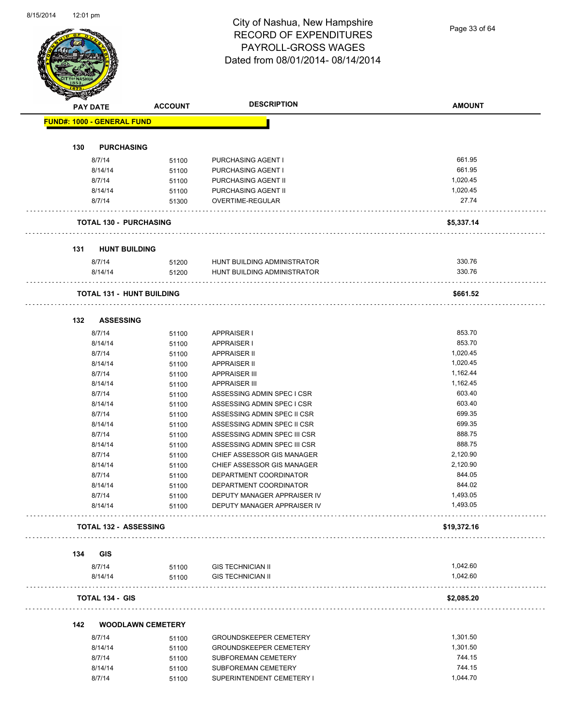

Page 33 of 64

|     | <b>PAY DATE</b>                   | <b>ACCOUNT</b>                   | <b>DESCRIPTION</b>            | <b>AMOUNT</b> |
|-----|-----------------------------------|----------------------------------|-------------------------------|---------------|
|     |                                   |                                  |                               |               |
|     | <b>FUND#: 1000 - GENERAL FUND</b> |                                  |                               |               |
| 130 | <b>PURCHASING</b>                 |                                  |                               |               |
|     | 8/7/14                            | 51100                            | PURCHASING AGENT I            | 661.95        |
|     | 8/14/14                           | 51100                            | PURCHASING AGENT I            | 661.95        |
|     | 8/7/14                            | 51100                            | PURCHASING AGENT II           | 1,020.45      |
|     | 8/14/14                           | 51100                            | PURCHASING AGENT II           | 1,020.45      |
|     | 8/7/14                            | 51300                            | OVERTIME-REGULAR              | 27.74         |
|     | <b>TOTAL 130 - PURCHASING</b>     |                                  |                               | \$5,337.14    |
|     |                                   |                                  |                               |               |
| 131 | <b>HUNT BUILDING</b>              |                                  |                               |               |
|     | 8/7/14                            | 51200                            | HUNT BUILDING ADMINISTRATOR   | 330.76        |
|     | 8/14/14                           | 51200                            | HUNT BUILDING ADMINISTRATOR   | 330.76        |
|     |                                   | <b>TOTAL 131 - HUNT BUILDING</b> |                               | \$661.52      |
| 132 | <b>ASSESSING</b>                  |                                  |                               |               |
|     | 8/7/14                            | 51100                            | <b>APPRAISER I</b>            | 853.70        |
|     | 8/14/14                           | 51100                            | <b>APPRAISER I</b>            | 853.70        |
|     | 8/7/14                            | 51100                            | <b>APPRAISER II</b>           | 1,020.45      |
|     | 8/14/14                           |                                  | <b>APPRAISER II</b>           | 1,020.45      |
|     |                                   | 51100                            |                               | 1,162.44      |
|     | 8/7/14                            | 51100                            | <b>APPRAISER III</b>          |               |
|     | 8/14/14                           | 51100                            | <b>APPRAISER III</b>          | 1,162.45      |
|     | 8/7/14                            | 51100                            | ASSESSING ADMIN SPEC I CSR    | 603.40        |
|     | 8/14/14                           | 51100                            | ASSESSING ADMIN SPEC I CSR    | 603.40        |
|     | 8/7/14                            | 51100                            | ASSESSING ADMIN SPEC II CSR   | 699.35        |
|     | 8/14/14                           | 51100                            | ASSESSING ADMIN SPEC II CSR   | 699.35        |
|     | 8/7/14                            | 51100                            | ASSESSING ADMIN SPEC III CSR  | 888.75        |
|     | 8/14/14                           | 51100                            | ASSESSING ADMIN SPEC III CSR  | 888.75        |
|     | 8/7/14                            | 51100                            | CHIEF ASSESSOR GIS MANAGER    | 2,120.90      |
|     | 8/14/14                           | 51100                            | CHIEF ASSESSOR GIS MANAGER    | 2,120.90      |
|     | 8/7/14                            | 51100                            | DEPARTMENT COORDINATOR        | 844.05        |
|     | 8/14/14                           | 51100                            | DEPARTMENT COORDINATOR        | 844.02        |
|     | 8/7/14                            | 51100                            | DEPUTY MANAGER APPRAISER IV   | 1,493.05      |
|     | 8/14/14                           | 51100                            | DEPUTY MANAGER APPRAISER IV   | 1,493.05      |
|     | <b>TOTAL 132 - ASSESSING</b>      |                                  |                               | \$19,372.16   |
| 134 | <b>GIS</b>                        |                                  |                               |               |
|     | 8/7/14                            | 51100                            | <b>GIS TECHNICIAN II</b>      | 1,042.60      |
|     | 8/14/14                           | 51100                            | <b>GIS TECHNICIAN II</b>      | 1,042.60      |
|     | <b>TOTAL 134 - GIS</b>            |                                  |                               | \$2,085.20    |
| 142 |                                   | <b>WOODLAWN CEMETERY</b>         |                               |               |
|     | 8/7/14                            | 51100                            | <b>GROUNDSKEEPER CEMETERY</b> | 1,301.50      |
|     | 8/14/14                           | 51100                            | <b>GROUNDSKEEPER CEMETERY</b> | 1,301.50      |
|     | 8/7/14                            | 51100                            | SUBFOREMAN CEMETERY           | 744.15        |
|     |                                   |                                  |                               |               |
|     | 8/14/14                           | 51100                            | SUBFOREMAN CEMETERY           | 744.15        |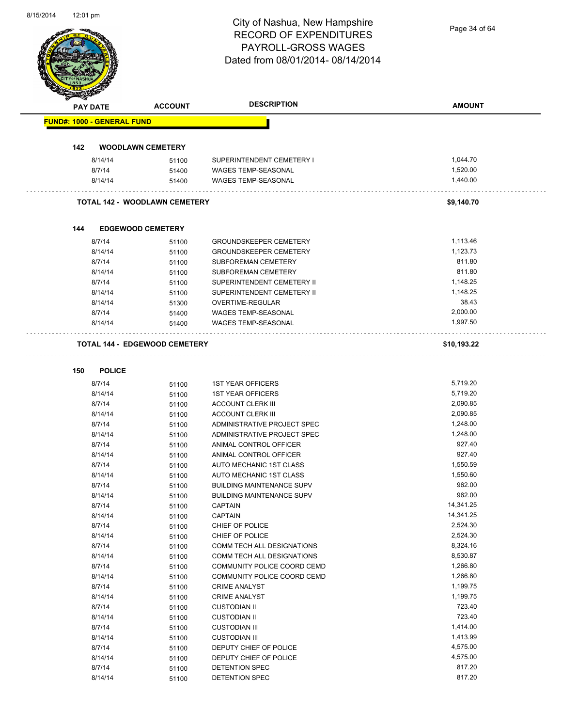|                                   |                                      | City of Nashua, New Hampshire<br><b>RECORD OF EXPENDITURES</b> | Page 34 of 64 |
|-----------------------------------|--------------------------------------|----------------------------------------------------------------|---------------|
|                                   |                                      | PAYROLL-GROSS WAGES                                            |               |
|                                   |                                      | Dated from 08/01/2014-08/14/2014                               |               |
|                                   |                                      |                                                                |               |
|                                   |                                      |                                                                |               |
|                                   |                                      |                                                                |               |
| <b>PAY DATE</b>                   | <b>ACCOUNT</b>                       | <b>DESCRIPTION</b>                                             | <b>AMOUNT</b> |
| <b>FUND#: 1000 - GENERAL FUND</b> |                                      |                                                                |               |
|                                   |                                      |                                                                |               |
| 142                               | <b>WOODLAWN CEMETERY</b>             |                                                                |               |
| 8/14/14                           | 51100                                | SUPERINTENDENT CEMETERY I                                      | 1,044.70      |
| 8/7/14                            | 51400                                | WAGES TEMP-SEASONAL                                            | 1,520.00      |
| 8/14/14                           | 51400                                | WAGES TEMP-SEASONAL                                            | 1,440.00      |
|                                   | <b>TOTAL 142 - WOODLAWN CEMETERY</b> |                                                                | \$9,140.70    |
|                                   |                                      |                                                                |               |
| 144                               | <b>EDGEWOOD CEMETERY</b>             |                                                                |               |
| 8/7/14                            | 51100                                | <b>GROUNDSKEEPER CEMETERY</b>                                  | 1,113.46      |
| 8/14/14                           | 51100                                | <b>GROUNDSKEEPER CEMETERY</b>                                  | 1,123.73      |
| 8/7/14                            | 51100                                | SUBFOREMAN CEMETERY                                            | 811.80        |
| 8/14/14                           | 51100                                | SUBFOREMAN CEMETERY                                            | 811.80        |
| 8/7/14                            | 51100                                | SUPERINTENDENT CEMETERY II                                     | 1,148.25      |
| 8/14/14                           | 51100                                | SUPERINTENDENT CEMETERY II                                     | 1,148.25      |
| 8/14/14                           | 51300                                | OVERTIME-REGULAR                                               | 38.43         |
| 8/7/14                            | 51400                                | <b>WAGES TEMP-SEASONAL</b>                                     | 2,000.00      |
| 8/14/14                           | 51400                                | WAGES TEMP-SEASONAL                                            | 1,997.50      |
|                                   | <b>TOTAL 144 - EDGEWOOD CEMETERY</b> |                                                                | \$10,193.22   |
|                                   |                                      |                                                                |               |
| <b>POLICE</b><br>150              |                                      |                                                                |               |
| 8/7/14                            | 51100                                | <b>1ST YEAR OFFICERS</b>                                       | 5,719.20      |
| 8/14/14                           | 51100                                | <b>1ST YEAR OFFICERS</b>                                       | 5,719.20      |
| 8/7/14                            | 51100                                | <b>ACCOUNT CLERK III</b>                                       | 2,090.85      |
| 8/14/14                           | 51100                                | <b>ACCOUNT CLERK III</b>                                       | 2,090.85      |
| 8/7/14                            | 51100                                | ADMINISTRATIVE PROJECT SPEC                                    | 1,248.00      |
| 8/14/14                           | 51100                                | ADMINISTRATIVE PROJECT SPEC                                    | 1,248.00      |
| 8/7/14                            | 51100                                | ANIMAL CONTROL OFFICER                                         | 927.40        |
| 8/14/14                           | 51100                                | ANIMAL CONTROL OFFICER                                         | 927.40        |
| 8/7/14                            | 51100                                | AUTO MECHANIC 1ST CLASS                                        | 1,550.59      |
| 8/14/14                           | 51100                                | AUTO MECHANIC 1ST CLASS                                        | 1,550.60      |
| 8/7/14                            | 51100                                | <b>BUILDING MAINTENANCE SUPV</b>                               | 962.00        |
| 8/14/14                           |                                      | <b>BUILDING MAINTENANCE SUPV</b>                               | 962.00        |
| 8/7/14                            | 51100                                | <b>CAPTAIN</b>                                                 | 14,341.25     |
|                                   | 51100                                | <b>CAPTAIN</b>                                                 | 14,341.25     |
| 8/14/14                           | 51100                                |                                                                |               |
| 8/7/14                            | 51100                                | CHIEF OF POLICE                                                | 2,524.30      |
| 8/14/14                           | 51100                                | CHIEF OF POLICE                                                | 2,524.30      |
| 8/7/14                            | 51100                                | COMM TECH ALL DESIGNATIONS                                     | 8,324.16      |
| 8/14/14                           | 51100                                | COMM TECH ALL DESIGNATIONS                                     | 8,530.87      |
| 8/7/14                            | 51100                                | COMMUNITY POLICE COORD CEMD                                    | 1,266.80      |
| 8/14/14                           | 51100                                | COMMUNITY POLICE COORD CEMD                                    | 1,266.80      |
| 8/7/14                            | 51100                                | <b>CRIME ANALYST</b>                                           | 1,199.75      |
| 8/14/14                           | 51100                                | <b>CRIME ANALYST</b>                                           | 1,199.75      |
| 8/7/14                            | 51100                                | <b>CUSTODIAN II</b>                                            | 723.40        |
| 8/14/14                           | 51100                                | <b>CUSTODIAN II</b>                                            | 723.40        |
| 8/7/14                            | 51100                                | <b>CUSTODIAN III</b>                                           | 1,414.00      |
| 8/14/14                           | 51100                                | <b>CUSTODIAN III</b>                                           | 1,413.99      |
| 8/7/14                            | 51100                                | DEPUTY CHIEF OF POLICE                                         | 4,575.00      |
| 8/14/14                           | 51100                                | DEPUTY CHIEF OF POLICE                                         | 4,575.00      |
| 8/7/14                            | 51100                                | DETENTION SPEC                                                 | 817.20        |
| 8/14/14                           | 51100                                | DETENTION SPEC                                                 | 817.20        |
|                                   |                                      |                                                                |               |

8/15/2014 12:01 pm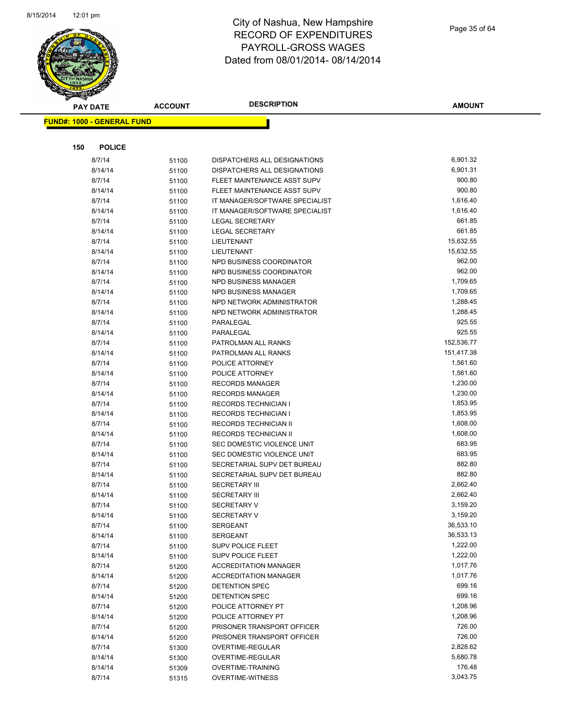

|     | <b>PAY DATE</b>                   | <b>ACCOUNT</b> | <b>DESCRIPTION</b>                               | <b>AMOUNT</b>    |
|-----|-----------------------------------|----------------|--------------------------------------------------|------------------|
|     | <b>FUND#: 1000 - GENERAL FUND</b> |                |                                                  |                  |
|     |                                   |                |                                                  |                  |
|     |                                   |                |                                                  |                  |
| 150 | <b>POLICE</b>                     |                |                                                  |                  |
|     | 8/7/14                            | 51100          | DISPATCHERS ALL DESIGNATIONS                     | 6,901.32         |
|     | 8/14/14                           | 51100          | DISPATCHERS ALL DESIGNATIONS                     | 6,901.31         |
|     | 8/7/14                            | 51100          | FLEET MAINTENANCE ASST SUPV                      | 900.80           |
|     | 8/14/14                           | 51100          | FLEET MAINTENANCE ASST SUPV                      | 900.80           |
|     | 8/7/14                            | 51100          | IT MANAGER/SOFTWARE SPECIALIST                   | 1,616.40         |
|     | 8/14/14                           | 51100          | IT MANAGER/SOFTWARE SPECIALIST                   | 1,616.40         |
|     | 8/7/14                            | 51100          | <b>LEGAL SECRETARY</b>                           | 661.85           |
|     | 8/14/14                           | 51100          | <b>LEGAL SECRETARY</b>                           | 661.85           |
|     | 8/7/14                            | 51100          | LIEUTENANT                                       | 15,632.55        |
|     | 8/14/14                           | 51100          | LIEUTENANT                                       | 15,632.55        |
|     | 8/7/14                            | 51100          | NPD BUSINESS COORDINATOR                         | 962.00<br>962.00 |
|     | 8/14/14<br>8/7/14                 | 51100          | NPD BUSINESS COORDINATOR<br>NPD BUSINESS MANAGER | 1,709.65         |
|     |                                   | 51100          | NPD BUSINESS MANAGER                             | 1,709.65         |
|     | 8/14/14<br>8/7/14                 | 51100          | NPD NETWORK ADMINISTRATOR                        | 1,288.45         |
|     | 8/14/14                           | 51100          | NPD NETWORK ADMINISTRATOR                        | 1,288.45         |
|     | 8/7/14                            | 51100          | PARALEGAL                                        | 925.55           |
|     | 8/14/14                           | 51100          | PARALEGAL                                        | 925.55           |
|     | 8/7/14                            | 51100          | PATROLMAN ALL RANKS                              | 152,536.77       |
|     | 8/14/14                           | 51100<br>51100 | PATROLMAN ALL RANKS                              | 151,417.38       |
|     | 8/7/14                            | 51100          | POLICE ATTORNEY                                  | 1,561.60         |
|     | 8/14/14                           | 51100          | POLICE ATTORNEY                                  | 1,561.60         |
|     | 8/7/14                            | 51100          | <b>RECORDS MANAGER</b>                           | 1,230.00         |
|     | 8/14/14                           | 51100          | <b>RECORDS MANAGER</b>                           | 1,230.00         |
|     | 8/7/14                            | 51100          | <b>RECORDS TECHNICIAN I</b>                      | 1,853.95         |
|     | 8/14/14                           | 51100          | <b>RECORDS TECHNICIAN I</b>                      | 1,853.95         |
|     | 8/7/14                            | 51100          | RECORDS TECHNICIAN II                            | 1,608.00         |
|     | 8/14/14                           | 51100          | RECORDS TECHNICIAN II                            | 1,608.00         |
|     | 8/7/14                            | 51100          | SEC DOMESTIC VIOLENCE UNIT                       | 683.95           |
|     | 8/14/14                           | 51100          | SEC DOMESTIC VIOLENCE UNIT                       | 683.95           |
|     | 8/7/14                            | 51100          | SECRETARIAL SUPV DET BUREAU                      | 882.80           |
|     | 8/14/14                           | 51100          | SECRETARIAL SUPV DET BUREAU                      | 882.80           |
|     | 8/7/14                            | 51100          | <b>SECRETARY III</b>                             | 2,662.40         |
|     | 8/14/14                           | 51100          | <b>SECRETARY III</b>                             | 2,662.40         |
|     | 8/7/14                            | 51100          | <b>SECRETARY V</b>                               | 3,159.20         |
|     | 8/14/14                           | 51100          | <b>SECRETARY V</b>                               | 3,159.20         |
|     | 8/7/14                            | 51100          | <b>SERGEANT</b>                                  | 36,533.10        |
|     | 8/14/14                           | 51100          | SERGEANT                                         | 36,533.13        |
|     | 8/7/14                            | 51100          | <b>SUPV POLICE FLEET</b>                         | 1,222.00         |
|     | 8/14/14                           | 51100          | <b>SUPV POLICE FLEET</b>                         | 1,222.00         |
|     | 8/7/14                            | 51200          | <b>ACCREDITATION MANAGER</b>                     | 1,017.76         |
|     | 8/14/14                           | 51200          | <b>ACCREDITATION MANAGER</b>                     | 1,017.76         |
|     | 8/7/14                            | 51200          | DETENTION SPEC                                   | 699.16           |
|     | 8/14/14                           | 51200          | DETENTION SPEC                                   | 699.16           |
|     | 8/7/14                            | 51200          | POLICE ATTORNEY PT                               | 1,208.96         |
|     | 8/14/14                           | 51200          | POLICE ATTORNEY PT                               | 1,208.96         |
|     | 8/7/14                            | 51200          | PRISONER TRANSPORT OFFICER                       | 726.00           |
|     | 8/14/14                           | 51200          | PRISONER TRANSPORT OFFICER                       | 726.00           |
|     | 8/7/14                            | 51300          | OVERTIME-REGULAR                                 | 2,828.62         |
|     | 8/14/14                           | 51300          | OVERTIME-REGULAR                                 | 5,680.78         |
|     | 8/14/14                           | 51309          | OVERTIME-TRAINING                                | 176.48           |
|     | 8/7/14                            | 51315          | OVERTIME-WITNESS                                 | 3,043.75         |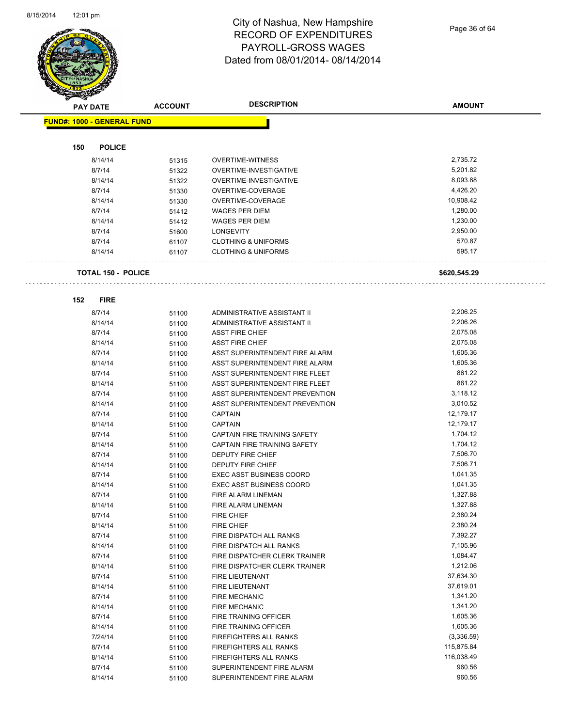

Page 36 of 64

|     | <b>PAY DATE</b>                   | <b>ACCOUNT</b> | <b>DESCRIPTION</b>              | <b>AMOUNT</b> |
|-----|-----------------------------------|----------------|---------------------------------|---------------|
|     | <b>FUND#: 1000 - GENERAL FUND</b> |                |                                 |               |
|     |                                   |                |                                 |               |
| 150 | <b>POLICE</b>                     |                |                                 |               |
|     | 8/14/14                           | 51315          | <b>OVERTIME-WITNESS</b>         | 2,735.72      |
|     | 8/7/14                            | 51322          | OVERTIME-INVESTIGATIVE          | 5,201.82      |
|     | 8/14/14                           | 51322          | OVERTIME-INVESTIGATIVE          | 8,093.88      |
|     | 8/7/14                            | 51330          | OVERTIME-COVERAGE               | 4,426.20      |
|     | 8/14/14                           | 51330          | OVERTIME-COVERAGE               | 10,908.42     |
|     | 8/7/14                            | 51412          | <b>WAGES PER DIEM</b>           | 1,280.00      |
|     | 8/14/14                           | 51412          | <b>WAGES PER DIEM</b>           | 1,230.00      |
|     | 8/7/14                            | 51600          | LONGEVITY                       | 2,950.00      |
|     | 8/7/14                            | 61107          | <b>CLOTHING &amp; UNIFORMS</b>  | 570.87        |
|     | 8/14/14                           | 61107          | <b>CLOTHING &amp; UNIFORMS</b>  | 595.17        |
|     | <b>TOTAL 150 - POLICE</b>         |                |                                 | \$620,545.29  |
|     |                                   |                |                                 |               |
| 152 | <b>FIRE</b>                       |                |                                 |               |
|     | 8/7/14                            | 51100          | ADMINISTRATIVE ASSISTANT II     | 2,206.25      |
|     | 8/14/14                           | 51100          | ADMINISTRATIVE ASSISTANT II     | 2,206.26      |
|     | 8/7/14                            | 51100          | <b>ASST FIRE CHIEF</b>          | 2,075.08      |
|     | 8/14/14                           | 51100          | <b>ASST FIRE CHIEF</b>          | 2,075.08      |
|     | 8/7/14                            | 51100          | ASST SUPERINTENDENT FIRE ALARM  | 1,605.36      |
|     | 8/14/14                           | 51100          | ASST SUPERINTENDENT FIRE ALARM  | 1,605.36      |
|     | 8/7/14                            | 51100          | ASST SUPERINTENDENT FIRE FLEET  | 861.22        |
|     | 8/14/14                           | 51100          | ASST SUPERINTENDENT FIRE FLEET  | 861.22        |
|     | 8/7/14                            | 51100          | ASST SUPERINTENDENT PREVENTION  | 3,118.12      |
|     | 8/14/14                           | 51100          | ASST SUPERINTENDENT PREVENTION  | 3,010.52      |
|     | 8/7/14                            | 51100          | <b>CAPTAIN</b>                  | 12,179.17     |
|     | 8/14/14                           | 51100          | <b>CAPTAIN</b>                  | 12,179.17     |
|     | 8/7/14                            | 51100          | CAPTAIN FIRE TRAINING SAFETY    | 1,704.12      |
|     | 8/14/14                           | 51100          | CAPTAIN FIRE TRAINING SAFETY    | 1,704.12      |
|     | 8/7/14                            | 51100          | DEPUTY FIRE CHIEF               | 7,506.70      |
|     | 8/14/14                           | 51100          | DEPUTY FIRE CHIEF               | 7,506.71      |
|     | 8/7/14                            | 51100          | <b>EXEC ASST BUSINESS COORD</b> | 1,041.35      |
|     | 8/14/14                           | 51100          | <b>EXEC ASST BUSINESS COORD</b> | 1,041.35      |
|     | 8/7/14                            | 51100          | FIRE ALARM LINEMAN              | 1,327.88      |
|     | 8/14/14                           | 51100          | FIRE ALARM LINEMAN              | 1,327.88      |
|     | 8/7/14                            | 51100          | FIRE CHIEF                      | 2,380.24      |
|     | 8/14/14                           | 51100          | FIRE CHIEF                      | 2,380.24      |
|     | 8/7/14                            | 51100          | FIRE DISPATCH ALL RANKS         | 7,392.27      |
|     | 8/14/14                           | 51100          | FIRE DISPATCH ALL RANKS         | 7,105.96      |
|     | 8/7/14                            | 51100          | FIRE DISPATCHER CLERK TRAINER   | 1,084.47      |
|     | 8/14/14                           | 51100          | FIRE DISPATCHER CLERK TRAINER   | 1,212.06      |
|     | 8/7/14                            | 51100          | FIRE LIEUTENANT                 | 37,634.30     |
|     | 8/14/14                           | 51100          | FIRE LIEUTENANT                 | 37,619.01     |
|     | 8/7/14                            | 51100          | <b>FIRE MECHANIC</b>            | 1,341.20      |
|     | 8/14/14                           | 51100          | <b>FIRE MECHANIC</b>            | 1,341.20      |
|     | 8/7/14                            | 51100          | FIRE TRAINING OFFICER           | 1,605.36      |
|     | 8/14/14                           | 51100          | FIRE TRAINING OFFICER           | 1,605.36      |
|     | 7/24/14                           | 51100          | FIREFIGHTERS ALL RANKS          | (3,336.59)    |
|     | 8/7/14                            | 51100          | FIREFIGHTERS ALL RANKS          | 115,875.84    |
|     | 8/14/14                           | 51100          | FIREFIGHTERS ALL RANKS          | 116,038.49    |
|     | 8/7/14                            | 51100          | SUPERINTENDENT FIRE ALARM       | 960.56        |
|     | 8/14/14                           | 51100          | SUPERINTENDENT FIRE ALARM       | 960.56        |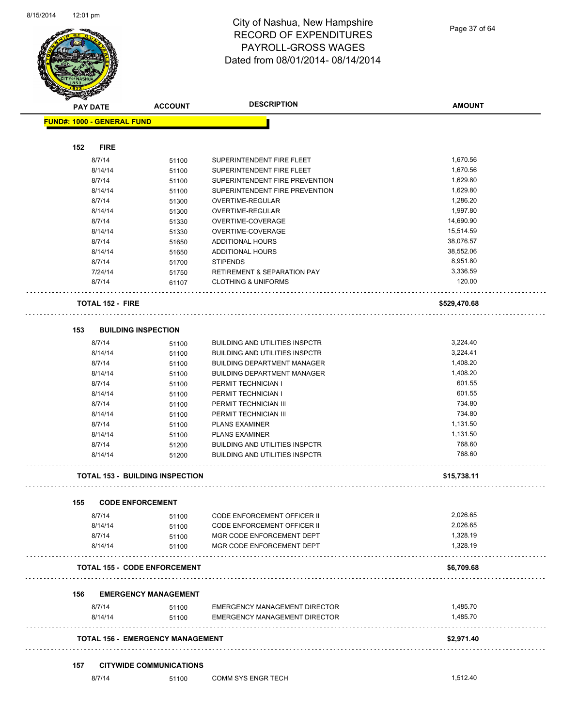

Page 37 of 64

| <b>STATERS</b>                    |                            |                                         |                                        |               |
|-----------------------------------|----------------------------|-----------------------------------------|----------------------------------------|---------------|
|                                   | <b>PAY DATE</b>            | <b>ACCOUNT</b>                          | <b>DESCRIPTION</b>                     | <b>AMOUNT</b> |
| <b>FUND#: 1000 - GENERAL FUND</b> |                            |                                         |                                        |               |
|                                   |                            |                                         |                                        |               |
| 152                               | <b>FIRE</b>                |                                         |                                        |               |
|                                   | 8/7/14                     | 51100                                   | SUPERINTENDENT FIRE FLEET              | 1,670.56      |
|                                   | 8/14/14                    | 51100                                   | SUPERINTENDENT FIRE FLEET              | 1,670.56      |
|                                   | 8/7/14                     | 51100                                   | SUPERINTENDENT FIRE PREVENTION         | 1,629.80      |
|                                   | 8/14/14                    | 51100                                   | SUPERINTENDENT FIRE PREVENTION         | 1,629.80      |
|                                   | 8/7/14                     | 51300                                   | <b>OVERTIME-REGULAR</b>                | 1,286.20      |
|                                   | 8/14/14                    | 51300                                   | <b>OVERTIME-REGULAR</b>                | 1,997.80      |
|                                   | 8/7/14                     | 51330                                   | OVERTIME-COVERAGE                      | 14,690.90     |
|                                   | 8/14/14                    | 51330                                   | OVERTIME-COVERAGE                      | 15,514.59     |
|                                   | 8/7/14                     |                                         | <b>ADDITIONAL HOURS</b>                | 38,076.57     |
|                                   |                            | 51650                                   |                                        |               |
|                                   | 8/14/14                    | 51650                                   | <b>ADDITIONAL HOURS</b>                | 38,552.06     |
|                                   | 8/7/14                     | 51700                                   | <b>STIPENDS</b>                        | 8,951.80      |
|                                   | 7/24/14                    | 51750                                   | <b>RETIREMENT &amp; SEPARATION PAY</b> | 3,336.59      |
|                                   | 8/7/14                     | 61107                                   | <b>CLOTHING &amp; UNIFORMS</b>         | 120.00        |
|                                   | <b>TOTAL 152 - FIRE</b>    |                                         |                                        | \$529,470.68  |
| 153                               | <b>BUILDING INSPECTION</b> |                                         |                                        |               |
|                                   | 8/7/14                     | 51100                                   | <b>BUILDING AND UTILITIES INSPCTR</b>  | 3,224.40      |
|                                   | 8/14/14                    | 51100                                   | <b>BUILDING AND UTILITIES INSPCTR</b>  | 3,224.41      |
|                                   | 8/7/14                     | 51100                                   | <b>BUILDING DEPARTMENT MANAGER</b>     | 1,408.20      |
|                                   | 8/14/14                    | 51100                                   | <b>BUILDING DEPARTMENT MANAGER</b>     | 1,408.20      |
|                                   | 8/7/14                     | 51100                                   | PERMIT TECHNICIAN I                    | 601.55        |
|                                   | 8/14/14                    |                                         | PERMIT TECHNICIAN I                    | 601.55        |
|                                   |                            | 51100                                   |                                        | 734.80        |
|                                   | 8/7/14                     | 51100                                   | PERMIT TECHNICIAN III                  | 734.80        |
|                                   | 8/14/14                    | 51100                                   | PERMIT TECHNICIAN III                  |               |
|                                   | 8/7/14                     | 51100                                   | <b>PLANS EXAMINER</b>                  | 1,131.50      |
|                                   | 8/14/14                    | 51100                                   | <b>PLANS EXAMINER</b>                  | 1,131.50      |
|                                   | 8/7/14                     | 51200                                   | <b>BUILDING AND UTILITIES INSPCTR</b>  | 768.60        |
|                                   | 8/14/14                    | 51200                                   | <b>BUILDING AND UTILITIES INSPCTR</b>  | 768.60        |
|                                   |                            | <b>TOTAL 153 - BUILDING INSPECTION</b>  |                                        | \$15,738.11   |
| 155                               | <b>CODE ENFORCEMENT</b>    |                                         |                                        |               |
|                                   | 8/7/14                     | 51100                                   | CODE ENFORCEMENT OFFICER II            | 2,026.65      |
|                                   | 8/14/14                    | 51100                                   | <b>CODE ENFORCEMENT OFFICER II</b>     | 2,026.65      |
|                                   | 8/7/14                     | 51100                                   | MGR CODE ENFORCEMENT DEPT              | 1,328.19      |
|                                   | 8/14/14                    | 51100                                   | MGR CODE ENFORCEMENT DEPT              | 1,328.19      |
|                                   |                            | <b>TOTAL 155 - CODE ENFORCEMENT</b>     |                                        | \$6,709.68    |
| 156                               |                            | <b>EMERGENCY MANAGEMENT</b>             |                                        |               |
|                                   | 8/7/14                     |                                         | <b>EMERGENCY MANAGEMENT DIRECTOR</b>   | 1,485.70      |
|                                   | 8/14/14                    | 51100<br>51100                          | EMERGENCY MANAGEMENT DIRECTOR          | 1,485.70      |
|                                   |                            | <b>TOTAL 156 - EMERGENCY MANAGEMENT</b> |                                        | \$2,971.40    |
| 157                               |                            | <b>CITYWIDE COMMUNICATIONS</b>          |                                        |               |
|                                   | 8/7/14                     | 51100                                   | COMM SYS ENGR TECH                     | 1,512.40      |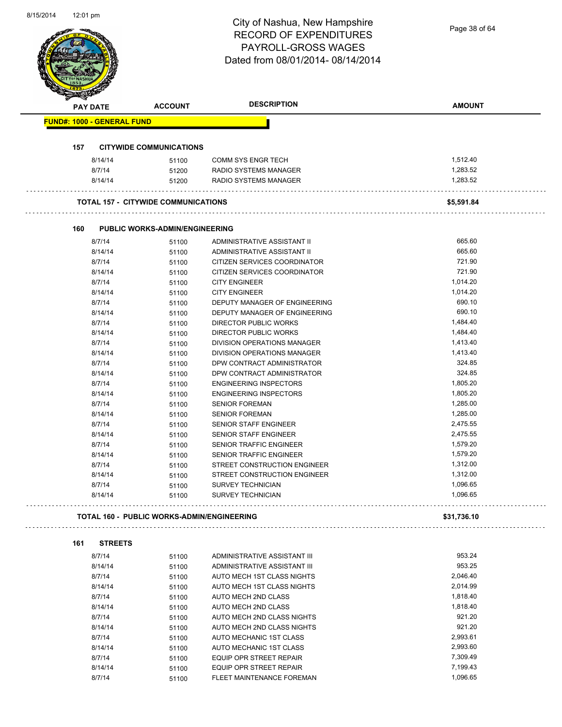| 8/15/2014 | 12:01 pm                          |                                                   | City of Nashua, New Hampshire<br><b>RECORD OF EXPENDITURES</b><br>PAYROLL-GROSS WAGES<br>Dated from 08/01/2014-08/14/2014 | Page 38 of 64        |
|-----------|-----------------------------------|---------------------------------------------------|---------------------------------------------------------------------------------------------------------------------------|----------------------|
|           | PAY DATE                          | <b>ACCOUNT</b>                                    | <b>DESCRIPTION</b>                                                                                                        | <b>AMOUNT</b>        |
|           | <b>FUND#: 1000 - GENERAL FUND</b> |                                                   |                                                                                                                           |                      |
|           |                                   |                                                   |                                                                                                                           |                      |
|           | 157                               | <b>CITYWIDE COMMUNICATIONS</b>                    |                                                                                                                           |                      |
|           | 8/14/14<br>8/7/14                 | 51100                                             | <b>COMM SYS ENGR TECH</b><br>RADIO SYSTEMS MANAGER                                                                        | 1,512.40<br>1,283.52 |
|           | 8/14/14                           | 51200<br>51200                                    | RADIO SYSTEMS MANAGER                                                                                                     | 1,283.52             |
|           |                                   |                                                   |                                                                                                                           |                      |
|           |                                   | <b>TOTAL 157 - CITYWIDE COMMUNICATIONS</b>        |                                                                                                                           | \$5,591.84           |
|           |                                   |                                                   |                                                                                                                           |                      |
|           | 160                               | <b>PUBLIC WORKS-ADMIN/ENGINEERING</b>             |                                                                                                                           |                      |
|           | 8/7/14<br>8/14/14                 | 51100                                             | ADMINISTRATIVE ASSISTANT II<br>ADMINISTRATIVE ASSISTANT II                                                                | 665.60<br>665.60     |
|           | 8/7/14                            | 51100                                             |                                                                                                                           | 721.90               |
|           | 8/14/14                           | 51100<br>51100                                    | CITIZEN SERVICES COORDINATOR<br>CITIZEN SERVICES COORDINATOR                                                              | 721.90               |
|           | 8/7/14                            | 51100                                             | <b>CITY ENGINEER</b>                                                                                                      | 1,014.20             |
|           | 8/14/14                           | 51100                                             | <b>CITY ENGINEER</b>                                                                                                      | 1,014.20             |
|           | 8/7/14                            | 51100                                             | DEPUTY MANAGER OF ENGINEERING                                                                                             | 690.10               |
|           | 8/14/14                           | 51100                                             | DEPUTY MANAGER OF ENGINEERING                                                                                             | 690.10               |
|           | 8/7/14                            | 51100                                             | <b>DIRECTOR PUBLIC WORKS</b>                                                                                              | 1,484.40             |
|           | 8/14/14                           | 51100                                             | <b>DIRECTOR PUBLIC WORKS</b>                                                                                              | 1,484.40             |
|           | 8/7/14                            | 51100                                             | DIVISION OPERATIONS MANAGER                                                                                               | 1,413.40             |
|           | 8/14/14                           | 51100                                             | DIVISION OPERATIONS MANAGER                                                                                               | 1,413.40             |
|           | 8/7/14                            | 51100                                             | DPW CONTRACT ADMINISTRATOR                                                                                                | 324.85               |
|           | 8/14/14                           | 51100                                             | DPW CONTRACT ADMINISTRATOR                                                                                                | 324.85               |
|           | 8/7/14                            | 51100                                             | <b>ENGINEERING INSPECTORS</b>                                                                                             | 1,805.20             |
|           | 8/14/14                           | 51100                                             | <b>ENGINEERING INSPECTORS</b>                                                                                             | 1,805.20             |
|           | 8/7/14                            | 51100                                             | <b>SENIOR FOREMAN</b>                                                                                                     | 1,285.00             |
|           | 8/14/14                           | 51100                                             | <b>SENIOR FOREMAN</b>                                                                                                     | 1,285.00             |
|           | 8/7/14                            | 51100                                             | <b>SENIOR STAFF ENGINEER</b>                                                                                              | 2,475.55             |
|           | 8/14/14                           | 51100                                             | <b>SENIOR STAFF ENGINEER</b>                                                                                              | 2,475.55             |
|           | 8/7/14                            | 51100                                             | SENIOR TRAFFIC ENGINEER                                                                                                   | 1,579.20             |
|           | 8/14/14                           | 51100                                             | <b>SENIOR TRAFFIC ENGINEER</b>                                                                                            | 1,579.20             |
|           | 8/7/14                            | 51100                                             | STREET CONSTRUCTION ENGINEER                                                                                              | 1,312.00             |
|           | 8/14/14                           | 51100                                             | STREET CONSTRUCTION ENGINEER                                                                                              | 1,312.00             |
|           | 8/7/14                            | 51100                                             | <b>SURVEY TECHNICIAN</b>                                                                                                  | 1,096.65             |
|           | 8/14/14                           | 51100                                             | <b>SURVEY TECHNICIAN</b>                                                                                                  | 1,096.65             |
|           |                                   | <b>TOTAL 160 - PUBLIC WORKS-ADMIN/ENGINEERING</b> |                                                                                                                           | \$31,736.10          |
|           |                                   |                                                   |                                                                                                                           |                      |
|           | 161<br><b>STREETS</b>             |                                                   |                                                                                                                           |                      |
|           | 8/7/14                            | 51100                                             | ADMINISTRATIVE ASSISTANT III                                                                                              | 953.24<br>953.25     |
|           | 8/14/14<br>8/7/14                 | 51100                                             | ADMINISTRATIVE ASSISTANT III<br>AUTO MECH 1ST CLASS NIGHTS                                                                | 2,046.40             |
|           | 8/14/14                           | 51100<br>51100                                    | AUTO MECH 1ST CLASS NIGHTS                                                                                                | 2,014.99             |
|           | 8/7/14                            | 51100                                             | AUTO MECH 2ND CLASS                                                                                                       | 1,818.40             |
|           | 8/14/14                           | 51100                                             | AUTO MECH 2ND CLASS                                                                                                       | 1,818.40             |
|           | 8/7/14                            | 51100                                             | AUTO MECH 2ND CLASS NIGHTS                                                                                                | 921.20               |
|           | 8/14/14                           | 51100                                             | AUTO MECH 2ND CLASS NIGHTS                                                                                                | 921.20               |
|           | 8/7/14                            | 51100                                             | AUTO MECHANIC 1ST CLASS                                                                                                   | 2,993.61             |
|           | 8/14/14                           | 51100                                             | AUTO MECHANIC 1ST CLASS                                                                                                   | 2,993.60             |
|           | 8/7/14                            | 51100                                             | <b>EQUIP OPR STREET REPAIR</b>                                                                                            | 7,309.49             |
|           | 8/14/14                           | 51100                                             | EQUIP OPR STREET REPAIR                                                                                                   | 7,199.43             |
|           | 8/7/14                            | 51100                                             | FLEET MAINTENANCE FOREMAN                                                                                                 | 1,096.65             |

8/7/14 51100 FLEET MAINTENANCE FOREMAN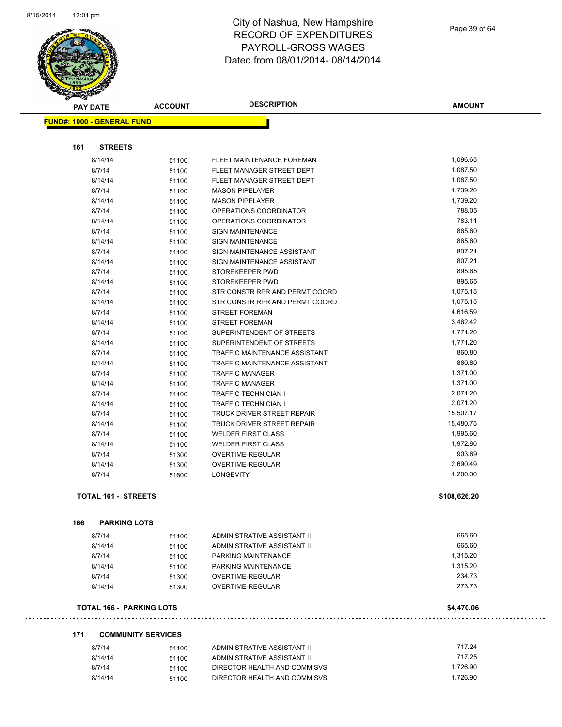and the contract of the contract of the contract of the contract of the contract of the contract of the contract of the contract of the contract of the contract of the contract of the contract of the contract of the contra



#### City of Nashua, New Hampshire RECORD OF EXPENDITURES PAYROLL-GROSS WAGES Dated from 08/01/2014- 08/14/2014

Page 39 of 64

| STATE OF                          |                |                                      |                      |
|-----------------------------------|----------------|--------------------------------------|----------------------|
| <b>PAY DATE</b>                   | <b>ACCOUNT</b> | <b>DESCRIPTION</b>                   | <b>AMOUNT</b>        |
| <b>FUND#: 1000 - GENERAL FUND</b> |                |                                      |                      |
|                                   |                |                                      |                      |
| <b>STREETS</b><br>161             |                |                                      |                      |
| 8/14/14                           | 51100          | FLEET MAINTENANCE FOREMAN            | 1,096.65             |
| 8/7/14                            | 51100          | FLEET MANAGER STREET DEPT            | 1,087.50             |
| 8/14/14                           | 51100          | FLEET MANAGER STREET DEPT            | 1,087.50             |
| 8/7/14                            | 51100          | <b>MASON PIPELAYER</b>               | 1,739.20             |
| 8/14/14                           | 51100          | <b>MASON PIPELAYER</b>               | 1,739.20             |
| 8/7/14                            | 51100          | OPERATIONS COORDINATOR               | 788.05               |
| 8/14/14                           | 51100          | OPERATIONS COORDINATOR               | 783.11               |
| 8/7/14                            | 51100          | <b>SIGN MAINTENANCE</b>              | 865.60               |
| 8/14/14                           | 51100          | <b>SIGN MAINTENANCE</b>              | 865.60               |
| 8/7/14                            | 51100          | SIGN MAINTENANCE ASSISTANT           | 807.21               |
| 8/14/14                           | 51100          | SIGN MAINTENANCE ASSISTANT           | 807.21               |
| 8/7/14                            | 51100          | STOREKEEPER PWD                      | 895.65               |
| 8/14/14                           | 51100          | STOREKEEPER PWD                      | 895.65               |
| 8/7/14                            | 51100          | STR CONSTR RPR AND PERMT COORD       | 1,075.15             |
| 8/14/14                           | 51100          | STR CONSTR RPR AND PERMT COORD       | 1,075.15             |
| 8/7/14                            | 51100          | <b>STREET FOREMAN</b>                | 4,616.59             |
| 8/14/14                           | 51100          | STREET FOREMAN                       | 3,462.42             |
| 8/7/14                            | 51100          | SUPERINTENDENT OF STREETS            | 1,771.20             |
| 8/14/14                           | 51100          | SUPERINTENDENT OF STREETS            | 1,771.20             |
| 8/7/14                            | 51100          | TRAFFIC MAINTENANCE ASSISTANT        | 860.80               |
| 8/14/14                           | 51100          | TRAFFIC MAINTENANCE ASSISTANT        | 860.80               |
| 8/7/14                            | 51100          | <b>TRAFFIC MANAGER</b>               | 1,371.00             |
| 8/14/14                           | 51100          | <b>TRAFFIC MANAGER</b>               | 1,371.00             |
| 8/7/14                            | 51100          | <b>TRAFFIC TECHNICIAN I</b>          | 2,071.20             |
| 8/14/14                           |                | <b>TRAFFIC TECHNICIAN I</b>          | 2,071.20             |
| 8/7/14                            | 51100          | TRUCK DRIVER STREET REPAIR           | 15,507.17            |
| 8/14/14                           | 51100          | TRUCK DRIVER STREET REPAIR           | 15,480.75            |
| 8/7/14                            | 51100          | <b>WELDER FIRST CLASS</b>            | 1,995.60             |
|                                   | 51100          | <b>WELDER FIRST CLASS</b>            | 1,972.80             |
| 8/14/14<br>8/7/14                 | 51100          |                                      | 903.69               |
|                                   | 51300          | OVERTIME-REGULAR                     |                      |
| 8/14/14<br>8/7/14                 | 51300<br>51600 | OVERTIME-REGULAR<br><b>LONGEVITY</b> | 2,690.49<br>1,200.00 |
|                                   |                |                                      |                      |
| <b>TOTAL 161 - STREETS</b>        |                |                                      | \$108,626.20         |
| <b>PARKING LOTS</b><br>166        |                |                                      |                      |
| 8/7/14                            | 51100          | ADMINISTRATIVE ASSISTANT II          | 665.60               |
| 8/14/14                           | 51100          | ADMINISTRATIVE ASSISTANT II          | 665.60               |
| 8/7/14                            | 51100          | PARKING MAINTENANCE                  | 1,315.20             |
| 8/14/14                           | 51100          | PARKING MAINTENANCE                  | 1,315.20             |
| 8/7/14                            | 51300          | OVERTIME-REGULAR                     | 234.73               |
| 8/14/14                           | 51300          | OVERTIME-REGULAR                     | 273.73               |
| <b>TOTAL 166 - PARKING LOTS</b>   |                |                                      | \$4,470.06           |
|                                   |                |                                      |                      |
| 171<br><b>COMMUNITY SERVICES</b>  |                |                                      | 717.24               |
| 8/7/14                            | 51100          | ADMINISTRATIVE ASSISTANT II          | 717.25               |
| 8/14/14                           | 51100          | ADMINISTRATIVE ASSISTANT II          |                      |
| 8/7/14                            | 51100          | DIRECTOR HEALTH AND COMM SVS         | 1,726.90             |
| 8/14/14                           | 51100          | DIRECTOR HEALTH AND COMM SVS         | 1,726.90             |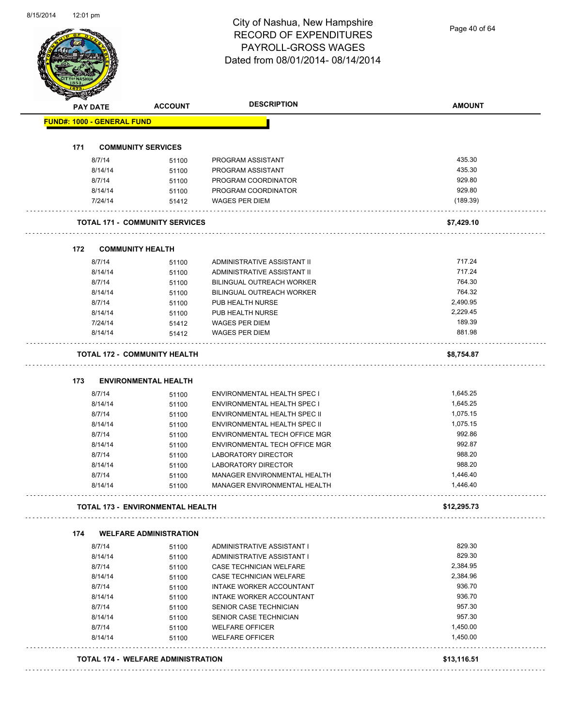Page 40 of 64

|     | <b>PAY DATE</b>                   | <b>ACCOUNT</b>                          | <b>DESCRIPTION</b>                                           | <b>AMOUNT</b>        |
|-----|-----------------------------------|-----------------------------------------|--------------------------------------------------------------|----------------------|
|     | <b>FUND#: 1000 - GENERAL FUND</b> |                                         |                                                              |                      |
|     |                                   |                                         |                                                              |                      |
| 171 |                                   | <b>COMMUNITY SERVICES</b>               |                                                              |                      |
|     | 8/7/14                            | 51100                                   | PROGRAM ASSISTANT                                            | 435.30               |
|     | 8/14/14                           | 51100                                   | PROGRAM ASSISTANT                                            | 435.30               |
|     | 8/7/14                            | 51100                                   | PROGRAM COORDINATOR                                          | 929.80               |
|     | 8/14/14                           | 51100                                   | PROGRAM COORDINATOR                                          | 929.80               |
|     | 7/24/14                           | 51412                                   | <b>WAGES PER DIEM</b>                                        | (189.39)             |
|     |                                   | <b>TOTAL 171 - COMMUNITY SERVICES</b>   |                                                              | \$7,429.10           |
| 172 |                                   | <b>COMMUNITY HEALTH</b>                 |                                                              |                      |
|     | 8/7/14                            | 51100                                   | ADMINISTRATIVE ASSISTANT II                                  | 717.24               |
|     | 8/14/14                           | 51100                                   | ADMINISTRATIVE ASSISTANT II                                  | 717.24               |
|     | 8/7/14                            | 51100                                   | BILINGUAL OUTREACH WORKER                                    | 764.30               |
|     | 8/14/14                           | 51100                                   | BILINGUAL OUTREACH WORKER                                    | 764.32               |
|     | 8/7/14                            | 51100                                   | PUB HEALTH NURSE                                             | 2,490.95             |
|     | 8/14/14                           | 51100                                   | PUB HEALTH NURSE                                             | 2,229.45             |
|     | 7/24/14                           | 51412                                   | <b>WAGES PER DIEM</b>                                        | 189.39               |
|     | 8/14/14                           | 51412                                   | <b>WAGES PER DIEM</b>                                        | 881.98               |
|     |                                   | <b>TOTAL 172 - COMMUNITY HEALTH</b>     |                                                              | \$8,754.87           |
|     |                                   |                                         |                                                              |                      |
| 173 |                                   | <b>ENVIRONMENTAL HEALTH</b>             |                                                              |                      |
|     | 8/7/14                            | 51100                                   | ENVIRONMENTAL HEALTH SPEC I                                  | 1,645.25             |
|     | 8/14/14                           | 51100                                   | ENVIRONMENTAL HEALTH SPEC I                                  | 1,645.25             |
|     | 8/7/14                            | 51100                                   | ENVIRONMENTAL HEALTH SPEC II                                 | 1,075.15             |
|     | 8/14/14                           | 51100                                   | <b>ENVIRONMENTAL HEALTH SPEC II</b>                          | 1,075.15             |
|     | 8/7/14                            | 51100                                   | ENVIRONMENTAL TECH OFFICE MGR                                | 992.86               |
|     | 8/14/14                           | 51100                                   | ENVIRONMENTAL TECH OFFICE MGR                                | 992.87               |
|     | 8/7/14                            | 51100                                   | LABORATORY DIRECTOR                                          | 988.20               |
|     | 8/14/14                           | 51100                                   | <b>LABORATORY DIRECTOR</b>                                   | 988.20               |
|     | 8/7/14<br>8/14/14                 | 51100                                   | MANAGER ENVIRONMENTAL HEALTH<br>MANAGER ENVIRONMENTAL HEALTH | 1,446.40<br>1,446.40 |
|     |                                   | 51100                                   |                                                              |                      |
|     |                                   | <b>TOTAL 173 - ENVIRONMENTAL HEALTH</b> |                                                              | \$12,295.73          |
| 174 |                                   | <b>WELFARE ADMINISTRATION</b>           |                                                              |                      |
|     | 8/7/14                            | 51100                                   | ADMINISTRATIVE ASSISTANT I                                   | 829.30               |
|     | 8/14/14                           | 51100                                   | ADMINISTRATIVE ASSISTANT I                                   | 829.30               |
|     | 8/7/14                            | 51100                                   | CASE TECHNICIAN WELFARE                                      | 2,384.95             |
|     | 8/14/14                           | 51100                                   | CASE TECHNICIAN WELFARE                                      | 2,384.96             |
|     | 8/7/14                            | 51100                                   | INTAKE WORKER ACCOUNTANT                                     | 936.70               |
|     | 8/14/14                           | 51100                                   | INTAKE WORKER ACCOUNTANT                                     | 936.70               |
|     | 8/7/14                            | 51100                                   | SENIOR CASE TECHNICIAN                                       | 957.30               |
|     | 8/14/14                           | 51100                                   | SENIOR CASE TECHNICIAN                                       | 957.30               |
|     | 8/7/14                            | 51100                                   | <b>WELFARE OFFICER</b>                                       | 1,450.00             |
|     | 8/14/14                           | 51100                                   | <b>WELFARE OFFICER</b>                                       | 1,450.00             |
|     |                                   |                                         |                                                              |                      |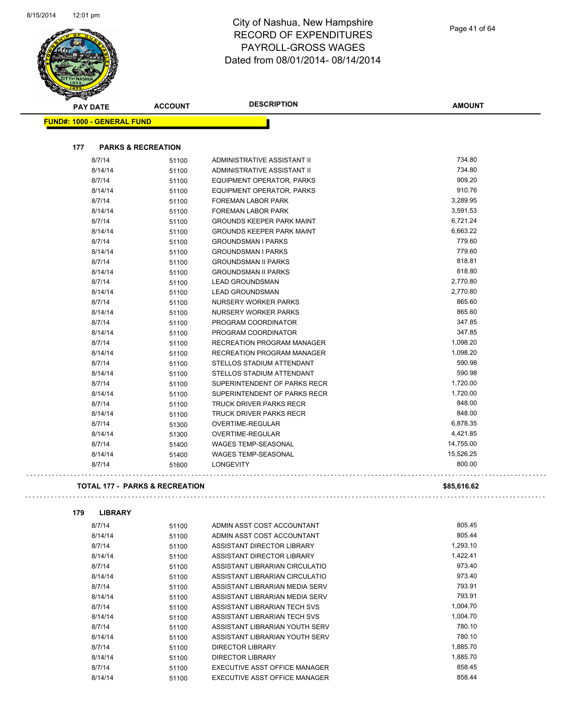

a a a a

| <b>PAY DATE</b>            | <b>ACCOUNT</b>                            | <b>DESCRIPTION</b>                 | <b>AMOUNT</b> |
|----------------------------|-------------------------------------------|------------------------------------|---------------|
| FUND#: 1000 - GENERAL FUND |                                           |                                    |               |
|                            |                                           |                                    |               |
| 177                        | <b>PARKS &amp; RECREATION</b>             |                                    |               |
| 8/7/14                     | 51100                                     | <b>ADMINISTRATIVE ASSISTANT II</b> | 734.80        |
| 8/14/14                    | 51100                                     | ADMINISTRATIVE ASSISTANT II        | 734.80        |
| 8/7/14                     | 51100                                     | EQUIPMENT OPERATOR, PARKS          | 909.20        |
| 8/14/14                    | 51100                                     | EQUIPMENT OPERATOR, PARKS          | 910.76        |
| 8/7/14                     | 51100                                     | <b>FOREMAN LABOR PARK</b>          | 3,289.95      |
| 8/14/14                    | 51100                                     | FOREMAN LABOR PARK                 | 3,591.53      |
| 8/7/14                     | 51100                                     | <b>GROUNDS KEEPER PARK MAINT</b>   | 6,721.24      |
| 8/14/14                    | 51100                                     | <b>GROUNDS KEEPER PARK MAINT</b>   | 6,663.22      |
| 8/7/14                     | 51100                                     | <b>GROUNDSMAN I PARKS</b>          | 779.60        |
| 8/14/14                    | 51100                                     | <b>GROUNDSMAN I PARKS</b>          | 779.60        |
| 8/7/14                     | 51100                                     | <b>GROUNDSMAN II PARKS</b>         | 818.81        |
| 8/14/14                    | 51100                                     | <b>GROUNDSMAN II PARKS</b>         | 818.80        |
| 8/7/14                     | 51100                                     | <b>LEAD GROUNDSMAN</b>             | 2,770.80      |
| 8/14/14                    | 51100                                     | <b>LEAD GROUNDSMAN</b>             | 2,770.80      |
| 8/7/14                     | 51100                                     | <b>NURSERY WORKER PARKS</b>        | 865.60        |
| 8/14/14                    | 51100                                     | <b>NURSERY WORKER PARKS</b>        | 865.60        |
| 8/7/14                     | 51100                                     | PROGRAM COORDINATOR                | 347.85        |
| 8/14/14                    | 51100                                     | PROGRAM COORDINATOR                | 347.85        |
| 8/7/14                     | 51100                                     | RECREATION PROGRAM MANAGER         | 1,098.20      |
| 8/14/14                    | 51100                                     | <b>RECREATION PROGRAM MANAGER</b>  | 1,098.20      |
| 8/7/14                     | 51100                                     | STELLOS STADIUM ATTENDANT          | 590.98        |
| 8/14/14                    | 51100                                     | STELLOS STADIUM ATTENDANT          | 590.98        |
| 8/7/14                     | 51100                                     | SUPERINTENDENT OF PARKS RECR       | 1,720.00      |
| 8/14/14                    | 51100                                     | SUPERINTENDENT OF PARKS RECR       | 1,720.00      |
| 8/7/14                     | 51100                                     | <b>TRUCK DRIVER PARKS RECR</b>     | 848.00        |
| 8/14/14                    | 51100                                     | <b>TRUCK DRIVER PARKS RECR</b>     | 848.00        |
| 8/7/14                     | 51300                                     | <b>OVERTIME-REGULAR</b>            | 6,878.35      |
| 8/14/14                    | 51300                                     | OVERTIME-REGULAR                   | 4,421.85      |
| 8/7/14                     | 51400                                     | <b>WAGES TEMP-SEASONAL</b>         | 14,755.00     |
| 8/14/14                    | 51400                                     | <b>WAGES TEMP-SEASONAL</b>         | 15,526.25     |
| 8/7/14                     | 51600                                     | LONGEVITY                          | 800.00        |
|                            |                                           |                                    |               |
|                            | <b>TOTAL 177 - PARKS &amp; RECREATION</b> |                                    | \$85,616.62   |

v.

**179 LIBRARY** 8/7/14 51100 ADMIN ASST COST ACCOUNTANT 605.45 8/14/14 51100 ADMIN ASST COST ACCOUNTANT 805.44 8/7/14 51100 ASSISTANT DIRECTOR LIBRARY 1,293.10 8/14/14 51100 ASSISTANT DIRECTOR LIBRARY 8/7/14 51100 ASSISTANT LIBRARIAN CIRCULATIO 973.40 8/14/14 51100 ASSISTANT LIBRARIAN CIRCULATIO 973.40 8/7/14 51100 ASSISTANT LIBRARIAN MEDIA SERV 593.91 8/14/14 51100 ASSISTANT LIBRARIAN MEDIA SERV 793.91 8/7/14 51100 ASSISTANT LIBRARIAN TECH SVS 1,004.70 8/14/14 51100 ASSISTANT LIBRARIAN TECH SVS 1,004.70 8/7/14 51100 ASSISTANT LIBRARIAN YOUTH SERV 780.10 8/14/14 51100 ASSISTANT LIBRARIAN YOUTH SERV 780.10 8/7/14 51100 DIRECTOR LIBRARY 1,885.70 8/14/14 51100 DIRECTOR LIBRARY 1,885.70 8/7/14 51100 EXECUTIVE ASST OFFICE MANAGER 858.45 8/14/14 51100 EXECUTIVE ASST OFFICE MANAGER 658.44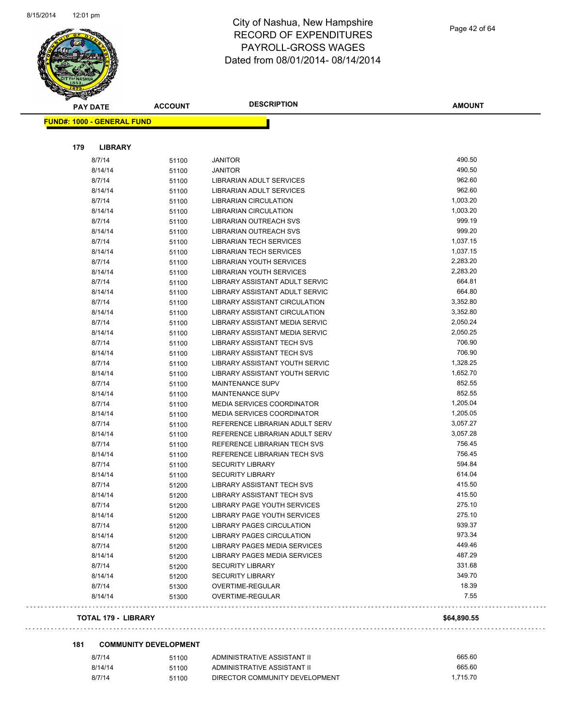

| <b>PAY DATE</b>                   | <b>ACCOUNT</b> | <b>DESCRIPTION</b>                | <b>AMOUNT</b> |
|-----------------------------------|----------------|-----------------------------------|---------------|
| <b>FUND#: 1000 - GENERAL FUND</b> |                |                                   |               |
|                                   |                |                                   |               |
| 179<br><b>LIBRARY</b>             |                |                                   |               |
| 8/7/14                            | 51100          | <b>JANITOR</b>                    | 490.50        |
| 8/14/14                           | 51100          | <b>JANITOR</b>                    | 490.50        |
| 8/7/14                            | 51100          | LIBRARIAN ADULT SERVICES          | 962.60        |
| 8/14/14                           | 51100          | LIBRARIAN ADULT SERVICES          | 962.60        |
| 8/7/14                            | 51100          | <b>LIBRARIAN CIRCULATION</b>      | 1,003.20      |
| 8/14/14                           | 51100          | <b>LIBRARIAN CIRCULATION</b>      | 1,003.20      |
| 8/7/14                            | 51100          | LIBRARIAN OUTREACH SVS            | 999.19        |
| 8/14/14                           | 51100          | <b>LIBRARIAN OUTREACH SVS</b>     | 999.20        |
| 8/7/14                            | 51100          | <b>LIBRARIAN TECH SERVICES</b>    | 1,037.15      |
| 8/14/14                           | 51100          | LIBRARIAN TECH SERVICES           | 1,037.15      |
| 8/7/14                            | 51100          | LIBRARIAN YOUTH SERVICES          | 2,283.20      |
| 8/14/14                           | 51100          | <b>LIBRARIAN YOUTH SERVICES</b>   | 2,283.20      |
| 8/7/14                            | 51100          | LIBRARY ASSISTANT ADULT SERVIC    | 664.81        |
| 8/14/14                           | 51100          | LIBRARY ASSISTANT ADULT SERVIC    | 664.80        |
| 8/7/14                            | 51100          | LIBRARY ASSISTANT CIRCULATION     | 3,352.80      |
| 8/14/14                           | 51100          | LIBRARY ASSISTANT CIRCULATION     | 3,352.80      |
| 8/7/14                            | 51100          | LIBRARY ASSISTANT MEDIA SERVIC    | 2,050.24      |
| 8/14/14                           | 51100          | LIBRARY ASSISTANT MEDIA SERVIC    | 2,050.25      |
| 8/7/14                            | 51100          | LIBRARY ASSISTANT TECH SVS        | 706.90        |
| 8/14/14                           | 51100          | LIBRARY ASSISTANT TECH SVS        | 706.90        |
| 8/7/14                            | 51100          | LIBRARY ASSISTANT YOUTH SERVIC    | 1,328.25      |
| 8/14/14                           | 51100          | LIBRARY ASSISTANT YOUTH SERVIC    | 1,652.70      |
| 8/7/14                            | 51100          | <b>MAINTENANCE SUPV</b>           | 852.55        |
| 8/14/14                           | 51100          | <b>MAINTENANCE SUPV</b>           | 852.55        |
| 8/7/14                            | 51100          | MEDIA SERVICES COORDINATOR        | 1,205.04      |
| 8/14/14                           | 51100          | <b>MEDIA SERVICES COORDINATOR</b> | 1,205.05      |
| 8/7/14                            | 51100          | REFERENCE LIBRARIAN ADULT SERV    | 3,057.27      |
| 8/14/14                           | 51100          | REFERENCE LIBRARIAN ADULT SERV    | 3,057.28      |
| 8/7/14                            | 51100          | REFERENCE LIBRARIAN TECH SVS      | 756.45        |
| 8/14/14                           | 51100          | REFERENCE LIBRARIAN TECH SVS      | 756.45        |
| 8/7/14                            | 51100          | <b>SECURITY LIBRARY</b>           | 594.84        |
| 8/14/14                           | 51100          | <b>SECURITY LIBRARY</b>           | 614.04        |
| 8/7/14                            | 51200          | <b>LIBRARY ASSISTANT TECH SVS</b> | 415.50        |
| 8/14/14                           | 51200          | LIBRARY ASSISTANT TECH SVS        | 415.50        |
| 8/7/14                            | 51200          | LIBRARY PAGE YOUTH SERVICES       | 275.10        |
| 8/14/14                           | 51200          | LIBRARY PAGE YOUTH SERVICES       | 275.10        |
| 8/7/14                            | 51200          | LIBRARY PAGES CIRCULATION         | 939.37        |
| 8/14/14                           | 51200          | <b>LIBRARY PAGES CIRCULATION</b>  | 973.34        |
| 8/7/14                            | 51200          | LIBRARY PAGES MEDIA SERVICES      | 449.46        |
| 8/14/14                           | 51200          | LIBRARY PAGES MEDIA SERVICES      | 487.29        |
| 8/7/14                            | 51200          | <b>SECURITY LIBRARY</b>           | 331.68        |
| 8/14/14                           | 51200          | <b>SECURITY LIBRARY</b>           | 349.70        |
| 8/7/14                            | 51300          | OVERTIME-REGULAR                  | 18.39         |
| 8/14/14                           | 51300          | OVERTIME-REGULAR                  | 7.55          |
| <b>TOTAL 179 - LIBRARY</b>        |                |                                   | \$64.890.55   |

#### **181 COMMUNITY DEVELOPMENT**

| 8/7/14  | 51100 | ADMINISTRATIVE ASSISTANT II    | 665.60   |
|---------|-------|--------------------------------|----------|
| 8/14/14 | 51100 | ADMINISTRATIVE ASSISTANT II    | 665.60   |
| 8/7/14  | 51100 | DIRECTOR COMMUNITY DEVELOPMENT | 1.715.70 |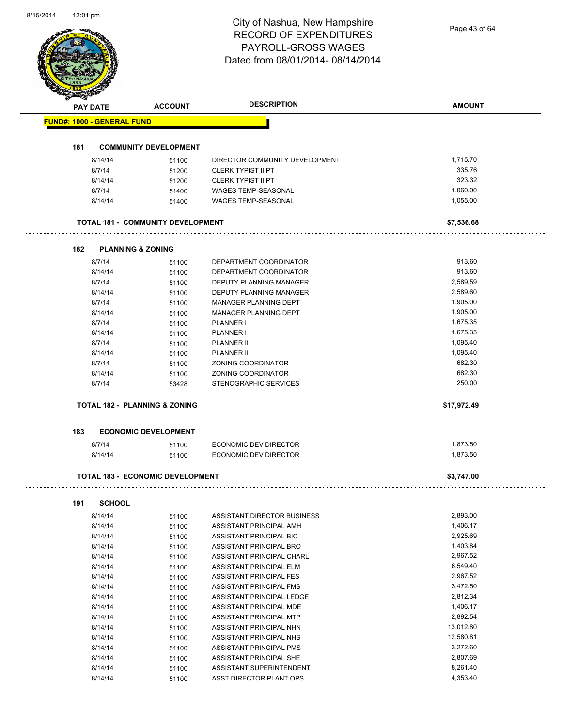|     | Dated from 08/01/2014-08/14/2014  |                                          |                                             |               |
|-----|-----------------------------------|------------------------------------------|---------------------------------------------|---------------|
|     |                                   |                                          |                                             |               |
|     | <b>PAY DATE</b>                   | <b>ACCOUNT</b>                           | <b>DESCRIPTION</b>                          | <b>AMOUNT</b> |
|     | <b>FUND#: 1000 - GENERAL FUND</b> |                                          |                                             |               |
| 181 |                                   | <b>COMMUNITY DEVELOPMENT</b>             |                                             |               |
|     | 8/14/14                           |                                          | DIRECTOR COMMUNITY DEVELOPMENT              | 1,715.70      |
|     | 8/7/14                            | 51100                                    | <b>CLERK TYPIST II PT</b>                   | 335.76        |
|     |                                   | 51200                                    |                                             | 323.32        |
|     | 8/14/14                           | 51200                                    | <b>CLERK TYPIST II PT</b>                   |               |
|     | 8/7/14                            | 51400                                    | WAGES TEMP-SEASONAL                         | 1,060.00      |
|     | 8/14/14                           | 51400                                    | WAGES TEMP-SEASONAL                         | 1,055.00      |
|     |                                   | <b>TOTAL 181 - COMMUNITY DEVELOPMENT</b> |                                             | \$7,536.68    |
| 182 | <b>PLANNING &amp; ZONING</b>      |                                          |                                             |               |
|     | 8/7/14                            | 51100                                    | DEPARTMENT COORDINATOR                      | 913.60        |
|     | 8/14/14                           | 51100                                    | DEPARTMENT COORDINATOR                      | 913.60        |
|     | 8/7/14                            | 51100                                    | DEPUTY PLANNING MANAGER                     | 2,589.59      |
|     | 8/14/14                           | 51100                                    | DEPUTY PLANNING MANAGER                     | 2,589.60      |
|     | 8/7/14                            | 51100                                    | MANAGER PLANNING DEPT                       | 1,905.00      |
|     | 8/14/14                           | 51100                                    | MANAGER PLANNING DEPT                       | 1,905.00      |
|     | 8/7/14                            | 51100                                    | PLANNER I                                   | 1,675.35      |
|     | 8/14/14                           | 51100                                    | <b>PLANNER I</b>                            | 1,675.35      |
|     | 8/7/14                            | 51100                                    | <b>PLANNER II</b>                           | 1,095.40      |
|     | 8/14/14                           |                                          | <b>PLANNER II</b>                           | 1,095.40      |
|     | 8/7/14                            | 51100                                    | ZONING COORDINATOR                          | 682.30        |
|     |                                   | 51100                                    |                                             | 682.30        |
|     | 8/14/14<br>8/7/14                 | 51100<br>53428                           | ZONING COORDINATOR<br>STENOGRAPHIC SERVICES | 250.00        |
|     |                                   | TOTAL 182 - PLANNING & ZONING            |                                             | \$17,972.49   |
|     |                                   |                                          |                                             |               |
| 183 |                                   | <b>ECONOMIC DEVELOPMENT</b>              |                                             |               |
|     | 8/7/14                            | 51100                                    | ECONOMIC DEV DIRECTOR                       | 1,873.50      |
|     | 8/14/14                           | 51100                                    | <b>ECONOMIC DEV DIRECTOR</b>                | 1,873.50      |
|     |                                   | <b>TOTAL 183 - ECONOMIC DEVELOPMENT</b>  |                                             | \$3,747.00    |
| 191 | <b>SCHOOL</b>                     |                                          |                                             |               |
|     | 8/14/14                           | 51100                                    | ASSISTANT DIRECTOR BUSINESS                 | 2,893.00      |
|     | 8/14/14                           | 51100                                    | ASSISTANT PRINCIPAL AMH                     | 1,406.17      |
|     | 8/14/14                           | 51100                                    | ASSISTANT PRINCIPAL BIC                     | 2,925.69      |
|     | 8/14/14                           | 51100                                    | ASSISTANT PRINCIPAL BRO                     | 1,403.84      |
|     | 8/14/14                           | 51100                                    | ASSISTANT PRINCIPAL CHARL                   | 2,967.52      |
|     | 8/14/14                           | 51100                                    | ASSISTANT PRINCIPAL ELM                     | 6,549.40      |
|     | 8/14/14                           | 51100                                    | ASSISTANT PRINCIPAL FES                     | 2,967.52      |
|     | 8/14/14                           |                                          | ASSISTANT PRINCIPAL FMS                     | 3,472.50      |
|     | 8/14/14                           | 51100                                    | ASSISTANT PRINCIPAL LEDGE                   | 2,812.34      |
|     |                                   | 51100                                    |                                             | 1,406.17      |
|     | 8/14/14                           | 51100                                    | ASSISTANT PRINCIPAL MDE                     |               |
|     | 8/14/14                           | 51100                                    | ASSISTANT PRINCIPAL MTP                     | 2,892.54      |
|     | 8/14/14                           | 51100                                    | ASSISTANT PRINCIPAL NHN                     | 13,012.80     |
|     | 8/14/14                           | 51100                                    | ASSISTANT PRINCIPAL NHS                     | 12,580.81     |
|     | 8/14/14                           | 51100                                    | ASSISTANT PRINCIPAL PMS                     | 3,272.60      |
|     | 8/14/14                           | 51100                                    | ASSISTANT PRINCIPAL SHE                     | 2,807.69      |
|     | 8/14/14                           | 51100                                    | ASSISTANT SUPERINTENDENT                    | 8,261.40      |
|     | 8/14/14                           | 51100                                    | ASST DIRECTOR PLANT OPS                     | 4,353.40      |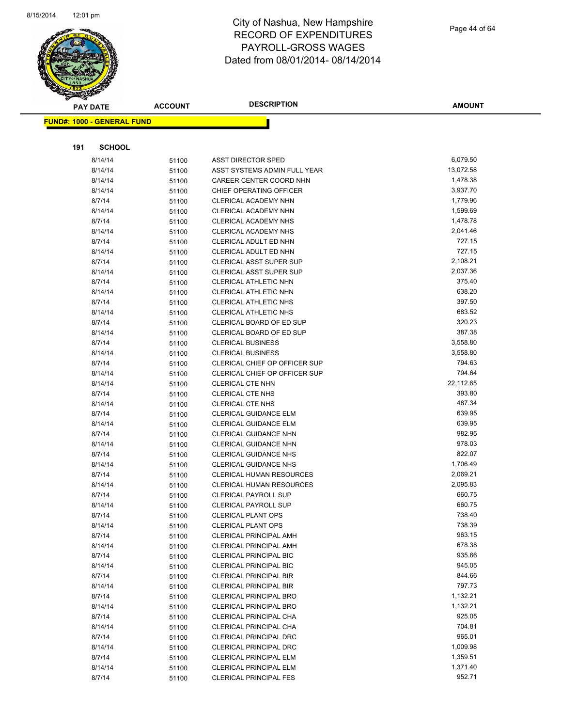

Page 44 of 64

| <b>PAY DATE</b>                   | <b>ACCOUNT</b> | <b>DESCRIPTION</b>                                    | <b>AMOUNT</b>    |
|-----------------------------------|----------------|-------------------------------------------------------|------------------|
| <b>FUND#: 1000 - GENERAL FUND</b> |                |                                                       |                  |
|                                   |                |                                                       |                  |
|                                   |                |                                                       |                  |
| 191<br><b>SCHOOL</b>              |                |                                                       |                  |
| 8/14/14                           | 51100          | <b>ASST DIRECTOR SPED</b>                             | 6,079.50         |
| 8/14/14                           | 51100          | ASST SYSTEMS ADMIN FULL YEAR                          | 13,072.58        |
| 8/14/14                           | 51100          | CAREER CENTER COORD NHN                               | 1,478.38         |
| 8/14/14                           | 51100          | CHIEF OPERATING OFFICER                               | 3,937.70         |
| 8/7/14                            | 51100          | <b>CLERICAL ACADEMY NHN</b>                           | 1,779.96         |
| 8/14/14                           | 51100          | CLERICAL ACADEMY NHN                                  | 1,599.69         |
| 8/7/14                            | 51100          | CLERICAL ACADEMY NHS                                  | 1,478.78         |
| 8/14/14                           | 51100          | CLERICAL ACADEMY NHS                                  | 2,041.46         |
| 8/7/14                            | 51100          | CLERICAL ADULT ED NHN                                 | 727.15           |
| 8/14/14                           | 51100          | CLERICAL ADULT ED NHN                                 | 727.15           |
| 8/7/14                            | 51100          | <b>CLERICAL ASST SUPER SUP</b>                        | 2,108.21         |
| 8/14/14                           | 51100          | <b>CLERICAL ASST SUPER SUP</b>                        | 2,037.36         |
| 8/7/14                            | 51100          | CLERICAL ATHLETIC NHN                                 | 375.40           |
| 8/14/14                           | 51100          | <b>CLERICAL ATHLETIC NHN</b>                          | 638.20           |
| 8/7/14                            | 51100          | CLERICAL ATHLETIC NHS                                 | 397.50           |
| 8/14/14                           | 51100          | CLERICAL ATHLETIC NHS                                 | 683.52           |
| 8/7/14                            | 51100          | CLERICAL BOARD OF ED SUP                              | 320.23           |
| 8/14/14                           | 51100          | CLERICAL BOARD OF ED SUP                              | 387.38           |
| 8/7/14                            | 51100          | <b>CLERICAL BUSINESS</b>                              | 3,558.80         |
| 8/14/14                           | 51100          | <b>CLERICAL BUSINESS</b>                              | 3,558.80         |
| 8/7/14                            | 51100          | <b>CLERICAL CHIEF OP OFFICER SUP</b>                  | 794.63           |
| 8/14/14                           | 51100          | CLERICAL CHIEF OP OFFICER SUP                         | 794.64           |
| 8/14/14                           | 51100          | <b>CLERICAL CTE NHN</b>                               | 22,112.65        |
| 8/7/14                            | 51100          | CLERICAL CTE NHS                                      | 393.80           |
| 8/14/14                           | 51100          | <b>CLERICAL CTE NHS</b>                               | 487.34<br>639.95 |
| 8/7/14                            | 51100          | <b>CLERICAL GUIDANCE ELM</b>                          | 639.95           |
| 8/14/14<br>8/7/14                 | 51100          | <b>CLERICAL GUIDANCE ELM</b><br>CLERICAL GUIDANCE NHN | 982.95           |
| 8/14/14                           | 51100<br>51100 | CLERICAL GUIDANCE NHN                                 | 978.03           |
| 8/7/14                            |                | <b>CLERICAL GUIDANCE NHS</b>                          | 822.07           |
| 8/14/14                           | 51100<br>51100 | <b>CLERICAL GUIDANCE NHS</b>                          | 1,706.49         |
| 8/7/14                            | 51100          | CLERICAL HUMAN RESOURCES                              | 2,069.21         |
| 8/14/14                           | 51100          | <b>CLERICAL HUMAN RESOURCES</b>                       | 2,095.83         |
| 8/7/14                            | 51100          | <b>CLERICAL PAYROLL SUP</b>                           | 660.75           |
| 8/14/14                           | 51100          | <b>CLERICAL PAYROLL SUP</b>                           | 660.75           |
| 8/7/14                            | 51100          | CLERICAL PLANT OPS                                    | 738.40           |
| 8/14/14                           | 51100          | <b>CLERICAL PLANT OPS</b>                             | 738.39           |
| 8/7/14                            | 51100          | CLERICAL PRINCIPAL AMH                                | 963.15           |
| 8/14/14                           | 51100          | <b>CLERICAL PRINCIPAL AMH</b>                         | 678.38           |
| 8/7/14                            | 51100          | <b>CLERICAL PRINCIPAL BIC</b>                         | 935.66           |
| 8/14/14                           | 51100          | <b>CLERICAL PRINCIPAL BIC</b>                         | 945.05           |
| 8/7/14                            | 51100          | <b>CLERICAL PRINCIPAL BIR</b>                         | 844.66           |
| 8/14/14                           | 51100          | <b>CLERICAL PRINCIPAL BIR</b>                         | 797.73           |
| 8/7/14                            | 51100          | <b>CLERICAL PRINCIPAL BRO</b>                         | 1,132.21         |
| 8/14/14                           | 51100          | <b>CLERICAL PRINCIPAL BRO</b>                         | 1,132.21         |
| 8/7/14                            | 51100          | CLERICAL PRINCIPAL CHA                                | 925.05           |
| 8/14/14                           | 51100          | CLERICAL PRINCIPAL CHA                                | 704.81           |
| 8/7/14                            | 51100          | CLERICAL PRINCIPAL DRC                                | 965.01           |
| 8/14/14                           | 51100          | <b>CLERICAL PRINCIPAL DRC</b>                         | 1,009.98         |
| 8/7/14                            | 51100          | <b>CLERICAL PRINCIPAL ELM</b>                         | 1,359.51         |
| 8/14/14                           | 51100          | <b>CLERICAL PRINCIPAL ELM</b>                         | 1,371.40         |
| 8/7/14                            | 51100          | <b>CLERICAL PRINCIPAL FES</b>                         | 952.71           |
|                                   |                |                                                       |                  |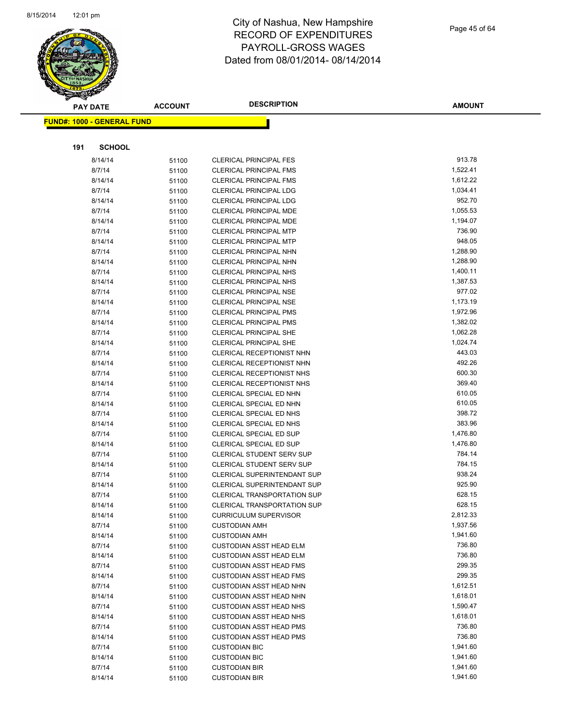

|     | <b>PAY DATE</b>                   | <b>ACCOUNT</b> | <b>DESCRIPTION</b>                                 | <b>AMOUNT</b>    |
|-----|-----------------------------------|----------------|----------------------------------------------------|------------------|
|     | <b>FUND#: 1000 - GENERAL FUND</b> |                |                                                    |                  |
|     |                                   |                |                                                    |                  |
|     |                                   |                |                                                    |                  |
| 191 | <b>SCHOOL</b>                     |                |                                                    |                  |
|     | 8/14/14                           | 51100          | <b>CLERICAL PRINCIPAL FES</b>                      | 913.78           |
|     | 8/7/14                            | 51100          | <b>CLERICAL PRINCIPAL FMS</b>                      | 1,522.41         |
|     | 8/14/14                           | 51100          | <b>CLERICAL PRINCIPAL FMS</b>                      | 1,612.22         |
|     | 8/7/14                            | 51100          | <b>CLERICAL PRINCIPAL LDG</b>                      | 1,034.41         |
|     | 8/14/14                           | 51100          | <b>CLERICAL PRINCIPAL LDG</b>                      | 952.70           |
|     | 8/7/14                            | 51100          | CLERICAL PRINCIPAL MDE                             | 1,055.53         |
|     | 8/14/14                           | 51100          | CLERICAL PRINCIPAL MDE                             | 1,194.07         |
|     | 8/7/14                            | 51100          | <b>CLERICAL PRINCIPAL MTP</b>                      | 736.90           |
|     | 8/14/14                           | 51100          | <b>CLERICAL PRINCIPAL MTP</b>                      | 948.05           |
|     | 8/7/14                            | 51100          | CLERICAL PRINCIPAL NHN                             | 1,288.90         |
|     | 8/14/14                           | 51100          | CLERICAL PRINCIPAL NHN                             | 1,288.90         |
|     | 8/7/14                            | 51100          | <b>CLERICAL PRINCIPAL NHS</b>                      | 1,400.11         |
|     | 8/14/14                           | 51100          | <b>CLERICAL PRINCIPAL NHS</b>                      | 1,387.53         |
|     | 8/7/14                            | 51100          | <b>CLERICAL PRINCIPAL NSE</b>                      | 977.02           |
|     | 8/14/14                           | 51100          | <b>CLERICAL PRINCIPAL NSE</b>                      | 1,173.19         |
|     | 8/7/14                            | 51100          | <b>CLERICAL PRINCIPAL PMS</b>                      | 1,972.96         |
|     | 8/14/14                           | 51100          | <b>CLERICAL PRINCIPAL PMS</b>                      | 1,382.02         |
|     | 8/7/14                            | 51100          | <b>CLERICAL PRINCIPAL SHE</b>                      | 1,062.28         |
|     | 8/14/14                           | 51100          | <b>CLERICAL PRINCIPAL SHE</b>                      | 1,024.74         |
|     | 8/7/14                            | 51100          | <b>CLERICAL RECEPTIONIST NHN</b>                   | 443.03           |
|     | 8/14/14                           | 51100          | CLERICAL RECEPTIONIST NHN                          | 492.26           |
|     | 8/7/14                            | 51100          | CLERICAL RECEPTIONIST NHS                          | 600.30<br>369.40 |
|     | 8/14/14                           | 51100          | CLERICAL RECEPTIONIST NHS                          | 610.05           |
|     | 8/7/14                            | 51100          | CLERICAL SPECIAL ED NHN                            | 610.05           |
|     | 8/14/14<br>8/7/14                 | 51100          | CLERICAL SPECIAL ED NHN<br>CLERICAL SPECIAL ED NHS | 398.72           |
|     | 8/14/14                           | 51100          | CLERICAL SPECIAL ED NHS                            | 383.96           |
|     | 8/7/14                            | 51100          | CLERICAL SPECIAL ED SUP                            | 1,476.80         |
|     | 8/14/14                           | 51100<br>51100 | CLERICAL SPECIAL ED SUP                            | 1,476.80         |
|     | 8/7/14                            | 51100          | <b>CLERICAL STUDENT SERV SUP</b>                   | 784.14           |
|     | 8/14/14                           | 51100          | CLERICAL STUDENT SERV SUP                          | 784.15           |
|     | 8/7/14                            | 51100          | <b>CLERICAL SUPERINTENDANT SUP</b>                 | 938.24           |
|     | 8/14/14                           | 51100          | CLERICAL SUPERINTENDANT SUP                        | 925.90           |
|     | 8/7/14                            | 51100          | <b>CLERICAL TRANSPORTATION SUP</b>                 | 628.15           |
|     | 8/14/14                           | 51100          | <b>CLERICAL TRANSPORTATION SUP</b>                 | 628.15           |
|     | 8/14/14                           | 51100          | <b>CURRICULUM SUPERVISOR</b>                       | 2,812.33         |
|     | 8/7/14                            | 51100          | <b>CUSTODIAN AMH</b>                               | 1,937.56         |
|     | 8/14/14                           | 51100          | <b>CUSTODIAN AMH</b>                               | 1,941.60         |
|     | 8/7/14                            | 51100          | <b>CUSTODIAN ASST HEAD ELM</b>                     | 736.80           |
|     | 8/14/14                           | 51100          | <b>CUSTODIAN ASST HEAD ELM</b>                     | 736.80           |
|     | 8/7/14                            | 51100          | <b>CUSTODIAN ASST HEAD FMS</b>                     | 299.35           |
|     | 8/14/14                           | 51100          | <b>CUSTODIAN ASST HEAD FMS</b>                     | 299.35           |
|     | 8/7/14                            | 51100          | <b>CUSTODIAN ASST HEAD NHN</b>                     | 1,612.51         |
|     | 8/14/14                           | 51100          | <b>CUSTODIAN ASST HEAD NHN</b>                     | 1,618.01         |
|     | 8/7/14                            | 51100          | <b>CUSTODIAN ASST HEAD NHS</b>                     | 1,590.47         |
|     | 8/14/14                           | 51100          | <b>CUSTODIAN ASST HEAD NHS</b>                     | 1,618.01         |
|     | 8/7/14                            | 51100          | <b>CUSTODIAN ASST HEAD PMS</b>                     | 736.80           |
|     | 8/14/14                           | 51100          | <b>CUSTODIAN ASST HEAD PMS</b>                     | 736.80           |
|     | 8/7/14                            | 51100          | <b>CUSTODIAN BIC</b>                               | 1,941.60         |
|     | 8/14/14                           | 51100          | <b>CUSTODIAN BIC</b>                               | 1,941.60         |
|     | 8/7/14                            | 51100          | <b>CUSTODIAN BIR</b>                               | 1,941.60         |
|     | 8/14/14                           | 51100          | <b>CUSTODIAN BIR</b>                               | 1,941.60         |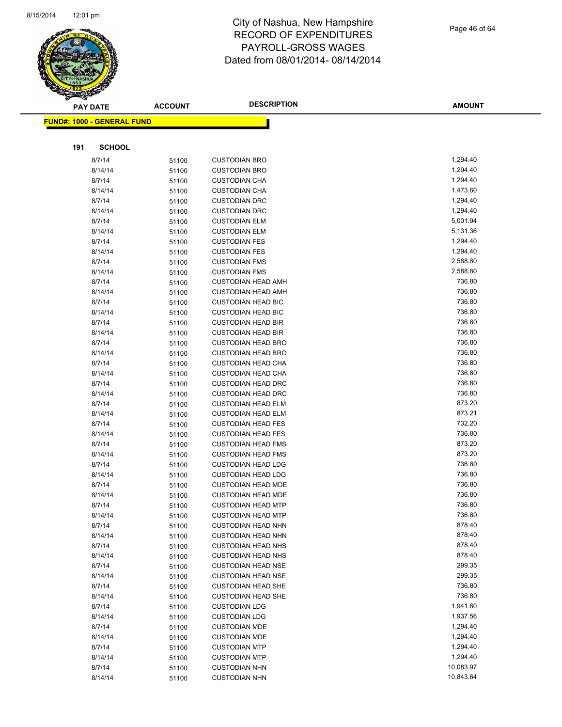

Page 46 of 64

| <b>PAY DATE</b>                   | <b>ACCOUNT</b> | <b>DESCRIPTION</b>                                     | <b>AMOUNT</b>        |
|-----------------------------------|----------------|--------------------------------------------------------|----------------------|
| <b>FUND#: 1000 - GENERAL FUND</b> |                |                                                        |                      |
|                                   |                |                                                        |                      |
|                                   |                |                                                        |                      |
| 191<br><b>SCHOOL</b>              |                |                                                        |                      |
| 8/7/14                            | 51100          | <b>CUSTODIAN BRO</b>                                   | 1,294.40             |
| 8/14/14                           | 51100          | <b>CUSTODIAN BRO</b>                                   | 1,294.40             |
| 8/7/14                            | 51100          | <b>CUSTODIAN CHA</b>                                   | 1,294.40             |
| 8/14/14                           | 51100          | <b>CUSTODIAN CHA</b>                                   | 1,473.60             |
| 8/7/14                            | 51100          | <b>CUSTODIAN DRC</b>                                   | 1,294.40             |
| 8/14/14                           | 51100          | <b>CUSTODIAN DRC</b>                                   | 1,294.40             |
| 8/7/14<br>8/14/14                 | 51100          | <b>CUSTODIAN ELM</b>                                   | 5,001.94<br>5,131.36 |
| 8/7/14                            | 51100          | <b>CUSTODIAN ELM</b><br><b>CUSTODIAN FES</b>           | 1,294.40             |
| 8/14/14                           | 51100<br>51100 | <b>CUSTODIAN FES</b>                                   | 1,294.40             |
| 8/7/14                            | 51100          | <b>CUSTODIAN FMS</b>                                   | 2,588.80             |
| 8/14/14                           | 51100          | <b>CUSTODIAN FMS</b>                                   | 2,588.80             |
| 8/7/14                            | 51100          | <b>CUSTODIAN HEAD AMH</b>                              | 736.80               |
| 8/14/14                           | 51100          | <b>CUSTODIAN HEAD AMH</b>                              | 736.80               |
| 8/7/14                            | 51100          | <b>CUSTODIAN HEAD BIC</b>                              | 736.80               |
| 8/14/14                           | 51100          | <b>CUSTODIAN HEAD BIC</b>                              | 736.80               |
| 8/7/14                            | 51100          | <b>CUSTODIAN HEAD BIR</b>                              | 736.80               |
| 8/14/14                           | 51100          | <b>CUSTODIAN HEAD BIR</b>                              | 736.80               |
| 8/7/14                            | 51100          | <b>CUSTODIAN HEAD BRO</b>                              | 736.80               |
| 8/14/14                           | 51100          | <b>CUSTODIAN HEAD BRO</b>                              | 736.80               |
| 8/7/14                            | 51100          | <b>CUSTODIAN HEAD CHA</b>                              | 736.80               |
| 8/14/14                           | 51100          | <b>CUSTODIAN HEAD CHA</b>                              | 736.80               |
| 8/7/14                            | 51100          | <b>CUSTODIAN HEAD DRC</b>                              | 736.80               |
| 8/14/14                           | 51100          | <b>CUSTODIAN HEAD DRC</b>                              | 736.80               |
| 8/7/14                            | 51100          | <b>CUSTODIAN HEAD ELM</b>                              | 873.20               |
| 8/14/14                           | 51100          | <b>CUSTODIAN HEAD ELM</b>                              | 873.21               |
| 8/7/14                            | 51100          | <b>CUSTODIAN HEAD FES</b>                              | 732.20               |
| 8/14/14                           | 51100          | <b>CUSTODIAN HEAD FES</b>                              | 736.80               |
| 8/7/14                            | 51100          | <b>CUSTODIAN HEAD FMS</b>                              | 873.20               |
| 8/14/14                           | 51100          | <b>CUSTODIAN HEAD FMS</b>                              | 873.20               |
| 8/7/14                            | 51100          | <b>CUSTODIAN HEAD LDG</b>                              | 736.80               |
| 8/14/14                           | 51100          | <b>CUSTODIAN HEAD LDG</b>                              | 736.80               |
| 8/7/14                            | 51100          | <b>CUSTODIAN HEAD MDE</b>                              | 736.80               |
| 8/14/14                           | 51100          | <b>CUSTODIAN HEAD MDE</b>                              | 736.80<br>736.80     |
| 8/7/14                            | 51100          | <b>CUSTODIAN HEAD MTP</b>                              | 736.80               |
| 8/14/14<br>8/7/14                 | 51100<br>51100 | <b>CUSTODIAN HEAD MTP</b><br><b>CUSTODIAN HEAD NHN</b> | 878.40               |
| 8/14/14                           | 51100          | <b>CUSTODIAN HEAD NHN</b>                              | 878.40               |
| 8/7/14                            | 51100          | <b>CUSTODIAN HEAD NHS</b>                              | 878.40               |
| 8/14/14                           | 51100          | <b>CUSTODIAN HEAD NHS</b>                              | 878.40               |
| 8/7/14                            | 51100          | <b>CUSTODIAN HEAD NSE</b>                              | 299.35               |
| 8/14/14                           | 51100          | <b>CUSTODIAN HEAD NSE</b>                              | 299.35               |
| 8/7/14                            | 51100          | <b>CUSTODIAN HEAD SHE</b>                              | 736.80               |
| 8/14/14                           | 51100          | <b>CUSTODIAN HEAD SHE</b>                              | 736.80               |
| 8/7/14                            | 51100          | <b>CUSTODIAN LDG</b>                                   | 1,941.60             |
| 8/14/14                           | 51100          | <b>CUSTODIAN LDG</b>                                   | 1,937.56             |
| 8/7/14                            | 51100          | <b>CUSTODIAN MDE</b>                                   | 1,294.40             |
| 8/14/14                           | 51100          | <b>CUSTODIAN MDE</b>                                   | 1,294.40             |
| 8/7/14                            | 51100          | <b>CUSTODIAN MTP</b>                                   | 1,294.40             |
| 8/14/14                           | 51100          | <b>CUSTODIAN MTP</b>                                   | 1,294.40             |
| 8/7/14                            | 51100          | <b>CUSTODIAN NHN</b>                                   | 10,083.97            |
| 8/14/14                           | 51100          | <b>CUSTODIAN NHN</b>                                   | 10,843.64            |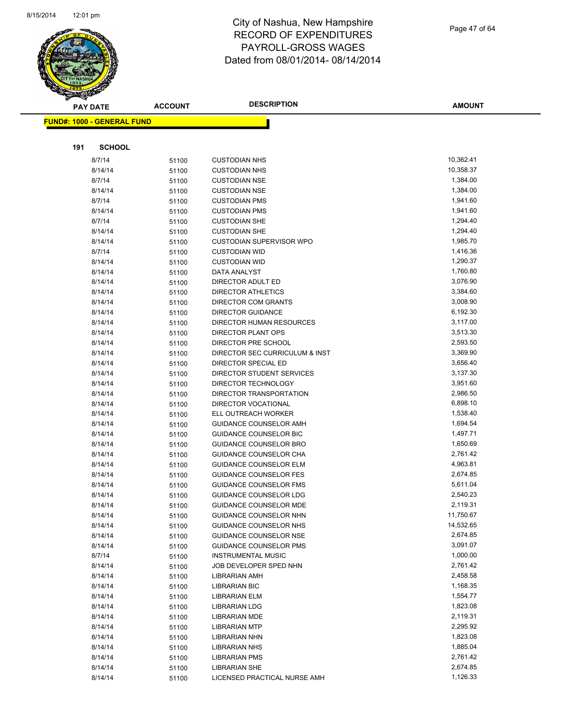

Page 47 of 64

| <b>PAY DATE</b>                   | <b>ACCOUNT</b> | <b>DESCRIPTION</b>                | <b>AMOUNT</b>        |
|-----------------------------------|----------------|-----------------------------------|----------------------|
| <b>FUND#: 1000 - GENERAL FUND</b> |                |                                   |                      |
|                                   |                |                                   |                      |
|                                   |                |                                   |                      |
| <b>SCHOOL</b><br>191              |                |                                   |                      |
| 8/7/14                            | 51100          | <b>CUSTODIAN NHS</b>              | 10,362.41            |
| 8/14/14                           | 51100          | <b>CUSTODIAN NHS</b>              | 10,358.37            |
| 8/7/14                            | 51100          | <b>CUSTODIAN NSE</b>              | 1,384.00             |
| 8/14/14                           | 51100          | <b>CUSTODIAN NSE</b>              | 1,384.00             |
| 8/7/14                            | 51100          | <b>CUSTODIAN PMS</b>              | 1,941.60             |
| 8/14/14                           | 51100          | <b>CUSTODIAN PMS</b>              | 1,941.60             |
| 8/7/14                            | 51100          | <b>CUSTODIAN SHE</b>              | 1,294.40             |
| 8/14/14                           | 51100          | <b>CUSTODIAN SHE</b>              | 1,294.40             |
| 8/14/14                           | 51100          | <b>CUSTODIAN SUPERVISOR WPO</b>   | 1,985.70             |
| 8/7/14                            | 51100          | <b>CUSTODIAN WID</b>              | 1,416.36             |
| 8/14/14                           | 51100          | <b>CUSTODIAN WID</b>              | 1,290.37<br>1,760.80 |
| 8/14/14                           | 51100          | DATA ANALYST<br>DIRECTOR ADULT ED | 3,076.90             |
| 8/14/14                           | 51100          | <b>DIRECTOR ATHLETICS</b>         | 3,384.60             |
| 8/14/14<br>8/14/14                | 51100          | DIRECTOR COM GRANTS               | 3,008.90             |
| 8/14/14                           | 51100          | <b>DIRECTOR GUIDANCE</b>          | 6,192.30             |
| 8/14/14                           | 51100<br>51100 | <b>DIRECTOR HUMAN RESOURCES</b>   | 3,117.00             |
| 8/14/14                           | 51100          | <b>DIRECTOR PLANT OPS</b>         | 3,513.30             |
| 8/14/14                           | 51100          | DIRECTOR PRE SCHOOL               | 2,593.50             |
| 8/14/14                           | 51100          | DIRECTOR SEC CURRICULUM & INST    | 3,369.90             |
| 8/14/14                           | 51100          | DIRECTOR SPECIAL ED               | 3,656.40             |
| 8/14/14                           | 51100          | DIRECTOR STUDENT SERVICES         | 3,137.30             |
| 8/14/14                           | 51100          | DIRECTOR TECHNOLOGY               | 3,951.60             |
| 8/14/14                           | 51100          | DIRECTOR TRANSPORTATION           | 2,986.50             |
| 8/14/14                           | 51100          | DIRECTOR VOCATIONAL               | 6,898.10             |
| 8/14/14                           | 51100          | ELL OUTREACH WORKER               | 1,538.40             |
| 8/14/14                           | 51100          | GUIDANCE COUNSELOR AMH            | 1,694.54             |
| 8/14/14                           | 51100          | GUIDANCE COUNSELOR BIC            | 1,497.71             |
| 8/14/14                           | 51100          | GUIDANCE COUNSELOR BRO            | 1,650.69             |
| 8/14/14                           | 51100          | GUIDANCE COUNSELOR CHA            | 2,761.42             |
| 8/14/14                           | 51100          | <b>GUIDANCE COUNSELOR ELM</b>     | 4,963.81             |
| 8/14/14                           | 51100          | <b>GUIDANCE COUNSELOR FES</b>     | 2,674.85             |
| 8/14/14                           | 51100          | <b>GUIDANCE COUNSELOR FMS</b>     | 5,611.04             |
| 8/14/14                           | 51100          | <b>GUIDANCE COUNSELOR LDG</b>     | 2,540.23             |
| 8/14/14                           | 51100          | <b>GUIDANCE COUNSELOR MDE</b>     | 2,119.31             |
| 8/14/14                           | 51100          | <b>GUIDANCE COUNSELOR NHN</b>     | 11,750.67            |
| 8/14/14                           | 51100          | GUIDANCE COUNSELOR NHS            | 14,532.65            |
| 8/14/14                           | 51100          | GUIDANCE COUNSELOR NSE            | 2,674.85             |
| 8/14/14                           | 51100          | <b>GUIDANCE COUNSELOR PMS</b>     | 3,091.07             |
| 8/7/14                            | 51100          | <b>INSTRUMENTAL MUSIC</b>         | 1,000.00             |
| 8/14/14                           | 51100          | JOB DEVELOPER SPED NHN            | 2,761.42             |
| 8/14/14                           | 51100          | <b>LIBRARIAN AMH</b>              | 2,458.58             |
| 8/14/14                           | 51100          | LIBRARIAN BIC                     | 1,168.35             |
| 8/14/14                           | 51100          | LIBRARIAN ELM                     | 1,554.77             |
| 8/14/14                           | 51100          | <b>LIBRARIAN LDG</b>              | 1,823.08             |
| 8/14/14                           | 51100          | <b>LIBRARIAN MDE</b>              | 2,119.31             |
| 8/14/14                           | 51100          | <b>LIBRARIAN MTP</b>              | 2,295.92             |
| 8/14/14                           | 51100          | <b>LIBRARIAN NHN</b>              | 1,823.08             |
| 8/14/14                           | 51100          | <b>LIBRARIAN NHS</b>              | 1,885.04             |
| 8/14/14                           | 51100          | <b>LIBRARIAN PMS</b>              | 2,761.42             |
| 8/14/14                           | 51100          | <b>LIBRARIAN SHE</b>              | 2,674.85             |
| 8/14/14                           | 51100          | LICENSED PRACTICAL NURSE AMH      | 1,126.33             |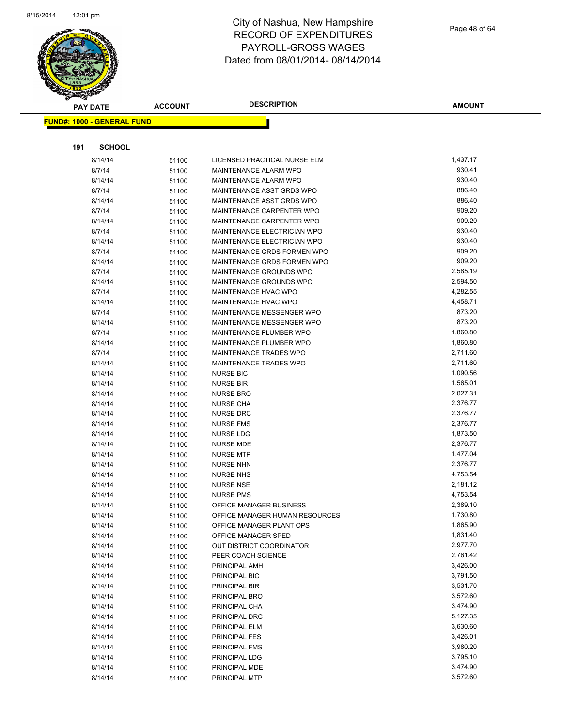

|     | <b>PAY DATE</b>                   | <b>ACCOUNT</b> | <b>DESCRIPTION</b>                                | AMOUNT             |
|-----|-----------------------------------|----------------|---------------------------------------------------|--------------------|
|     | <b>FUND#: 1000 - GENERAL FUND</b> |                |                                                   |                    |
|     |                                   |                |                                                   |                    |
|     |                                   |                |                                                   |                    |
| 191 | <b>SCHOOL</b>                     |                |                                                   |                    |
|     | 8/14/14                           | 51100          | LICENSED PRACTICAL NURSE ELM                      | 1,437.17           |
|     | 8/7/14                            | 51100          | MAINTENANCE ALARM WPO                             | 930.41             |
|     | 8/14/14                           | 51100          | MAINTENANCE ALARM WPO                             | 930.40             |
|     | 8/7/14                            | 51100          | MAINTENANCE ASST GRDS WPO                         | 886.40             |
|     | 8/14/14                           | 51100          | MAINTENANCE ASST GRDS WPO                         | 886.40             |
|     | 8/7/14                            | 51100          | MAINTENANCE CARPENTER WPO                         | 909.20             |
|     | 8/14/14                           | 51100          | MAINTENANCE CARPENTER WPO                         | 909.20             |
|     | 8/7/14                            | 51100          | MAINTENANCE ELECTRICIAN WPO                       | 930.40             |
|     | 8/14/14                           | 51100          | MAINTENANCE ELECTRICIAN WPO                       | 930.40             |
|     | 8/7/14                            | 51100          | MAINTENANCE GRDS FORMEN WPO                       | 909.20             |
|     | 8/14/14                           | 51100          | MAINTENANCE GRDS FORMEN WPO                       | 909.20             |
|     | 8/7/14                            | 51100          | MAINTENANCE GROUNDS WPO                           | 2,585.19           |
|     | 8/14/14                           | 51100          | MAINTENANCE GROUNDS WPO<br>MAINTENANCE HVAC WPO   | 2,594.50           |
|     | 8/7/14                            | 51100          |                                                   | 4,282.55           |
|     | 8/14/14                           | 51100          | MAINTENANCE HVAC WPO<br>MAINTENANCE MESSENGER WPO | 4,458.71<br>873.20 |
|     | 8/7/14<br>8/14/14                 | 51100          | MAINTENANCE MESSENGER WPO                         | 873.20             |
|     | 8/7/14                            | 51100<br>51100 | MAINTENANCE PLUMBER WPO                           | 1,860.80           |
|     | 8/14/14                           |                | MAINTENANCE PLUMBER WPO                           | 1,860.80           |
|     | 8/7/14                            | 51100<br>51100 | MAINTENANCE TRADES WPO                            | 2,711.60           |
|     | 8/14/14                           | 51100          | MAINTENANCE TRADES WPO                            | 2,711.60           |
|     | 8/14/14                           | 51100          | <b>NURSE BIC</b>                                  | 1,090.56           |
|     | 8/14/14                           | 51100          | <b>NURSE BIR</b>                                  | 1,565.01           |
|     | 8/14/14                           | 51100          | <b>NURSE BRO</b>                                  | 2,027.31           |
|     | 8/14/14                           | 51100          | <b>NURSE CHA</b>                                  | 2,376.77           |
|     | 8/14/14                           | 51100          | <b>NURSE DRC</b>                                  | 2,376.77           |
|     | 8/14/14                           | 51100          | <b>NURSE FMS</b>                                  | 2,376.77           |
|     | 8/14/14                           | 51100          | <b>NURSE LDG</b>                                  | 1,873.50           |
|     | 8/14/14                           | 51100          | <b>NURSE MDE</b>                                  | 2,376.77           |
|     | 8/14/14                           | 51100          | <b>NURSE MTP</b>                                  | 1,477.04           |
|     | 8/14/14                           | 51100          | <b>NURSE NHN</b>                                  | 2,376.77           |
|     | 8/14/14                           | 51100          | <b>NURSE NHS</b>                                  | 4,753.54           |
|     | 8/14/14                           | 51100          | <b>NURSE NSE</b>                                  | 2,181.12           |
|     | 8/14/14                           | 51100          | <b>NURSE PMS</b>                                  | 4,753.54           |
|     | 8/14/14                           | 51100          | OFFICE MANAGER BUSINESS                           | 2,389.10           |
|     | 8/14/14                           | 51100          | OFFICE MANAGER HUMAN RESOURCES                    | 1,730.80           |
|     | 8/14/14                           | 51100          | OFFICE MANAGER PLANT OPS                          | 1,865.90           |
|     | 8/14/14                           | 51100          | OFFICE MANAGER SPED                               | 1,831.40           |
|     | 8/14/14                           | 51100          | OUT DISTRICT COORDINATOR                          | 2,977.70           |
|     | 8/14/14                           | 51100          | PEER COACH SCIENCE                                | 2,761.42           |
|     | 8/14/14                           | 51100          | PRINCIPAL AMH                                     | 3,426.00           |
|     | 8/14/14                           | 51100          | PRINCIPAL BIC                                     | 3,791.50           |
|     | 8/14/14                           | 51100          | PRINCIPAL BIR                                     | 3,531.70           |
|     | 8/14/14                           | 51100          | PRINCIPAL BRO                                     | 3,572.60           |
|     | 8/14/14                           | 51100          | PRINCIPAL CHA                                     | 3,474.90           |
|     | 8/14/14                           | 51100          | PRINCIPAL DRC                                     | 5,127.35           |
|     | 8/14/14                           | 51100          | PRINCIPAL ELM                                     | 3,630.60           |
|     | 8/14/14                           | 51100          | PRINCIPAL FES                                     | 3,426.01           |
|     | 8/14/14                           | 51100          | <b>PRINCIPAL FMS</b>                              | 3,980.20           |
|     | 8/14/14                           | 51100          | PRINCIPAL LDG                                     | 3,795.10           |
|     | 8/14/14                           | 51100          | PRINCIPAL MDE                                     | 3,474.90           |
|     | 8/14/14                           | 51100          | PRINCIPAL MTP                                     | 3,572.60           |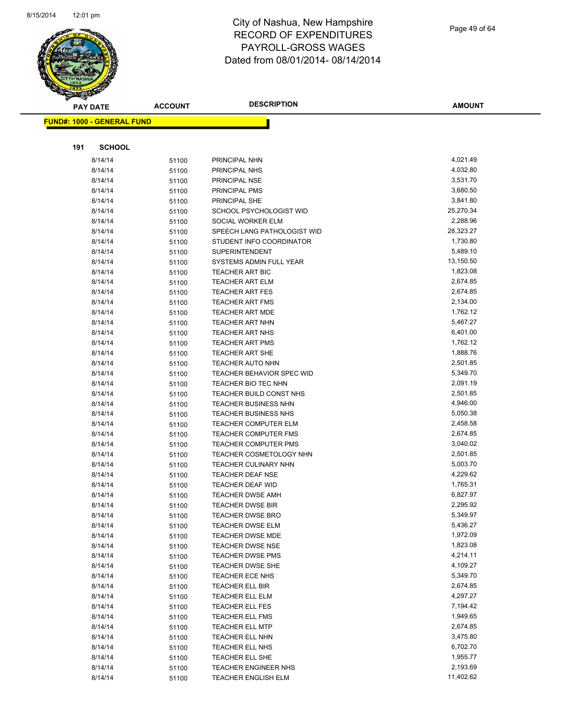

Page 49 of 64

|     | <b>PAY DATE</b>                   | <b>ACCOUNT</b> | <b>DESCRIPTION</b>          | <b>AMOUNT</b> |
|-----|-----------------------------------|----------------|-----------------------------|---------------|
|     | <b>FUND#: 1000 - GENERAL FUND</b> |                |                             |               |
|     |                                   |                |                             |               |
|     |                                   |                |                             |               |
| 191 | <b>SCHOOL</b>                     |                |                             |               |
|     | 8/14/14                           | 51100          | PRINCIPAL NHN               | 4,021.49      |
|     | 8/14/14                           | 51100          | PRINCIPAL NHS               | 4,032.80      |
|     | 8/14/14                           | 51100          | PRINCIPAL NSE               | 3,531.70      |
|     | 8/14/14                           | 51100          | PRINCIPAL PMS               | 3,680.50      |
|     | 8/14/14                           | 51100          | PRINCIPAL SHE               | 3,841.80      |
|     | 8/14/14                           | 51100          | SCHOOL PSYCHOLOGIST WID     | 25,270.34     |
|     | 8/14/14                           | 51100          | SOCIAL WORKER ELM           | 2,288.96      |
|     | 8/14/14                           | 51100          | SPEECH LANG PATHOLOGIST WID | 28,323.27     |
|     | 8/14/14                           | 51100          | STUDENT INFO COORDINATOR    | 1,730.80      |
|     | 8/14/14                           | 51100          | SUPERINTENDENT              | 5,489.10      |
|     | 8/14/14                           | 51100          | SYSTEMS ADMIN FULL YEAR     | 13,150.50     |
|     | 8/14/14                           | 51100          | TEACHER ART BIC             | 1,823.08      |
|     | 8/14/14                           | 51100          | <b>TEACHER ART ELM</b>      | 2,674.85      |
|     | 8/14/14                           | 51100          | <b>TEACHER ART FES</b>      | 2,674.85      |
|     | 8/14/14                           | 51100          | <b>TEACHER ART FMS</b>      | 2,134.00      |
|     | 8/14/14                           | 51100          | <b>TEACHER ART MDE</b>      | 1,762.12      |
|     | 8/14/14                           | 51100          | <b>TEACHER ART NHN</b>      | 5,467.27      |
|     | 8/14/14                           | 51100          | <b>TEACHER ART NHS</b>      | 6,401.00      |
|     | 8/14/14                           | 51100          | <b>TEACHER ART PMS</b>      | 1,762.12      |
|     | 8/14/14                           | 51100          | <b>TEACHER ART SHE</b>      | 1,888.76      |
|     | 8/14/14                           | 51100          | <b>TEACHER AUTO NHN</b>     | 2,501.85      |
|     | 8/14/14                           | 51100          | TEACHER BEHAVIOR SPEC WID   | 5,349.70      |
|     | 8/14/14                           | 51100          | TEACHER BIO TEC NHN         | 2,091.19      |
|     | 8/14/14                           | 51100          | TEACHER BUILD CONST NHS     | 2,501.85      |
|     | 8/14/14                           | 51100          | <b>TEACHER BUSINESS NHN</b> | 4,946.00      |
|     | 8/14/14                           | 51100          | <b>TEACHER BUSINESS NHS</b> | 5,050.38      |
|     | 8/14/14                           | 51100          | TEACHER COMPUTER ELM        | 2,458.58      |
|     | 8/14/14                           | 51100          | <b>TEACHER COMPUTER FMS</b> | 2,674.85      |
|     | 8/14/14                           | 51100          | <b>TEACHER COMPUTER PMS</b> | 3,040.02      |
|     | 8/14/14                           | 51100          | TEACHER COSMETOLOGY NHN     | 2,501.85      |
|     | 8/14/14                           | 51100          | <b>TEACHER CULINARY NHN</b> | 5,003.70      |
|     | 8/14/14                           | 51100          | TEACHER DEAF NSE            | 4,229.62      |
|     | 8/14/14                           | 51100          | TEACHER DEAF WID            | 1,765.31      |
|     | 8/14/14                           | 51100          | <b>TEACHER DWSE AMH</b>     | 6,827.97      |
|     | 8/14/14                           | 51100          | <b>TEACHER DWSE BIR</b>     | 2,295.92      |
|     | 8/14/14                           | 51100          | TEACHER DWSE BRO            | 5,349.97      |
|     | 8/14/14                           | 51100          | <b>TEACHER DWSE ELM</b>     | 5,436.27      |
|     | 8/14/14                           | 51100          | TEACHER DWSE MDE            | 1,972.09      |
|     | 8/14/14                           | 51100          | <b>TEACHER DWSE NSE</b>     | 1,823.08      |
|     | 8/14/14                           | 51100          | <b>TEACHER DWSE PMS</b>     | 4,214.11      |
|     | 8/14/14                           | 51100          | <b>TEACHER DWSE SHE</b>     | 4,109.27      |
|     | 8/14/14                           | 51100          | TEACHER ECE NHS             | 5,349.70      |
|     | 8/14/14                           | 51100          | <b>TEACHER ELL BIR</b>      | 2,674.85      |
|     | 8/14/14                           | 51100          | TEACHER ELL ELM             | 4,297.27      |
|     | 8/14/14                           | 51100          | <b>TEACHER ELL FES</b>      | 7,194.42      |
|     | 8/14/14                           | 51100          | <b>TEACHER ELL FMS</b>      | 1,949.65      |
|     | 8/14/14                           | 51100          | <b>TEACHER ELL MTP</b>      | 2,674.85      |
|     | 8/14/14                           | 51100          | TEACHER ELL NHN             | 3,475.80      |
|     | 8/14/14                           | 51100          | TEACHER ELL NHS             | 6,702.70      |
|     | 8/14/14                           | 51100          | TEACHER ELL SHE             | 1,955.77      |
|     | 8/14/14                           | 51100          | <b>TEACHER ENGINEER NHS</b> | 2,193.69      |
|     | 8/14/14                           | 51100          | <b>TEACHER ENGLISH ELM</b>  | 11,402.62     |
|     |                                   |                |                             |               |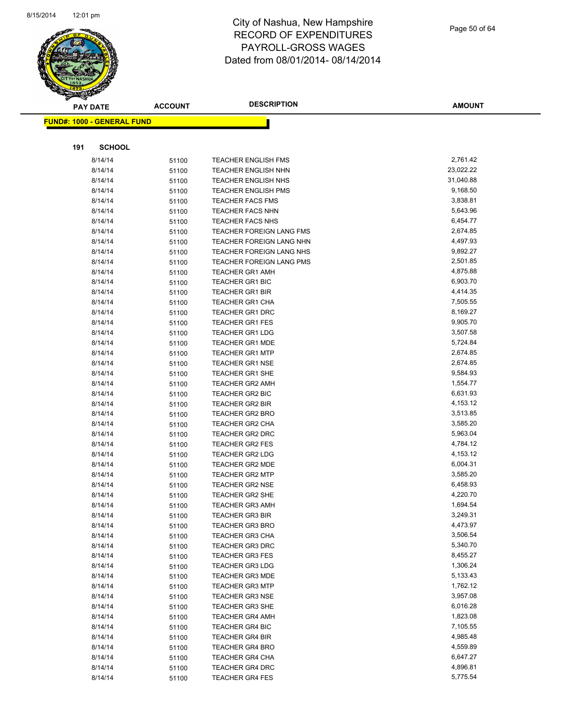

Page 50 of 64

| <b>PAY DATE</b>                   | <b>ACCOUNT</b> | <b>DESCRIPTION</b>                               | <b>AMOUNT</b>        |
|-----------------------------------|----------------|--------------------------------------------------|----------------------|
| <b>FUND#: 1000 - GENERAL FUND</b> |                |                                                  |                      |
|                                   |                |                                                  |                      |
|                                   |                |                                                  |                      |
| 191<br><b>SCHOOL</b>              |                |                                                  |                      |
| 8/14/14                           | 51100          | <b>TEACHER ENGLISH FMS</b>                       | 2,761.42             |
| 8/14/14                           | 51100          | <b>TEACHER ENGLISH NHN</b>                       | 23,022.22            |
| 8/14/14                           | 51100          | <b>TEACHER ENGLISH NHS</b>                       | 31,040.88            |
| 8/14/14                           | 51100          | <b>TEACHER ENGLISH PMS</b>                       | 9,168.50             |
| 8/14/14                           | 51100          | <b>TEACHER FACS FMS</b>                          | 3,838.81             |
| 8/14/14                           | 51100          | <b>TEACHER FACS NHN</b>                          | 5,643.96             |
| 8/14/14                           | 51100          | <b>TEACHER FACS NHS</b>                          | 6,454.77             |
| 8/14/14                           | 51100          | TEACHER FOREIGN LANG FMS                         | 2,674.85             |
| 8/14/14                           | 51100          | TEACHER FOREIGN LANG NHN                         | 4,497.93             |
| 8/14/14                           | 51100          | TEACHER FOREIGN LANG NHS                         | 9,892.27             |
| 8/14/14                           | 51100          | TEACHER FOREIGN LANG PMS                         | 2,501.85             |
| 8/14/14                           | 51100          | <b>TEACHER GR1 AMH</b>                           | 4,875.88             |
| 8/14/14                           | 51100          | <b>TEACHER GR1 BIC</b>                           | 6,903.70             |
| 8/14/14                           | 51100          | <b>TEACHER GR1 BIR</b>                           | 4,414.35             |
| 8/14/14                           | 51100          | <b>TEACHER GR1 CHA</b>                           | 7,505.55<br>8,169.27 |
| 8/14/14                           | 51100          | <b>TEACHER GR1 DRC</b>                           | 9,905.70             |
| 8/14/14                           | 51100          | <b>TEACHER GR1 FES</b>                           | 3,507.58             |
| 8/14/14                           | 51100          | <b>TEACHER GR1 LDG</b>                           | 5,724.84             |
| 8/14/14                           | 51100          | <b>TEACHER GR1 MDE</b><br><b>TEACHER GR1 MTP</b> | 2,674.85             |
| 8/14/14<br>8/14/14                | 51100          | <b>TEACHER GR1 NSE</b>                           | 2,674.85             |
| 8/14/14                           | 51100          | TEACHER GR1 SHE                                  | 9,584.93             |
| 8/14/14                           | 51100          | <b>TEACHER GR2 AMH</b>                           | 1,554.77             |
| 8/14/14                           | 51100<br>51100 | <b>TEACHER GR2 BIC</b>                           | 6,631.93             |
| 8/14/14                           |                | <b>TEACHER GR2 BIR</b>                           | 4,153.12             |
| 8/14/14                           | 51100<br>51100 | <b>TEACHER GR2 BRO</b>                           | 3,513.85             |
| 8/14/14                           | 51100          | TEACHER GR2 CHA                                  | 3,585.20             |
| 8/14/14                           | 51100          | TEACHER GR2 DRC                                  | 5,963.04             |
| 8/14/14                           | 51100          | <b>TEACHER GR2 FES</b>                           | 4,784.12             |
| 8/14/14                           | 51100          | <b>TEACHER GR2 LDG</b>                           | 4,153.12             |
| 8/14/14                           | 51100          | <b>TEACHER GR2 MDE</b>                           | 6,004.31             |
| 8/14/14                           | 51100          | <b>TEACHER GR2 MTP</b>                           | 3,585.20             |
| 8/14/14                           | 51100          | <b>TEACHER GR2 NSE</b>                           | 6,458.93             |
| 8/14/14                           | 51100          | <b>TEACHER GR2 SHE</b>                           | 4,220.70             |
| 8/14/14                           | 51100          | <b>TEACHER GR3 AMH</b>                           | 1,694.54             |
| 8/14/14                           | 51100          | TEACHER GR3 BIR                                  | 3,249.31             |
| 8/14/14                           | 51100          | <b>TEACHER GR3 BRO</b>                           | 4,473.97             |
| 8/14/14                           | 51100          | <b>TEACHER GR3 CHA</b>                           | 3,506.54             |
| 8/14/14                           | 51100          | <b>TEACHER GR3 DRC</b>                           | 5,340.70             |
| 8/14/14                           | 51100          | <b>TEACHER GR3 FES</b>                           | 8,455.27             |
| 8/14/14                           | 51100          | <b>TEACHER GR3 LDG</b>                           | 1,306.24             |
| 8/14/14                           | 51100          | <b>TEACHER GR3 MDE</b>                           | 5,133.43             |
| 8/14/14                           | 51100          | <b>TEACHER GR3 MTP</b>                           | 1,762.12             |
| 8/14/14                           | 51100          | <b>TEACHER GR3 NSE</b>                           | 3,957.08             |
| 8/14/14                           | 51100          | <b>TEACHER GR3 SHE</b>                           | 6,016.28             |
| 8/14/14                           | 51100          | <b>TEACHER GR4 AMH</b>                           | 1,823.08             |
| 8/14/14                           | 51100          | <b>TEACHER GR4 BIC</b>                           | 7,105.55             |
| 8/14/14                           | 51100          | <b>TEACHER GR4 BIR</b>                           | 4,985.48             |
| 8/14/14                           | 51100          | <b>TEACHER GR4 BRO</b>                           | 4,559.89             |
| 8/14/14                           | 51100          | <b>TEACHER GR4 CHA</b>                           | 6,647.27             |
| 8/14/14                           | 51100          | <b>TEACHER GR4 DRC</b>                           | 4,896.81             |
| 8/14/14                           | 51100          | <b>TEACHER GR4 FES</b>                           | 5,775.54             |
|                                   |                |                                                  |                      |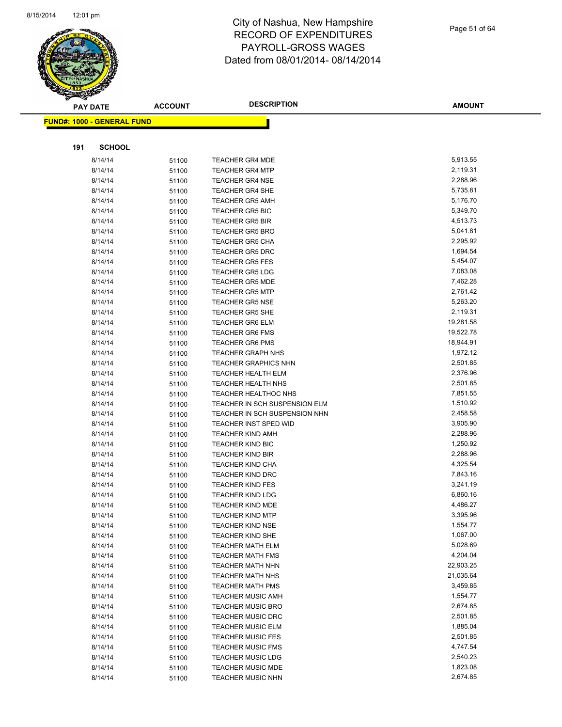

|     | <b>PAY DATE</b>                   | <b>ACCOUNT</b> | <b>DESCRIPTION</b>                               | <b>AMOUNT</b>        |
|-----|-----------------------------------|----------------|--------------------------------------------------|----------------------|
|     | <b>FUND#: 1000 - GENERAL FUND</b> |                |                                                  |                      |
|     |                                   |                |                                                  |                      |
|     |                                   |                |                                                  |                      |
| 191 | <b>SCHOOL</b>                     |                |                                                  |                      |
|     | 8/14/14                           | 51100          | <b>TEACHER GR4 MDE</b>                           | 5,913.55             |
|     | 8/14/14                           | 51100          | <b>TEACHER GR4 MTP</b>                           | 2,119.31             |
|     | 8/14/14                           | 51100          | <b>TEACHER GR4 NSE</b>                           | 2,288.96             |
|     | 8/14/14                           | 51100          | <b>TEACHER GR4 SHE</b>                           | 5,735.81             |
|     | 8/14/14                           | 51100          | <b>TEACHER GR5 AMH</b>                           | 5,176.70             |
|     | 8/14/14                           | 51100          | <b>TEACHER GR5 BIC</b>                           | 5,349.70             |
|     | 8/14/14                           | 51100          | <b>TEACHER GR5 BIR</b>                           | 4,513.73             |
|     | 8/14/14                           | 51100          | <b>TEACHER GR5 BRO</b>                           | 5,041.81             |
|     | 8/14/14                           | 51100          | <b>TEACHER GR5 CHA</b>                           | 2,295.92             |
|     | 8/14/14                           | 51100          | <b>TEACHER GR5 DRC</b>                           | 1,694.54             |
|     | 8/14/14                           | 51100          | <b>TEACHER GR5 FES</b>                           | 5,454.07             |
|     | 8/14/14                           | 51100          | <b>TEACHER GR5 LDG</b>                           | 7,083.08             |
|     | 8/14/14                           | 51100          | <b>TEACHER GR5 MDE</b>                           | 7,462.28             |
|     | 8/14/14                           | 51100          | <b>TEACHER GR5 MTP</b>                           | 2,761.42             |
|     | 8/14/14                           | 51100          | <b>TEACHER GR5 NSE</b>                           | 5,263.20<br>2,119.31 |
|     | 8/14/14                           | 51100          | <b>TEACHER GR5 SHE</b>                           | 19,281.58            |
|     | 8/14/14<br>8/14/14                | 51100          | <b>TEACHER GR6 ELM</b><br><b>TEACHER GR6 FMS</b> | 19,522.78            |
|     | 8/14/14                           | 51100          | <b>TEACHER GR6 PMS</b>                           | 18,944.91            |
|     | 8/14/14                           | 51100<br>51100 | <b>TEACHER GRAPH NHS</b>                         | 1,972.12             |
|     | 8/14/14                           | 51100          | <b>TEACHER GRAPHICS NHN</b>                      | 2,501.85             |
|     | 8/14/14                           | 51100          | <b>TEACHER HEALTH ELM</b>                        | 2,376.96             |
|     | 8/14/14                           | 51100          | <b>TEACHER HEALTH NHS</b>                        | 2,501.85             |
|     | 8/14/14                           | 51100          | <b>TEACHER HEALTHOC NHS</b>                      | 7,851.55             |
|     | 8/14/14                           | 51100          | TEACHER IN SCH SUSPENSION ELM                    | 1,510.92             |
|     | 8/14/14                           | 51100          | TEACHER IN SCH SUSPENSION NHN                    | 2,458.58             |
|     | 8/14/14                           | 51100          | <b>TEACHER INST SPED WID</b>                     | 3,905.90             |
|     | 8/14/14                           | 51100          | <b>TEACHER KIND AMH</b>                          | 2,288.96             |
|     | 8/14/14                           | 51100          | <b>TEACHER KIND BIC</b>                          | 1,250.92             |
|     | 8/14/14                           | 51100          | <b>TEACHER KIND BIR</b>                          | 2,288.96             |
|     | 8/14/14                           | 51100          | <b>TEACHER KIND CHA</b>                          | 4,325.54             |
|     | 8/14/14                           | 51100          | <b>TEACHER KIND DRC</b>                          | 7,843.16             |
|     | 8/14/14                           | 51100          | <b>TEACHER KIND FES</b>                          | 3,241.19             |
|     | 8/14/14                           | 51100          | <b>TEACHER KIND LDG</b>                          | 6,860.16             |
|     | 8/14/14                           | 51100          | <b>TEACHER KIND MDE</b>                          | 4,486.27             |
|     | 8/14/14                           | 51100          | <b>TEACHER KIND MTP</b>                          | 3,395.96             |
|     | 8/14/14                           | 51100          | <b>TEACHER KIND NSE</b>                          | 1,554.77             |
|     | 8/14/14                           | 51100          | <b>TEACHER KIND SHE</b>                          | 1,067.00             |
|     | 8/14/14                           | 51100          | <b>TEACHER MATH ELM</b>                          | 5,028.69             |
|     | 8/14/14                           | 51100          | <b>TEACHER MATH FMS</b>                          | 4,204.04             |
|     | 8/14/14                           | 51100          | <b>TEACHER MATH NHN</b>                          | 22,903.25            |
|     | 8/14/14                           | 51100          | <b>TEACHER MATH NHS</b>                          | 21,035.64            |
|     | 8/14/14                           | 51100          | <b>TEACHER MATH PMS</b>                          | 3,459.85             |
|     | 8/14/14                           | 51100          | <b>TEACHER MUSIC AMH</b>                         | 1,554.77             |
|     | 8/14/14                           | 51100          | <b>TEACHER MUSIC BRO</b>                         | 2,674.85             |
|     | 8/14/14                           | 51100          | <b>TEACHER MUSIC DRC</b>                         | 2,501.85             |
|     | 8/14/14                           | 51100          | <b>TEACHER MUSIC ELM</b>                         | 1,885.04             |
|     | 8/14/14                           | 51100          | <b>TEACHER MUSIC FES</b>                         | 2,501.85             |
|     | 8/14/14                           | 51100          | <b>TEACHER MUSIC FMS</b>                         | 4,747.54             |
|     | 8/14/14                           | 51100          | <b>TEACHER MUSIC LDG</b>                         | 2,540.23             |
|     | 8/14/14                           | 51100          | <b>TEACHER MUSIC MDE</b>                         | 1,823.08             |
|     | 8/14/14                           | 51100          | <b>TEACHER MUSIC NHN</b>                         | 2,674.85             |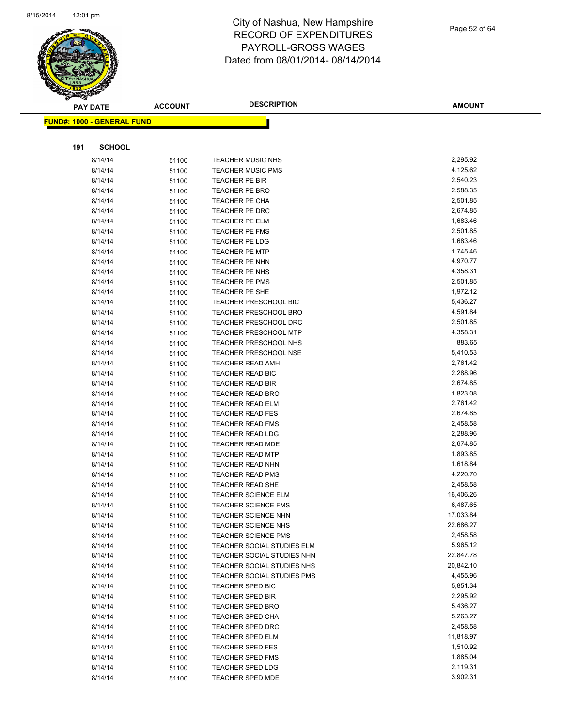

Page 52 of 64

|     | <b>PAY DATE</b>                   | <b>ACCOUNT</b> | <b>DESCRIPTION</b>               | <b>AMOUNT</b>        |
|-----|-----------------------------------|----------------|----------------------------------|----------------------|
|     | <b>FUND#: 1000 - GENERAL FUND</b> |                |                                  |                      |
|     |                                   |                |                                  |                      |
| 191 | <b>SCHOOL</b>                     |                |                                  |                      |
|     |                                   |                |                                  |                      |
|     | 8/14/14                           | 51100          | <b>TEACHER MUSIC NHS</b>         | 2,295.92             |
|     | 8/14/14                           | 51100          | <b>TEACHER MUSIC PMS</b>         | 4,125.62             |
|     | 8/14/14                           | 51100          | <b>TEACHER PE BIR</b>            | 2,540.23             |
|     | 8/14/14                           | 51100          | TEACHER PE BRO                   | 2,588.35<br>2,501.85 |
|     | 8/14/14                           | 51100          | TEACHER PE CHA                   |                      |
|     | 8/14/14                           | 51100          | TEACHER PE DRC                   | 2,674.85<br>1,683.46 |
|     | 8/14/14<br>8/14/14                | 51100          | TEACHER PE ELM<br>TEACHER PE FMS | 2,501.85             |
|     | 8/14/14                           | 51100          | <b>TEACHER PE LDG</b>            | 1,683.46             |
|     | 8/14/14                           | 51100          | TEACHER PE MTP                   | 1,745.46             |
|     | 8/14/14                           | 51100          | TEACHER PE NHN                   | 4,970.77             |
|     | 8/14/14                           | 51100          | TEACHER PE NHS                   | 4,358.31             |
|     | 8/14/14                           | 51100<br>51100 | TEACHER PE PMS                   | 2,501.85             |
|     | 8/14/14                           | 51100          | TEACHER PE SHE                   | 1,972.12             |
|     | 8/14/14                           | 51100          | TEACHER PRESCHOOL BIC            | 5,436.27             |
|     | 8/14/14                           | 51100          | <b>TEACHER PRESCHOOL BRO</b>     | 4,591.84             |
|     | 8/14/14                           | 51100          | <b>TEACHER PRESCHOOL DRC</b>     | 2,501.85             |
|     | 8/14/14                           | 51100          | TEACHER PRESCHOOL MTP            | 4,358.31             |
|     | 8/14/14                           | 51100          | TEACHER PRESCHOOL NHS            | 883.65               |
|     | 8/14/14                           | 51100          | TEACHER PRESCHOOL NSE            | 5,410.53             |
|     | 8/14/14                           | 51100          | <b>TEACHER READ AMH</b>          | 2,761.42             |
|     | 8/14/14                           | 51100          | TEACHER READ BIC                 | 2,288.96             |
|     | 8/14/14                           | 51100          | TEACHER READ BIR                 | 2,674.85             |
|     | 8/14/14                           | 51100          | TEACHER READ BRO                 | 1,823.08             |
|     | 8/14/14                           |                | TEACHER READ ELM                 | 2,761.42             |
|     | 8/14/14                           | 51100          | TEACHER READ FES                 | 2,674.85             |
|     | 8/14/14                           | 51100<br>51100 | <b>TEACHER READ FMS</b>          | 2,458.58             |
|     | 8/14/14                           | 51100          | <b>TEACHER READ LDG</b>          | 2,288.96             |
|     | 8/14/14                           | 51100          | <b>TEACHER READ MDE</b>          | 2,674.85             |
|     | 8/14/14                           | 51100          | TEACHER READ MTP                 | 1,893.85             |
|     | 8/14/14                           | 51100          | TEACHER READ NHN                 | 1,618.84             |
|     | 8/14/14                           | 51100          | <b>TEACHER READ PMS</b>          | 4,220.70             |
|     | 8/14/14                           | 51100          | <b>TEACHER READ SHE</b>          | 2,458.58             |
|     | 8/14/14                           | 51100          | <b>TEACHER SCIENCE ELM</b>       | 16,406.26            |
|     | 8/14/14                           | 51100          | <b>TEACHER SCIENCE FMS</b>       | 6,487.65             |
|     | 8/14/14                           | 51100          | TEACHER SCIENCE NHN              | 17,033.84            |
|     | 8/14/14                           | 51100          | <b>TEACHER SCIENCE NHS</b>       | 22,686.27            |
|     | 8/14/14                           | 51100          | <b>TEACHER SCIENCE PMS</b>       | 2,458.58             |
|     | 8/14/14                           | 51100          | TEACHER SOCIAL STUDIES ELM       | 5,965.12             |
|     | 8/14/14                           | 51100          | TEACHER SOCIAL STUDIES NHN       | 22,847.78            |
|     | 8/14/14                           | 51100          | TEACHER SOCIAL STUDIES NHS       | 20,842.10            |
|     | 8/14/14                           | 51100          | TEACHER SOCIAL STUDIES PMS       | 4,455.96             |
|     | 8/14/14                           | 51100          | TEACHER SPED BIC                 | 5,851.34             |
|     | 8/14/14                           | 51100          | TEACHER SPED BIR                 | 2,295.92             |
|     | 8/14/14                           | 51100          | <b>TEACHER SPED BRO</b>          | 5,436.27             |
|     | 8/14/14                           | 51100          | <b>TEACHER SPED CHA</b>          | 5,263.27             |
|     | 8/14/14                           | 51100          | <b>TEACHER SPED DRC</b>          | 2,458.58             |
|     | 8/14/14                           | 51100          | <b>TEACHER SPED ELM</b>          | 11,818.97            |
|     | 8/14/14                           | 51100          | <b>TEACHER SPED FES</b>          | 1,510.92             |
|     | 8/14/14                           | 51100          | TEACHER SPED FMS                 | 1,885.04             |
|     | 8/14/14                           | 51100          | <b>TEACHER SPED LDG</b>          | 2,119.31             |
|     | 8/14/14                           | 51100          | TEACHER SPED MDE                 | 3,902.31             |
|     |                                   |                |                                  |                      |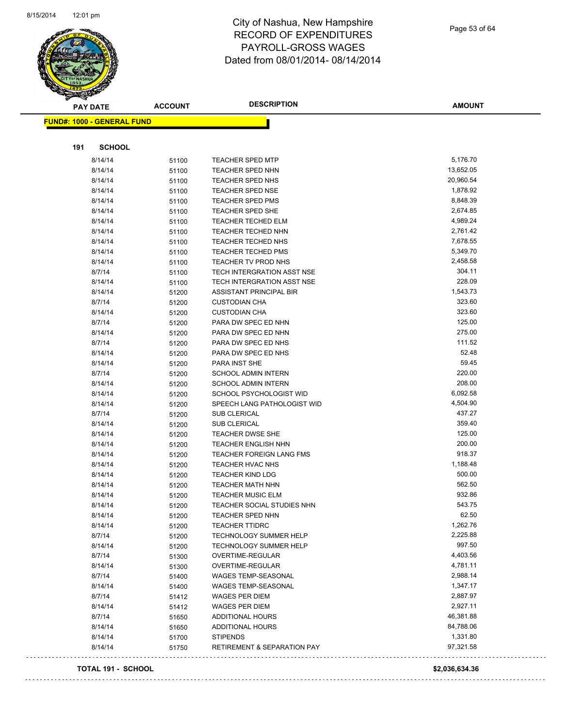

Page 53 of 64

| <b>PAY DATE</b>                   | <b>ACCOUNT</b> | <b>DESCRIPTION</b>                                        | <b>AMOUNT</b>      |
|-----------------------------------|----------------|-----------------------------------------------------------|--------------------|
| <b>FUND#: 1000 - GENERAL FUND</b> |                |                                                           |                    |
|                                   |                |                                                           |                    |
|                                   |                |                                                           |                    |
| <b>SCHOOL</b><br>191              |                |                                                           |                    |
| 8/14/14                           | 51100          | <b>TEACHER SPED MTP</b>                                   | 5,176.70           |
| 8/14/14                           | 51100          | <b>TEACHER SPED NHN</b>                                   | 13,652.05          |
| 8/14/14                           | 51100          | <b>TEACHER SPED NHS</b>                                   | 20,960.54          |
| 8/14/14                           | 51100          | <b>TEACHER SPED NSE</b>                                   | 1,878.92           |
| 8/14/14                           | 51100          | TEACHER SPED PMS                                          | 8,848.39           |
| 8/14/14                           | 51100          | <b>TEACHER SPED SHE</b>                                   | 2,674.85           |
| 8/14/14                           | 51100          | <b>TEACHER TECHED ELM</b>                                 | 4,989.24           |
| 8/14/14                           | 51100          | <b>TEACHER TECHED NHN</b>                                 | 2,761.42           |
| 8/14/14                           | 51100          | TEACHER TECHED NHS                                        | 7,678.55           |
| 8/14/14                           | 51100          | <b>TEACHER TECHED PMS</b>                                 | 5,349.70           |
| 8/14/14                           | 51100          | TEACHER TV PROD NHS                                       | 2,458.58           |
| 8/7/14                            | 51100          | TECH INTERGRATION ASST NSE                                | 304.11             |
| 8/14/14                           | 51100          | TECH INTERGRATION ASST NSE                                | 228.09             |
| 8/14/14                           | 51200          | ASSISTANT PRINCIPAL BIR                                   | 1,543.73           |
| 8/7/14                            | 51200          | <b>CUSTODIAN CHA</b>                                      | 323.60             |
| 8/14/14                           | 51200          | <b>CUSTODIAN CHA</b>                                      | 323.60             |
| 8/7/14                            | 51200          | PARA DW SPEC ED NHN                                       | 125.00             |
| 8/14/14                           | 51200          | PARA DW SPEC ED NHN                                       | 275.00             |
| 8/7/14                            | 51200          | PARA DW SPEC ED NHS                                       | 111.52             |
| 8/14/14                           | 51200          | PARA DW SPEC ED NHS                                       | 52.48              |
| 8/14/14                           | 51200          | PARA INST SHE                                             | 59.45              |
| 8/7/14                            | 51200          | <b>SCHOOL ADMIN INTERN</b>                                | 220.00             |
| 8/14/14                           | 51200          | SCHOOL ADMIN INTERN                                       | 208.00             |
| 8/14/14                           | 51200          | SCHOOL PSYCHOLOGIST WID                                   | 6,092.58           |
| 8/14/14                           | 51200          | SPEECH LANG PATHOLOGIST WID                               | 4,504.90           |
| 8/7/14                            | 51200          | SUB CLERICAL                                              | 437.27             |
| 8/14/14                           | 51200          | <b>SUB CLERICAL</b>                                       | 359.40             |
| 8/14/14                           | 51200          | <b>TEACHER DWSE SHE</b>                                   | 125.00             |
| 8/14/14                           | 51200          | <b>TEACHER ENGLISH NHN</b>                                | 200.00             |
| 8/14/14                           | 51200          | <b>TEACHER FOREIGN LANG FMS</b>                           | 918.37             |
| 8/14/14                           | 51200          | <b>TEACHER HVAC NHS</b>                                   | 1,188.48           |
| 8/14/14                           | 51200          | <b>TEACHER KIND LDG</b>                                   | 500.00             |
| 8/14/14                           | 51200          | TEACHER MATH NHN                                          | 562.50             |
| 8/14/14                           | 51200          | <b>TEACHER MUSIC ELM</b>                                  | 932.86             |
| 8/14/14                           | 51200          | TEACHER SOCIAL STUDIES NHN                                | 543.75             |
| 8/14/14                           | 51200          | TEACHER SPED NHN                                          | 62.50              |
| 8/14/14                           | 51200          | <b>TEACHER TTIDRC</b>                                     | 1,262.76           |
| 8/7/14                            | 51200          | <b>TECHNOLOGY SUMMER HELP</b>                             | 2,225.88<br>997.50 |
| 8/14/14                           | 51200          | <b>TECHNOLOGY SUMMER HELP</b>                             | 4,403.56           |
| 8/7/14                            | 51300          | OVERTIME-REGULAR                                          | 4,781.11           |
| 8/14/14                           | 51300          | OVERTIME-REGULAR                                          | 2,988.14           |
| 8/7/14                            | 51400          | WAGES TEMP-SEASONAL                                       | 1,347.17           |
| 8/14/14                           | 51400          | WAGES TEMP-SEASONAL                                       | 2,887.97           |
| 8/7/14                            | 51412          | <b>WAGES PER DIEM</b>                                     | 2,927.11           |
| 8/14/14                           | 51412          | WAGES PER DIEM<br><b>ADDITIONAL HOURS</b>                 | 46,381.88          |
| 8/7/14<br>8/14/14                 | 51650          | <b>ADDITIONAL HOURS</b>                                   | 84,788.06          |
|                                   | 51650          |                                                           | 1,331.80           |
| 8/14/14<br>8/14/14                | 51700          | <b>STIPENDS</b><br><b>RETIREMENT &amp; SEPARATION PAY</b> | 97,321.58          |
|                                   | 51750          |                                                           |                    |

#### **TOTAL 191 - SCHOOL \$2,036,634.36**

1111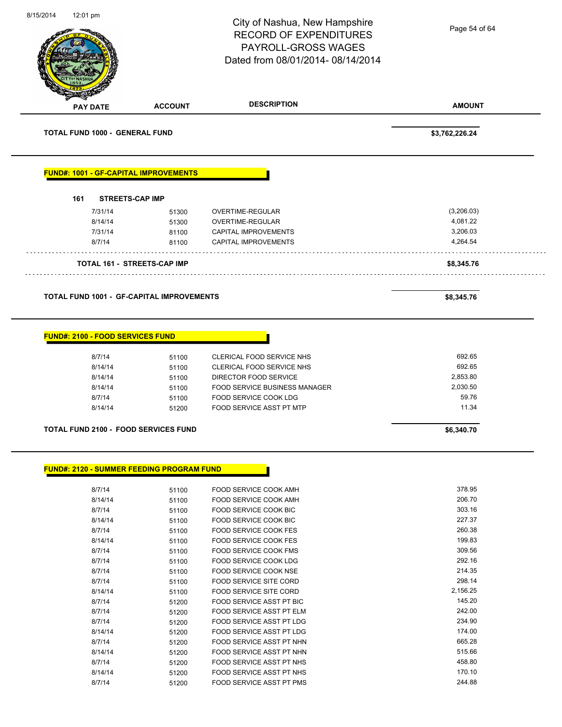| 8/15/2014 | 12:01 pm                                |                                                  | City of Nashua, New Hampshire                  | Page 54 of 64    |
|-----------|-----------------------------------------|--------------------------------------------------|------------------------------------------------|------------------|
|           |                                         |                                                  | <b>RECORD OF EXPENDITURES</b>                  |                  |
|           |                                         |                                                  | PAYROLL-GROSS WAGES                            |                  |
|           |                                         |                                                  | Dated from 08/01/2014-08/14/2014               |                  |
|           |                                         |                                                  |                                                |                  |
|           |                                         |                                                  |                                                |                  |
|           |                                         |                                                  |                                                |                  |
|           | <b>PAY DATE</b>                         | <b>ACCOUNT</b>                                   | <b>DESCRIPTION</b>                             | <b>AMOUNT</b>    |
|           | <b>TOTAL FUND 1000 - GENERAL FUND</b>   |                                                  |                                                | \$3,762,226.24   |
|           |                                         | <b>FUND#: 1001 - GF-CAPITAL IMPROVEMENTS</b>     |                                                |                  |
|           | 161                                     | <b>STREETS-CAP IMP</b>                           |                                                |                  |
|           | 7/31/14                                 | 51300                                            | OVERTIME-REGULAR                               | (3,206.03)       |
|           | 8/14/14                                 | 51300                                            | OVERTIME-REGULAR                               | 4,081.22         |
|           | 7/31/14                                 | 81100                                            | <b>CAPITAL IMPROVEMENTS</b>                    | 3,206.03         |
|           | 8/7/14                                  | 81100                                            | <b>CAPITAL IMPROVEMENTS</b>                    | 4,264.54         |
|           |                                         | <b>TOTAL 161 - STREETS-CAP IMP</b>               |                                                | \$8,345.76       |
|           |                                         |                                                  |                                                |                  |
|           |                                         | <b>TOTAL FUND 1001 - GF-CAPITAL IMPROVEMENTS</b> |                                                | \$8,345.76       |
|           | <b>FUND#: 2100 - FOOD SERVICES FUND</b> |                                                  |                                                |                  |
|           | 8/7/14                                  | 51100                                            | CLERICAL FOOD SERVICE NHS                      | 692.65           |
|           | 8/14/14                                 | 51100                                            | CLERICAL FOOD SERVICE NHS                      | 692.65           |
|           | 8/14/14                                 | 51100                                            | DIRECTOR FOOD SERVICE                          | 2,853.80         |
|           | 8/14/14                                 | 51100                                            | FOOD SERVICE BUSINESS MANAGER                  | 2,030.50         |
|           | 8/7/14                                  | 51100                                            | FOOD SERVICE COOK LDG                          | 59.76            |
|           | 8/14/14                                 | 51200                                            | <b>FOOD SERVICE ASST PT MTP</b>                | 11.34            |
|           |                                         | <b>TOTAL FUND 2100 - FOOD SERVICES FUND</b>      |                                                | \$6,340.70       |
|           |                                         |                                                  |                                                |                  |
|           |                                         | <b>FUND#: 2120 - SUMMER FEEDING PROGRAM FUND</b> |                                                |                  |
|           | 8/7/14                                  | 51100                                            | FOOD SERVICE COOK AMH                          | 378.95           |
|           | 8/14/14                                 | 51100                                            | FOOD SERVICE COOK AMH                          | 206.70           |
|           | 8/7/14                                  | 51100                                            | FOOD SERVICE COOK BIC                          | 303.16           |
|           | 8/14/14                                 | 51100                                            | FOOD SERVICE COOK BIC                          | 227.37           |
|           | 8/7/14                                  | 51100                                            | FOOD SERVICE COOK FES                          | 260.38<br>199.83 |
|           | 8/14/14<br>8/7/14                       | 51100                                            | FOOD SERVICE COOK FES<br>FOOD SERVICE COOK FMS | 309.56           |
|           | 8/7/14                                  | 51100                                            | FOOD SERVICE COOK LDG                          | 292.16           |
|           | 8/7/14                                  | 51100<br>51100                                   | FOOD SERVICE COOK NSE                          | 214.35           |
|           | 8/7/14                                  | 51100                                            | FOOD SERVICE SITE CORD                         | 298.14           |
|           | 8/14/14                                 | 51100                                            | FOOD SERVICE SITE CORD                         | 2,156.25         |
|           | 8/7/14                                  | 51200                                            | FOOD SERVICE ASST PT BIC                       | 145.20           |
|           | 8/7/14                                  | 51200                                            | FOOD SERVICE ASST PT ELM                       | 242.00           |
|           | 8/7/14                                  | 51200                                            | FOOD SERVICE ASST PT LDG                       | 234.90           |
|           | 8/14/14                                 | 51200                                            | FOOD SERVICE ASST PT LDG                       | 174.00           |
|           | 8/7/14                                  | 51200                                            | FOOD SERVICE ASST PT NHN                       | 665.28           |
|           | 8/14/14                                 | 51200                                            | FOOD SERVICE ASST PT NHN                       | 515.66           |
|           | 8/7/14                                  | 51200                                            | FOOD SERVICE ASST PT NHS                       | 458.80           |
|           | 8/14/14                                 | 51200                                            | FOOD SERVICE ASST PT NHS                       | 170.10           |
|           | 8/7/14                                  | 51200                                            | FOOD SERVICE ASST PT PMS                       | 244.88           |

8/7/14 51200 FOOD SERVICE ASST PT PMS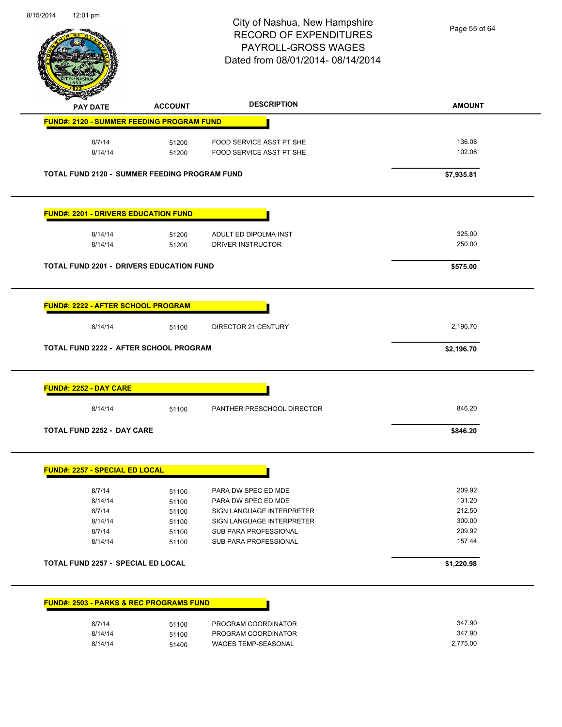

Page 55 of 64

| <b>PAY DATE</b>                                      | <b>ACCOUNT</b> | <b>DESCRIPTION</b>         | <b>AMOUNT</b> |
|------------------------------------------------------|----------------|----------------------------|---------------|
| <b>FUND#: 2120 - SUMMER FEEDING PROGRAM FUND</b>     |                |                            |               |
| 8/7/14                                               | 51200          | FOOD SERVICE ASST PT SHE   | 136.08        |
| 8/14/14                                              | 51200          | FOOD SERVICE ASST PT SHE   | 102.06        |
| <b>TOTAL FUND 2120 - SUMMER FEEDING PROGRAM FUND</b> |                |                            | \$7,935.81    |
| <b>FUND#: 2201 - DRIVERS EDUCATION FUND</b>          |                |                            |               |
| 8/14/14                                              | 51200          | ADULT ED DIPOLMA INST      | 325.00        |
| 8/14/14                                              | 51200          | DRIVER INSTRUCTOR          | 250.00        |
| <b>TOTAL FUND 2201 - DRIVERS EDUCATION FUND</b>      |                |                            | \$575.00      |
|                                                      |                |                            |               |
| <b>FUND#: 2222 - AFTER SCHOOL PROGRAM</b>            |                |                            |               |
| 8/14/14                                              | 51100          | DIRECTOR 21 CENTURY        | 2,196.70      |
| TOTAL FUND 2222 - AFTER SCHOOL PROGRAM               |                |                            | \$2,196.70    |
| <b>FUND#: 2252 - DAY CARE</b>                        |                |                            |               |
| 8/14/14                                              | 51100          | PANTHER PRESCHOOL DIRECTOR | 846.20        |
| <b>TOTAL FUND 2252 - DAY CARE</b>                    |                |                            | \$846.20      |
| <b>FUND#: 2257 - SPECIAL ED LOCAL</b>                |                |                            |               |
| 8/7/14                                               |                | PARA DW SPEC ED MDE        | 209.92        |
| 8/14/14                                              | 51100<br>51100 | PARA DW SPEC ED MDE        | 131.20        |
| 8/7/14                                               | 51100          | SIGN LANGUAGE INTERPRETER  | 212.50        |
| 8/14/14                                              | 51100          | SIGN LANGUAGE INTERPRETER  | 300.00        |
| 8/7/14                                               | 51100          | SUB PARA PROFESSIONAL      | 209.92        |
| 8/14/14                                              | 51100          | SUB PARA PROFESSIONAL      | 157.44        |
| TOTAL FUND 2257 - SPECIAL ED LOCAL                   |                |                            | \$1,220.98    |
| <b>FUND#: 2503 - PARKS &amp; REC PROGRAMS FUND</b>   |                |                            |               |
|                                                      |                |                            |               |
| 8/7/14                                               | 51100          | PROGRAM COORDINATOR        | 347.90        |
| 8/14/14                                              | 51100          | PROGRAM COORDINATOR        | 347.90        |

8/14/14 51400 WAGES TEMP-SEASONAL 5/14/14 2,775.00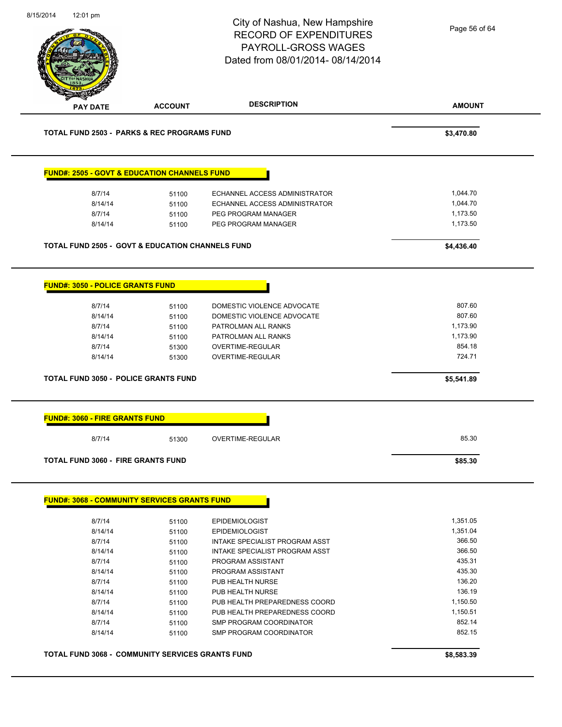|                                                             |                                                         | City of Nashua, New Hampshire<br><b>RECORD OF EXPENDITURES</b><br>PAYROLL-GROSS WAGES<br>Dated from 08/01/2014-08/14/2014 | Page 56 of 64 |
|-------------------------------------------------------------|---------------------------------------------------------|---------------------------------------------------------------------------------------------------------------------------|---------------|
| <b>PAY DATE</b>                                             | <b>ACCOUNT</b>                                          | <b>DESCRIPTION</b>                                                                                                        | <b>AMOUNT</b> |
| <b>TOTAL FUND 2503 - PARKS &amp; REC PROGRAMS FUND</b>      |                                                         |                                                                                                                           | \$3,470.80    |
| <b>FUND#: 2505 - GOVT &amp; EDUCATION CHANNELS FUND</b>     |                                                         |                                                                                                                           |               |
| 8/7/14                                                      | 51100                                                   | <b>ECHANNEL ACCESS ADMINISTRATOR</b>                                                                                      | 1,044.70      |
| 8/14/14                                                     | 51100                                                   | ECHANNEL ACCESS ADMINISTRATOR                                                                                             | 1,044.70      |
| 8/7/14                                                      | 51100                                                   | PEG PROGRAM MANAGER                                                                                                       | 1,173.50      |
| 8/14/14                                                     | 51100                                                   | PEG PROGRAM MANAGER                                                                                                       | 1,173.50      |
| <b>TOTAL FUND 2505 - GOVT &amp; EDUCATION CHANNELS FUND</b> |                                                         |                                                                                                                           | \$4,436.40    |
| <b>FUND#: 3050 - POLICE GRANTS FUND</b>                     |                                                         |                                                                                                                           |               |
| 8/7/14                                                      | 51100                                                   | DOMESTIC VIOLENCE ADVOCATE                                                                                                | 807.60        |
| 8/14/14                                                     | 51100                                                   | DOMESTIC VIOLENCE ADVOCATE                                                                                                | 807.60        |
| 8/7/14                                                      | 51100                                                   | PATROLMAN ALL RANKS                                                                                                       | 1,173.90      |
| 8/14/14                                                     | 51100                                                   | PATROLMAN ALL RANKS                                                                                                       | 1,173.90      |
| 8/7/14                                                      | 51300                                                   | OVERTIME-REGULAR                                                                                                          | 854.18        |
| 8/14/14                                                     | 51300                                                   | OVERTIME-REGULAR                                                                                                          | 724.71        |
| <b>TOTAL FUND 3050 - POLICE GRANTS FUND</b>                 |                                                         |                                                                                                                           | \$5,541.89    |
| <b>FUND#: 3060 - FIRE GRANTS FUND</b>                       |                                                         |                                                                                                                           |               |
| 8/7/14                                                      | 51300                                                   | <b>OVERTIME-REGULAR</b>                                                                                                   | 85.30         |
| <b>TOTAL FUND 3060 - FIRE GRANTS FUND</b>                   |                                                         |                                                                                                                           | \$85.30       |
|                                                             |                                                         |                                                                                                                           |               |
| <b>FUND#: 3068 - COMMUNITY SERVICES GRANTS FUND</b>         |                                                         |                                                                                                                           |               |
| 8/7/14                                                      | 51100                                                   | <b>EPIDEMIOLOGIST</b>                                                                                                     | 1,351.05      |
| 8/14/14                                                     | 51100                                                   | <b>EPIDEMIOLOGIST</b>                                                                                                     | 1,351.04      |
| 8/7/14                                                      | 51100                                                   | INTAKE SPECIALIST PROGRAM ASST                                                                                            | 366.50        |
| 8/14/14                                                     | 51100                                                   | INTAKE SPECIALIST PROGRAM ASST                                                                                            | 366.50        |
| 8/7/14                                                      | 51100                                                   | PROGRAM ASSISTANT                                                                                                         | 435.31        |
| 8/14/14                                                     | 51100                                                   | PROGRAM ASSISTANT                                                                                                         | 435.30        |
| 8/7/14                                                      | 51100                                                   | PUB HEALTH NURSE                                                                                                          | 136.20        |
| 8/14/14                                                     | 51100                                                   | PUB HEALTH NURSE                                                                                                          | 136.19        |
| 8/7/14                                                      | 51100                                                   | PUB HEALTH PREPAREDNESS COORD                                                                                             | 1,150.50      |
| 8/14/14                                                     | 51100                                                   | PUB HEALTH PREPAREDNESS COORD                                                                                             | 1,150.51      |
| 8/7/14                                                      | 51100                                                   | SMP PROGRAM COORDINATOR                                                                                                   | 852.14        |
| 8/14/14                                                     | 51100                                                   | SMP PROGRAM COORDINATOR                                                                                                   | 852.15        |
|                                                             | <b>TOTAL FUND 3068 - COMMUNITY SERVICES GRANTS FUND</b> |                                                                                                                           | \$8,583.39    |
|                                                             |                                                         |                                                                                                                           |               |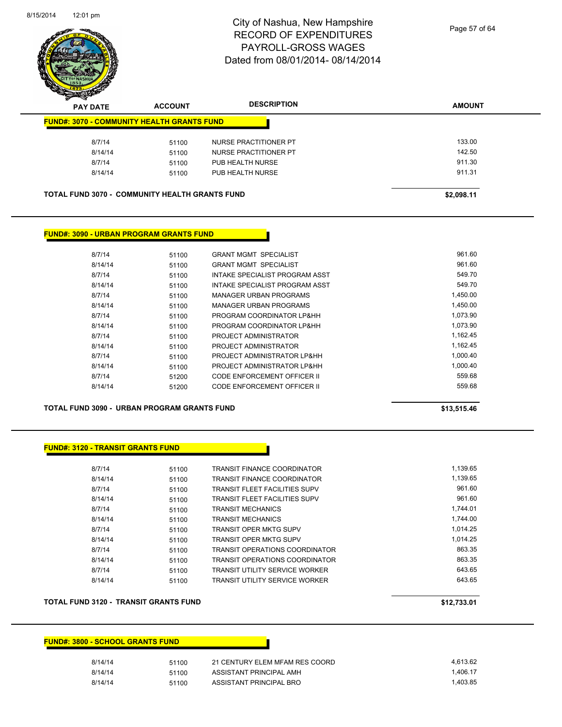

Page 57 of 64

| ~<br><b>PAY DATE</b>                                  | <b>ACCOUNT</b> | <b>DESCRIPTION</b>    | <b>AMOUNT</b> |
|-------------------------------------------------------|----------------|-----------------------|---------------|
| <b>FUND#: 3070 - COMMUNITY HEALTH GRANTS FUND</b>     |                |                       |               |
| 8/7/14                                                | 51100          | NURSE PRACTITIONER PT | 133.00        |
| 8/14/14                                               | 51100          | NURSE PRACTITIONER PT | 142.50        |
| 8/7/14                                                | 51100          | PUB HEALTH NURSE      | 911.30        |
| 8/14/14                                               | 51100          | PUB HEALTH NURSE      | 911.31        |
| <b>TOTAL FUND 3070 - COMMUNITY HEALTH GRANTS FUND</b> |                |                       | \$2,098.11    |

#### **FUND#: 3090 - URBAN PROGRAM GRANTS FUND**

| 8/7/14  | 51100 | <b>GRANT MGMT SPECIALIST</b>   | 961.60   |
|---------|-------|--------------------------------|----------|
| 8/14/14 | 51100 | <b>GRANT MGMT SPECIALIST</b>   | 961.60   |
| 8/7/14  | 51100 | INTAKE SPECIALIST PROGRAM ASST | 549.70   |
| 8/14/14 | 51100 | INTAKE SPECIALIST PROGRAM ASST | 549.70   |
| 8/7/14  | 51100 | <b>MANAGER URBAN PROGRAMS</b>  | 1,450.00 |
| 8/14/14 | 51100 | <b>MANAGER URBAN PROGRAMS</b>  | 1.450.00 |
| 8/7/14  | 51100 | PROGRAM COORDINATOR LP&HH      | 1,073.90 |
| 8/14/14 | 51100 | PROGRAM COORDINATOR LP&HH      | 1.073.90 |
| 8/7/14  | 51100 | PROJECT ADMINISTRATOR          | 1,162.45 |
| 8/14/14 | 51100 | PROJECT ADMINISTRATOR          | 1.162.45 |
| 8/7/14  | 51100 | PROJECT ADMINISTRATOR LP&HH    | 1,000.40 |
| 8/14/14 | 51100 | PROJECT ADMINISTRATOR LP&HH    | 1,000.40 |
| 8/7/14  | 51200 | CODE ENFORCEMENT OFFICER II    | 559.68   |
| 8/14/14 | 51200 | CODE ENFORCEMENT OFFICER II    | 559.68   |
|         |       |                                |          |

**TOTAL FUND 3090 - URBAN PROGRAM GRANTS FUND \$13,515.46** 

#### **FUND#: 3120 - TRANSIT GRANTS FUND**

| 8/7/14  | 51100 | <b>TRANSIT FINANCE COORDINATOR</b>    | 1.139.65 |
|---------|-------|---------------------------------------|----------|
| 8/14/14 | 51100 | <b>TRANSIT FINANCE COORDINATOR</b>    | 1,139.65 |
| 8/7/14  | 51100 | <b>TRANSIT FLEET FACILITIES SUPV</b>  | 961.60   |
| 8/14/14 | 51100 | <b>TRANSIT FLEET FACILITIES SUPV</b>  | 961.60   |
| 8/7/14  | 51100 | <b>TRANSIT MECHANICS</b>              | 1.744.01 |
| 8/14/14 | 51100 | <b>TRANSIT MECHANICS</b>              | 1.744.00 |
| 8/7/14  | 51100 | <b>TRANSIT OPER MKTG SUPV</b>         | 1.014.25 |
| 8/14/14 | 51100 | <b>TRANSIT OPER MKTG SUPV</b>         | 1.014.25 |
| 8/7/14  | 51100 | <b>TRANSIT OPERATIONS COORDINATOR</b> | 863.35   |
| 8/14/14 | 51100 | <b>TRANSIT OPERATIONS COORDINATOR</b> | 863.35   |
| 8/7/14  | 51100 | <b>TRANSIT UTILITY SERVICE WORKER</b> | 643.65   |
| 8/14/14 | 51100 | <b>TRANSIT UTILITY SERVICE WORKER</b> | 643.65   |
|         |       |                                       |          |

#### **TOTAL FUND 3120 - TRANSIT GRANTS FUND \$12,733.01**

#### **FUND#: 3800 - SCHOOL GRANTS FUND**

| 8/14/14 | 51100 | 21 CENTURY ELEM MFAM RES COORD | 4.613.62 |
|---------|-------|--------------------------------|----------|
| 8/14/14 | 51100 | ASSISTANT PRINCIPAL AMH        | 1.406.17 |
| 8/14/14 | 51100 | ASSISTANT PRINCIPAL BRO        | 1.403.85 |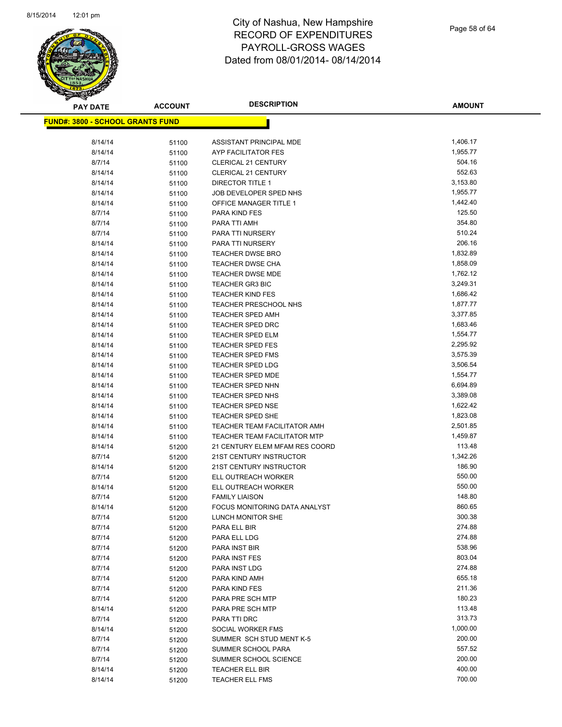

| <b>PAY DATE</b>                          | <b>ACCOUNT</b> | <b>DESCRIPTION</b>                                           | <b>AMOUNT</b>        |
|------------------------------------------|----------------|--------------------------------------------------------------|----------------------|
| <u> FUND#: 3800 - SCHOOL GRANTS FUND</u> |                |                                                              |                      |
|                                          |                |                                                              |                      |
| 8/14/14                                  | 51100          | ASSISTANT PRINCIPAL MDE                                      | 1,406.17             |
| 8/14/14                                  | 51100          | AYP FACILITATOR FES                                          | 1,955.77             |
| 8/7/14                                   | 51100          | <b>CLERICAL 21 CENTURY</b>                                   | 504.16               |
| 8/14/14                                  | 51100          | <b>CLERICAL 21 CENTURY</b>                                   | 552.63               |
| 8/14/14                                  | 51100          | <b>DIRECTOR TITLE 1</b>                                      | 3,153.80             |
| 8/14/14                                  | 51100          | JOB DEVELOPER SPED NHS                                       | 1,955.77             |
| 8/14/14                                  | 51100          | OFFICE MANAGER TITLE 1                                       | 1,442.40             |
| 8/7/14                                   | 51100          | PARA KIND FES                                                | 125.50               |
| 8/7/14                                   | 51100          | PARA TTI AMH                                                 | 354.80               |
| 8/7/14                                   | 51100          | PARA TTI NURSERY                                             | 510.24               |
| 8/14/14                                  | 51100          | PARA TTI NURSERY                                             | 206.16               |
| 8/14/14                                  | 51100          | <b>TEACHER DWSE BRO</b>                                      | 1,832.89             |
| 8/14/14                                  | 51100          | <b>TEACHER DWSE CHA</b>                                      | 1,858.09             |
| 8/14/14                                  | 51100          | <b>TEACHER DWSE MDE</b>                                      | 1,762.12             |
| 8/14/14                                  | 51100          | <b>TEACHER GR3 BIC</b>                                       | 3,249.31             |
| 8/14/14                                  | 51100          | <b>TEACHER KIND FES</b>                                      | 1,686.42             |
| 8/14/14                                  | 51100          | <b>TEACHER PRESCHOOL NHS</b>                                 | 1,877.77             |
| 8/14/14                                  | 51100          | <b>TEACHER SPED AMH</b>                                      | 3,377.85             |
| 8/14/14                                  | 51100          | <b>TEACHER SPED DRC</b>                                      | 1,683.46             |
| 8/14/14                                  | 51100          | <b>TEACHER SPED ELM</b>                                      | 1,554.77             |
| 8/14/14                                  | 51100          | <b>TEACHER SPED FES</b>                                      | 2,295.92             |
| 8/14/14                                  | 51100          | <b>TEACHER SPED FMS</b>                                      | 3,575.39             |
| 8/14/14                                  | 51100          | <b>TEACHER SPED LDG</b>                                      | 3,506.54             |
| 8/14/14                                  | 51100          | <b>TEACHER SPED MDE</b>                                      | 1,554.77             |
| 8/14/14                                  | 51100          | <b>TEACHER SPED NHN</b>                                      | 6,694.89             |
| 8/14/14                                  | 51100          | TEACHER SPED NHS                                             | 3,389.08             |
| 8/14/14                                  | 51100          | <b>TEACHER SPED NSE</b>                                      | 1,622.42             |
| 8/14/14                                  | 51100          | TEACHER SPED SHE                                             | 1,823.08<br>2,501.85 |
| 8/14/14<br>8/14/14                       | 51100          | TEACHER TEAM FACILITATOR AMH<br>TEACHER TEAM FACILITATOR MTP | 1,459.87             |
| 8/14/14                                  | 51100<br>51200 | 21 CENTURY ELEM MFAM RES COORD                               | 113.48               |
| 8/7/14                                   | 51200          | 21ST CENTURY INSTRUCTOR                                      | 1,342.26             |
| 8/14/14                                  | 51200          | 21ST CENTURY INSTRUCTOR                                      | 186.90               |
| 8/7/14                                   | 51200          | ELL OUTREACH WORKER                                          | 550.00               |
| 8/14/14                                  | 51200          | ELL OUTREACH WORKER                                          | 550.00               |
| 8/7/14                                   | 51200          | <b>FAMILY LIAISON</b>                                        | 148.80               |
| 8/14/14                                  | 51200          | <b>FOCUS MONITORING DATA ANALYST</b>                         | 860.65               |
| 8/7/14                                   | 51200          | LUNCH MONITOR SHE                                            | 300.38               |
| 8/7/14                                   | 51200          | PARA ELL BIR                                                 | 274.88               |
| 8/7/14                                   | 51200          | PARA ELL LDG                                                 | 274.88               |
| 8/7/14                                   | 51200          | PARA INST BIR                                                | 538.96               |
| 8/7/14                                   | 51200          | PARA INST FES                                                | 803.04               |
| 8/7/14                                   | 51200          | PARA INST LDG                                                | 274.88               |
| 8/7/14                                   | 51200          | PARA KIND AMH                                                | 655.18               |
| 8/7/14                                   | 51200          | PARA KIND FES                                                | 211.36               |
| 8/7/14                                   | 51200          | PARA PRE SCH MTP                                             | 180.23               |
| 8/14/14                                  | 51200          | PARA PRE SCH MTP                                             | 113.48               |
| 8/7/14                                   | 51200          | PARA TTI DRC                                                 | 313.73               |
| 8/14/14                                  | 51200          | SOCIAL WORKER FMS                                            | 1,000.00             |
| 8/7/14                                   | 51200          | SUMMER SCH STUD MENT K-5                                     | 200.00               |
| 8/7/14                                   | 51200          | SUMMER SCHOOL PARA                                           | 557.52               |
| 8/7/14                                   | 51200          | SUMMER SCHOOL SCIENCE                                        | 200.00               |
| 8/14/14                                  | 51200          | TEACHER ELL BIR                                              | 400.00               |
| 8/14/14                                  | 51200          | <b>TEACHER ELL FMS</b>                                       | 700.00               |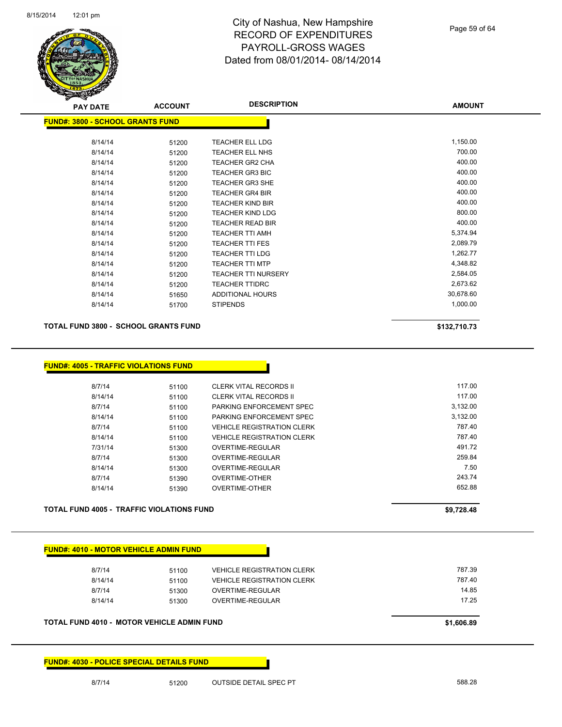

| <b>PAY DATE</b>                         | <b>ACCOUNT</b> | <b>DESCRIPTION</b>         | <b>AMOUNT</b> |
|-----------------------------------------|----------------|----------------------------|---------------|
| <b>FUND#: 3800 - SCHOOL GRANTS FUND</b> |                |                            |               |
| 8/14/14                                 | 51200          | <b>TEACHER ELL LDG</b>     | 1,150.00      |
| 8/14/14                                 | 51200          | <b>TEACHER ELL NHS</b>     | 700.00        |
| 8/14/14                                 | 51200          | <b>TEACHER GR2 CHA</b>     | 400.00        |
| 8/14/14                                 | 51200          | TEACHER GR3 BIC            | 400.00        |
| 8/14/14                                 | 51200          | <b>TEACHER GR3 SHE</b>     | 400.00        |
| 8/14/14                                 | 51200          | <b>TEACHER GR4 BIR</b>     | 400.00        |
| 8/14/14                                 | 51200          | <b>TEACHER KIND BIR</b>    | 400.00        |
| 8/14/14                                 | 51200          | <b>TEACHER KIND LDG</b>    | 800.00        |
| 8/14/14                                 | 51200          | <b>TEACHER READ BIR</b>    | 400.00        |
| 8/14/14                                 | 51200          | <b>TEACHER TTI AMH</b>     | 5,374.94      |
| 8/14/14                                 | 51200          | <b>TEACHER TTI FES</b>     | 2,089.79      |
| 8/14/14                                 | 51200          | <b>TEACHER TTI LDG</b>     | 1,262.77      |
| 8/14/14                                 | 51200          | <b>TEACHER TTI MTP</b>     | 4,348.82      |
| 8/14/14                                 | 51200          | <b>TEACHER TTI NURSERY</b> | 2,584.05      |
| 8/14/14                                 | 51200          | <b>TEACHER TTIDRC</b>      | 2,673.62      |
| 8/14/14                                 | 51650          | ADDITIONAL HOURS           | 30,678.60     |
| 8/14/14                                 | 51700          | <b>STIPENDS</b>            | 1,000.00      |
|                                         |                |                            |               |

**TOTAL FUND 3800 - SCHOOL GRANTS FUND \$132,710.73** 

**FUND#: 4005 - TRAFFIC VIOLATIONS FUND**

| 8/7/14  | 51100 | CLERK VITAL RECORDS II            | 117.00   |
|---------|-------|-----------------------------------|----------|
| 8/14/14 | 51100 | CLERK VITAL RECORDS II            | 117.00   |
| 8/7/14  | 51100 | PARKING ENFORCEMENT SPEC          | 3.132.00 |
| 8/14/14 | 51100 | PARKING ENFORCEMENT SPEC          | 3,132.00 |
| 8/7/14  | 51100 | <b>VEHICLE REGISTRATION CLERK</b> | 787.40   |
| 8/14/14 | 51100 | <b>VEHICLE REGISTRATION CLERK</b> | 787.40   |
| 7/31/14 | 51300 | OVERTIME-REGULAR                  | 491.72   |
| 8/7/14  | 51300 | OVERTIME-REGULAR                  | 259.84   |
| 8/14/14 | 51300 | OVERTIME-REGULAR                  | 7.50     |
| 8/7/14  | 51390 | OVERTIME-OTHER                    | 243.74   |
| 8/14/14 | 51390 | <b>OVERTIME-OTHER</b>             | 652.88   |
|         |       |                                   |          |

**TOTAL FUND 4005 - TRAFFIC VIOLATIONS FUND \$9,728.48** 

| 8/7/14  | 51100 | <b>VEHICLE REGISTRATION CLERK</b> | 787.39 |
|---------|-------|-----------------------------------|--------|
| 8/14/14 | 51100 | <b>VEHICLE REGISTRATION CLERK</b> | 787.40 |
| 8/7/14  | 51300 | OVERTIME-REGULAR                  | 14.85  |
| 8/14/14 | 51300 | OVERTIME-REGULAR                  | 17.25  |

**FUND#: 4030 - POLICE SPECIAL DETAILS FUND**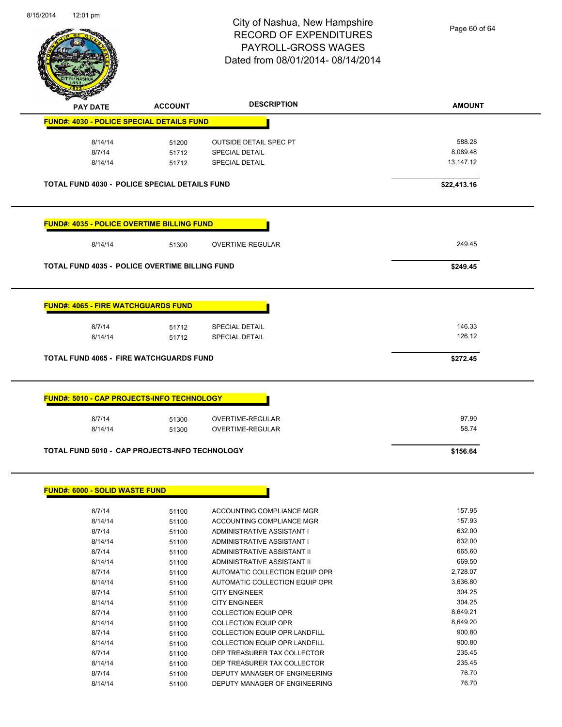

Page 60 of 64

| <b>FUND#: 4030 - POLICE SPECIAL DETAILS FUND</b>      |                | <b>DESCRIPTION</b>                                         | <b>AMOUNT</b>    |
|-------------------------------------------------------|----------------|------------------------------------------------------------|------------------|
|                                                       |                |                                                            |                  |
| 8/14/14                                               | 51200          | <b>OUTSIDE DETAIL SPEC PT</b>                              | 588.28           |
| 8/7/14                                                | 51712          | <b>SPECIAL DETAIL</b>                                      | 8,089.48         |
| 8/14/14                                               | 51712          | <b>SPECIAL DETAIL</b>                                      | 13,147.12        |
| <b>TOTAL FUND 4030 - POLICE SPECIAL DETAILS FUND</b>  |                |                                                            | \$22,413.16      |
| <b>FUND#: 4035 - POLICE OVERTIME BILLING FUND</b>     |                |                                                            |                  |
| 8/14/14                                               | 51300          | OVERTIME-REGULAR                                           | 249.45           |
| <b>TOTAL FUND 4035 - POLICE OVERTIME BILLING FUND</b> |                |                                                            | \$249.45         |
| <b>FUND#: 4065 - FIRE WATCHGUARDS FUND</b>            |                |                                                            |                  |
| 8/7/14                                                | 51712          | <b>SPECIAL DETAIL</b>                                      | 146.33           |
| 8/14/14                                               | 51712          | <b>SPECIAL DETAIL</b>                                      | 126.12           |
| <b>TOTAL FUND 4065 - FIRE WATCHGUARDS FUND</b>        |                |                                                            | \$272.45         |
| 8/7/14                                                | 51300<br>51300 | OVERTIME-REGULAR<br>OVERTIME-REGULAR                       | 97.90<br>58.74   |
| 8/14/14                                               |                |                                                            |                  |
| TOTAL FUND 5010 - CAP PROJECTS-INFO TECHNOLOGY        |                |                                                            | \$156.64         |
| <b>FUND#: 6000 - SOLID WASTE FUND</b>                 |                |                                                            |                  |
|                                                       |                |                                                            |                  |
| 8/7/14                                                | 51100          | ACCOUNTING COMPLIANCE MGR                                  | 157.95<br>157.93 |
| 8/14/14                                               | 51100          | ACCOUNTING COMPLIANCE MGR<br>ADMINISTRATIVE ASSISTANT I    | 632.00           |
| 8/7/14                                                | 51100          |                                                            |                  |
| 8/14/14                                               | 51100          | ADMINISTRATIVE ASSISTANT I                                 | 632.00           |
| 8/7/14                                                | 51100          | ADMINISTRATIVE ASSISTANT II                                | 665.60           |
| 8/14/14                                               | 51100          | ADMINISTRATIVE ASSISTANT II                                | 669.50           |
| 8/7/14                                                | 51100          | AUTOMATIC COLLECTION EQUIP OPR                             | 2,728.07         |
| 8/14/14                                               | 51100          | AUTOMATIC COLLECTION EQUIP OPR                             | 3,636.80         |
| 8/7/14                                                | 51100          | <b>CITY ENGINEER</b>                                       | 304.25           |
| 8/14/14                                               | 51100          | <b>CITY ENGINEER</b>                                       | 304.25           |
| 8/7/14                                                | 51100          | <b>COLLECTION EQUIP OPR</b>                                | 8,649.21         |
| 8/14/14                                               | 51100          | <b>COLLECTION EQUIP OPR</b>                                | 8,649.20         |
| 8/7/14                                                | 51100          | COLLECTION EQUIP OPR LANDFILL                              | 900.80           |
| 8/14/14                                               | 51100          | COLLECTION EQUIP OPR LANDFILL                              | 900.80           |
| 8/7/14<br>8/14/14                                     | 51100<br>51100 | DEP TREASURER TAX COLLECTOR<br>DEP TREASURER TAX COLLECTOR | 235.45<br>235.45 |

8/14/14 51100 DEPUTY MANAGER OF ENGINEERING 76.70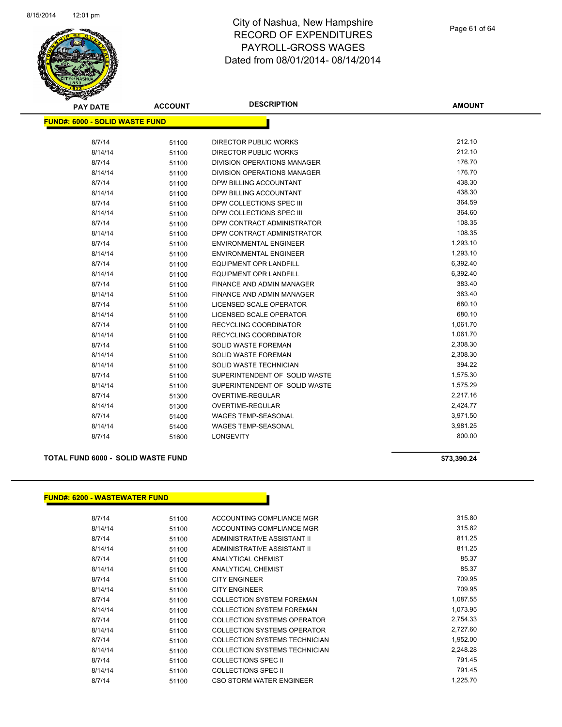

| <b>PAY DATE</b>                       | <b>ACCOUNT</b> | <b>DESCRIPTION</b>                 | <b>AMOUNT</b> |
|---------------------------------------|----------------|------------------------------------|---------------|
| <b>FUND#: 6000 - SOLID WASTE FUND</b> |                |                                    |               |
|                                       |                |                                    |               |
| 8/7/14                                | 51100          | <b>DIRECTOR PUBLIC WORKS</b>       | 212.10        |
| 8/14/14                               | 51100          | <b>DIRECTOR PUBLIC WORKS</b>       | 212.10        |
| 8/7/14                                | 51100          | DIVISION OPERATIONS MANAGER        | 176.70        |
| 8/14/14                               | 51100          | <b>DIVISION OPERATIONS MANAGER</b> | 176.70        |
| 8/7/14                                | 51100          | DPW BILLING ACCOUNTANT             | 438.30        |
| 8/14/14                               | 51100          | DPW BILLING ACCOUNTANT             | 438.30        |
| 8/7/14                                | 51100          | DPW COLLECTIONS SPEC III           | 364.59        |
| 8/14/14                               | 51100          | DPW COLLECTIONS SPEC III           | 364.60        |
| 8/7/14                                | 51100          | DPW CONTRACT ADMINISTRATOR         | 108.35        |
| 8/14/14                               | 51100          | DPW CONTRACT ADMINISTRATOR         | 108.35        |
| 8/7/14                                | 51100          | <b>ENVIRONMENTAL ENGINEER</b>      | 1,293.10      |
| 8/14/14                               | 51100          | <b>ENVIRONMENTAL ENGINEER</b>      | 1,293.10      |
| 8/7/14                                | 51100          | <b>EQUIPMENT OPR LANDFILL</b>      | 6,392.40      |
| 8/14/14                               | 51100          | <b>EQUIPMENT OPR LANDFILL</b>      | 6,392.40      |
| 8/7/14                                | 51100          | <b>FINANCE AND ADMIN MANAGER</b>   | 383.40        |
| 8/14/14                               | 51100          | FINANCE AND ADMIN MANAGER          | 383.40        |
| 8/7/14                                | 51100          | LICENSED SCALE OPERATOR            | 680.10        |
| 8/14/14                               | 51100          | LICENSED SCALE OPERATOR            | 680.10        |
| 8/7/14                                | 51100          | <b>RECYCLING COORDINATOR</b>       | 1,061.70      |
| 8/14/14                               | 51100          | <b>RECYCLING COORDINATOR</b>       | 1,061.70      |
| 8/7/14                                | 51100          | SOLID WASTE FOREMAN                | 2,308.30      |
| 8/14/14                               | 51100          | SOLID WASTE FOREMAN                | 2,308.30      |
| 8/14/14                               | 51100          | SOLID WASTE TECHNICIAN             | 394.22        |
| 8/7/14                                | 51100          | SUPERINTENDENT OF SOLID WASTE      | 1,575.30      |
| 8/14/14                               | 51100          | SUPERINTENDENT OF SOLID WASTE      | 1,575.29      |
| 8/7/14                                | 51300          | OVERTIME-REGULAR                   | 2,217.16      |
| 8/14/14                               | 51300          | OVERTIME-REGULAR                   | 2,424.77      |
| 8/7/14                                | 51400          | <b>WAGES TEMP-SEASONAL</b>         | 3,971.50      |
| 8/14/14                               | 51400          | WAGES TEMP-SEASONAL                | 3,981.25      |
| 8/7/14                                | 51600          | <b>LONGEVITY</b>                   | 800.00        |

#### **TOTAL FUND 6000 - SOLID WASTE FUND \$73,390.24**

#### **FUND#: 6200 - WASTEWATER FUND**

| 8/7/14  | 51100 | ACCOUNTING COMPLIANCE MGR            | 315.80   |
|---------|-------|--------------------------------------|----------|
| 8/14/14 | 51100 | ACCOUNTING COMPLIANCE MGR            | 315.82   |
| 8/7/14  | 51100 | ADMINISTRATIVE ASSISTANT II          | 811.25   |
| 8/14/14 | 51100 | ADMINISTRATIVE ASSISTANT II          | 811.25   |
| 8/7/14  | 51100 | ANALYTICAL CHEMIST                   | 85.37    |
| 8/14/14 | 51100 | <b>ANALYTICAL CHEMIST</b>            | 85.37    |
| 8/7/14  | 51100 | <b>CITY ENGINEER</b>                 | 709.95   |
| 8/14/14 | 51100 | <b>CITY ENGINEER</b>                 | 709.95   |
| 8/7/14  | 51100 | <b>COLLECTION SYSTEM FOREMAN</b>     | 1,087.55 |
| 8/14/14 | 51100 | <b>COLLECTION SYSTEM FOREMAN</b>     | 1,073.95 |
| 8/7/14  | 51100 | COLLECTION SYSTEMS OPERATOR          | 2,754.33 |
| 8/14/14 | 51100 | COLLECTION SYSTEMS OPERATOR          | 2,727.60 |
| 8/7/14  | 51100 | COLLECTION SYSTEMS TECHNICIAN        | 1,952.00 |
| 8/14/14 | 51100 | <b>COLLECTION SYSTEMS TECHNICIAN</b> | 2,248.28 |
| 8/7/14  | 51100 | <b>COLLECTIONS SPEC II</b>           | 791.45   |
| 8/14/14 | 51100 | <b>COLLECTIONS SPEC II</b>           | 791.45   |
| 8/7/14  | 51100 | CSO STORM WATER ENGINEER             | 1,225.70 |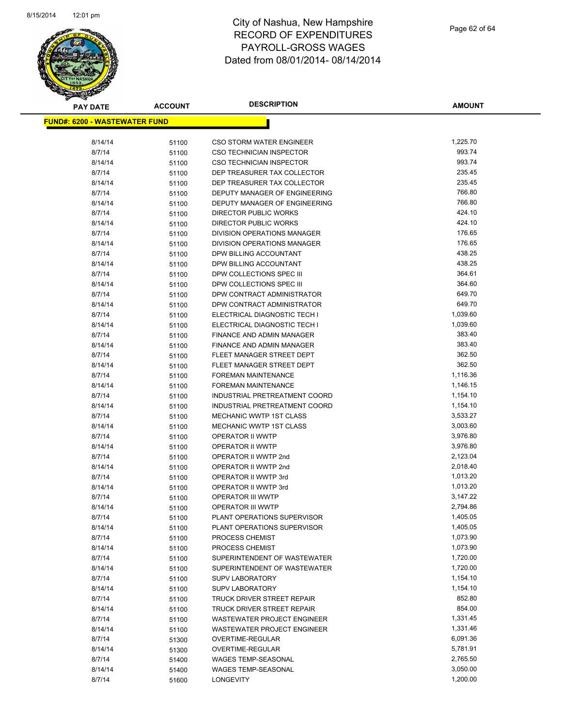

| <b>PAY DATE</b>                       | <b>ACCOUNT</b> | <b>DESCRIPTION</b>                           | <b>AMOUNT</b>        |
|---------------------------------------|----------------|----------------------------------------------|----------------------|
| <u> FUND#: 6200 - WASTEWATER FUND</u> |                |                                              |                      |
|                                       |                |                                              |                      |
| 8/14/14                               | 51100          | <b>CSO STORM WATER ENGINEER</b>              | 1,225.70             |
| 8/7/14                                | 51100          | <b>CSO TECHNICIAN INSPECTOR</b>              | 993.74               |
| 8/14/14                               | 51100          | <b>CSO TECHNICIAN INSPECTOR</b>              | 993.74               |
| 8/7/14                                | 51100          | DEP TREASURER TAX COLLECTOR                  | 235.45               |
| 8/14/14                               | 51100          | DEP TREASURER TAX COLLECTOR                  | 235.45               |
| 8/7/14                                | 51100          | DEPUTY MANAGER OF ENGINEERING                | 766.80               |
| 8/14/14                               | 51100          | DEPUTY MANAGER OF ENGINEERING                | 766.80               |
| 8/7/14                                | 51100          | DIRECTOR PUBLIC WORKS                        | 424.10               |
| 8/14/14                               | 51100          | <b>DIRECTOR PUBLIC WORKS</b>                 | 424.10               |
| 8/7/14                                | 51100          | DIVISION OPERATIONS MANAGER                  | 176.65               |
| 8/14/14                               | 51100          | DIVISION OPERATIONS MANAGER                  | 176.65               |
| 8/7/14                                | 51100          | DPW BILLING ACCOUNTANT                       | 438.25               |
| 8/14/14                               | 51100          | DPW BILLING ACCOUNTANT                       | 438.25               |
| 8/7/14                                | 51100          | DPW COLLECTIONS SPEC III                     | 364.61               |
| 8/14/14                               | 51100          | DPW COLLECTIONS SPEC III                     | 364.60               |
| 8/7/14                                | 51100          | DPW CONTRACT ADMINISTRATOR                   | 649.70               |
| 8/14/14                               | 51100          | DPW CONTRACT ADMINISTRATOR                   | 649.70               |
| 8/7/14                                | 51100          | ELECTRICAL DIAGNOSTIC TECH I                 | 1,039.60             |
| 8/14/14                               | 51100          | ELECTRICAL DIAGNOSTIC TECH I                 | 1,039.60             |
| 8/7/14                                | 51100          | <b>FINANCE AND ADMIN MANAGER</b>             | 383.40               |
| 8/14/14                               | 51100          | FINANCE AND ADMIN MANAGER                    | 383.40               |
| 8/7/14                                | 51100          | FLEET MANAGER STREET DEPT                    | 362.50               |
| 8/14/14                               | 51100          | FLEET MANAGER STREET DEPT                    | 362.50               |
| 8/7/14                                | 51100          | FOREMAN MAINTENANCE                          | 1,116.36             |
| 8/14/14                               | 51100          | <b>FOREMAN MAINTENANCE</b>                   | 1,146.15             |
| 8/7/14                                | 51100          | INDUSTRIAL PRETREATMENT COORD                | 1,154.10             |
| 8/14/14                               | 51100          | INDUSTRIAL PRETREATMENT COORD                | 1,154.10             |
| 8/7/14                                | 51100          | MECHANIC WWTP 1ST CLASS                      | 3,533.27             |
| 8/14/14                               | 51100          | <b>MECHANIC WWTP 1ST CLASS</b>               | 3,003.60             |
| 8/7/14                                | 51100          | OPERATOR II WWTP                             | 3,976.80             |
| 8/14/14                               | 51100          | OPERATOR II WWTP                             | 3,976.80             |
| 8/7/14<br>8/14/14                     | 51100          | OPERATOR II WWTP 2nd<br>OPERATOR II WWTP 2nd | 2,123.04<br>2,018.40 |
| 8/7/14                                | 51100          | OPERATOR II WWTP 3rd                         | 1,013.20             |
| 8/14/14                               | 51100          | OPERATOR II WWTP 3rd                         | 1,013.20             |
| 8/7/14                                | 51100          | <b>OPERATOR III WWTP</b>                     | 3,147.22             |
| 8/14/14                               | 51100<br>51100 | <b>OPERATOR III WWTP</b>                     | 2,794.86             |
| 8/7/14                                | 51100          | PLANT OPERATIONS SUPERVISOR                  | 1,405.05             |
| 8/14/14                               | 51100          | PLANT OPERATIONS SUPERVISOR                  | 1,405.05             |
| 8/7/14                                | 51100          | PROCESS CHEMIST                              | 1,073.90             |
| 8/14/14                               | 51100          | PROCESS CHEMIST                              | 1,073.90             |
| 8/7/14                                | 51100          | SUPERINTENDENT OF WASTEWATER                 | 1,720.00             |
| 8/14/14                               | 51100          | SUPERINTENDENT OF WASTEWATER                 | 1,720.00             |
| 8/7/14                                | 51100          | <b>SUPV LABORATORY</b>                       | 1,154.10             |
| 8/14/14                               | 51100          | <b>SUPV LABORATORY</b>                       | 1,154.10             |
| 8/7/14                                | 51100          | <b>TRUCK DRIVER STREET REPAIR</b>            | 852.80               |
| 8/14/14                               | 51100          | TRUCK DRIVER STREET REPAIR                   | 854.00               |
| 8/7/14                                | 51100          | <b>WASTEWATER PROJECT ENGINEER</b>           | 1,331.45             |
| 8/14/14                               | 51100          | WASTEWATER PROJECT ENGINEER                  | 1,331.46             |
| 8/7/14                                | 51300          | OVERTIME-REGULAR                             | 6,091.36             |
| 8/14/14                               | 51300          | OVERTIME-REGULAR                             | 5,781.91             |
| 8/7/14                                | 51400          | <b>WAGES TEMP-SEASONAL</b>                   | 2,765.50             |
| 8/14/14                               | 51400          | WAGES TEMP-SEASONAL                          | 3,050.00             |
| 8/7/14                                | 51600          | LONGEVITY                                    | 1,200.00             |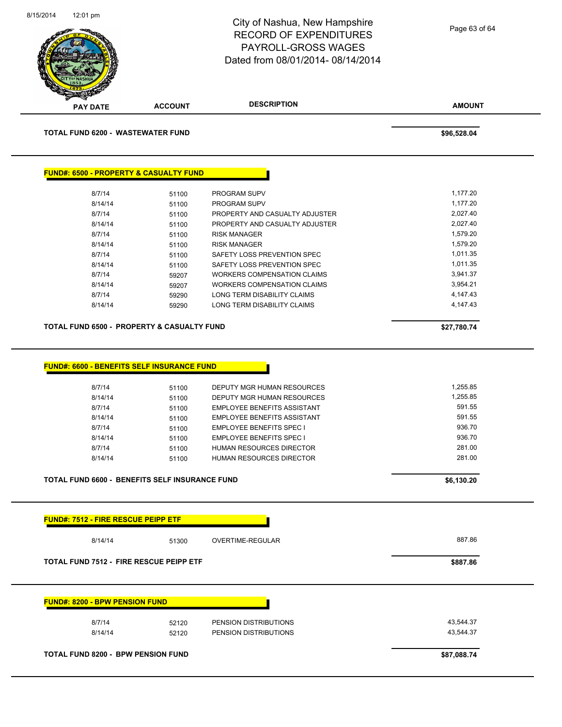